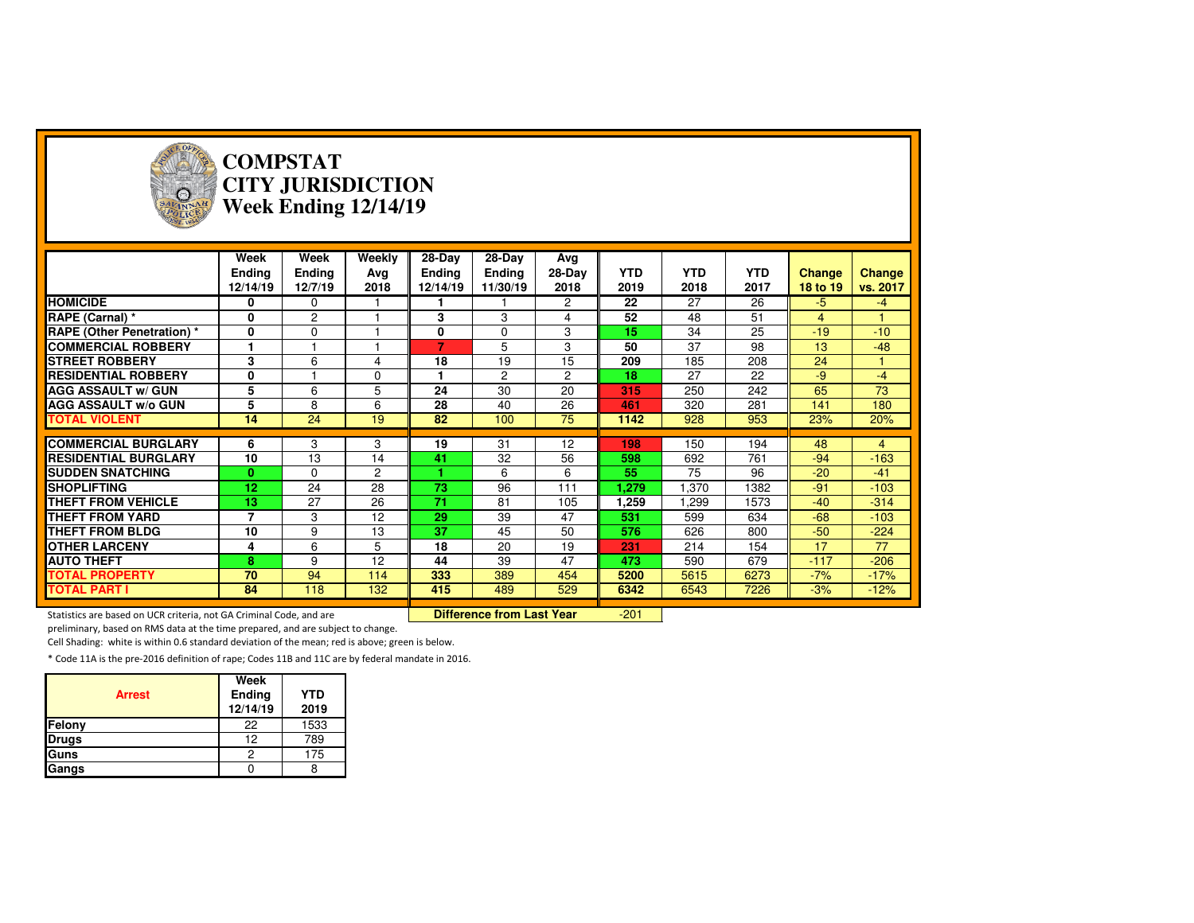

#### **COMPSTAT CITY JURISDICTIONWeek Ending 12/14/19**

|                                   | Week<br><b>Ending</b><br>12/14/19 | Week<br><b>Ending</b><br>12/7/19 | Weekly<br>Avg<br>2018 | $28-Dav$<br>Ending<br>12/14/19 | 28-Day<br>Ending<br>11/30/19 | Avg<br>28-Day<br>2018 | <b>YTD</b><br>2019 | <b>YTD</b><br>2018 | <b>YTD</b><br>2017 | <b>Change</b><br>18 to 19 | <b>Change</b><br>vs. 2017 |
|-----------------------------------|-----------------------------------|----------------------------------|-----------------------|--------------------------------|------------------------------|-----------------------|--------------------|--------------------|--------------------|---------------------------|---------------------------|
| <b>HOMICIDE</b>                   | 0                                 | 0                                |                       |                                |                              | $\overline{2}$        | 22                 | 27                 | 26                 | -5                        | -4                        |
| RAPE (Carnal) *                   | 0                                 | $\overline{c}$                   |                       | 3                              | 3                            | 4                     | 52                 | 48                 | 51                 | $\overline{4}$            |                           |
| <b>RAPE (Other Penetration)</b> * | 0                                 | $\Omega$                         |                       | 0                              | $\Omega$                     | 3                     | 15                 | 34                 | 25                 | $-19$                     | $-10$                     |
| <b>COMMERCIAL ROBBERY</b>         |                                   |                                  |                       | 7                              | 5                            | 3                     | 50                 | 37                 | 98                 | 13                        | $-48$                     |
| <b>STREET ROBBERY</b>             | 3                                 | 6                                | 4                     | 18                             | 19                           | 15                    | 209                | 185                | 208                | 24                        |                           |
| <b>RESIDENTIAL ROBBERY</b>        | 0                                 |                                  | $\Omega$              | 1                              | $\overline{c}$               | $\overline{c}$        | 18                 | 27                 | 22                 | $-9$                      | $-4$                      |
| <b>AGG ASSAULT w/ GUN</b>         | 5                                 | 6                                | 5                     | 24                             | 30                           | 20                    | 315                | 250                | 242                | 65                        | 73                        |
| <b>AGG ASSAULT W/o GUN</b>        | 5                                 | 8                                | 6                     | 28                             | 40                           | 26                    | 461                | 320                | 281                | 141                       | 180                       |
| <b>TOTAL VIOLENT</b>              | 14                                | 24                               | 19                    | 82                             | 100                          | 75                    | 1142               | 928                | 953                | 23%                       | 20%                       |
|                                   |                                   |                                  |                       |                                |                              |                       |                    |                    |                    |                           |                           |
| <b>COMMERCIAL BURGLARY</b>        | 6                                 | 3                                | 3                     | 19                             | 31                           | 12                    | 198                | 150                | 194                | 48                        | $\overline{4}$            |
| <b>RESIDENTIAL BURGLARY</b>       | 10                                | 13                               | 14                    | 41                             | 32                           | 56                    | 598                | 692                | 761                | $-94$                     | $-163$                    |
| <b>SUDDEN SNATCHING</b>           | 0                                 | 0                                | $\overline{2}$        |                                | 6                            | 6                     | 55                 | 75                 | 96                 | $-20$                     | $-41$                     |
| <b>ISHOPLIFTING</b>               | 12                                | 24                               | 28                    | 73                             | 96                           | 111                   | 1,279              | .370               | 1382               | $-91$                     | $-103$                    |
| <b>THEFT FROM VEHICLE</b>         | 13                                | 27                               | 26                    | 71                             | 81                           | 105                   | 1,259              | .299               | 1573               | $-40$                     | $-314$                    |
| THEFT FROM YARD                   | 7                                 | 3                                | 12                    | 29                             | 39                           | 47                    | 531                | 599                | 634                | $-68$                     | $-103$                    |
| <b>THEFT FROM BLDG</b>            | 10                                | 9                                | 13                    | 37                             | 45                           | 50                    | 576                | 626                | 800                | $-50$                     | $-224$                    |
| <b>OTHER LARCENY</b>              | 4                                 | 6                                | 5                     | 18                             | 20                           | 19                    | 231                | 214                | 154                | 17                        | 77                        |
| <b>AUTO THEFT</b>                 | 8                                 | 9                                | 12                    | 44                             | 39                           | 47                    | 473                | 590                | 679                | $-117$                    | $-206$                    |
| <b>TOTAL PROPERTY</b>             | 70                                | 94                               | 114                   | 333                            | 389                          | 454                   | 5200               | 5615               | 6273               | $-7%$                     | $-17%$                    |
| <b>TOTAL PART I</b>               | 84                                | 118                              | 132                   | 415                            | 489                          | 529                   | 6342               | 6543               | 7226               | $-3%$                     | $-12%$                    |

Statistics are based on UCR criteria, not GA Criminal Code, and are **Difference from Last Year** 

-201

preliminary, based on RMS data at the time prepared, and are subject to change.

Cell Shading: white is within 0.6 standard deviation of the mean; red is above; green is below.

| <b>Arrest</b> | Week<br>Ending<br>12/14/19 | <b>YTD</b><br>2019 |
|---------------|----------------------------|--------------------|
| Felony        | 22                         | 1533               |
| <b>Drugs</b>  | 12                         | 789                |
| Guns          |                            | 175                |
| Gangs         |                            |                    |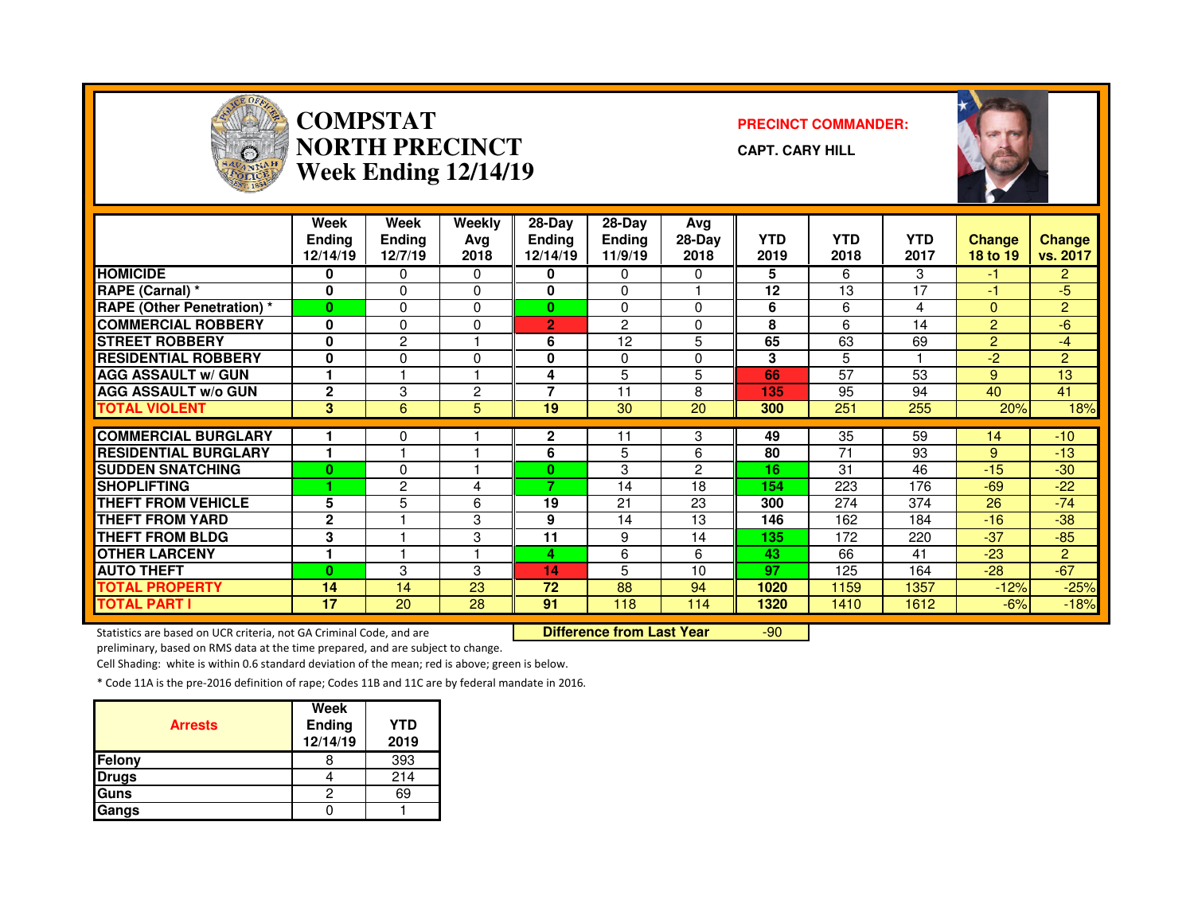

#### **COMPSTAT PRECINCT COMMANDER: NORTH PRECINCTWeek Ending 12/14/19**

**CAPT. CARY HILL**



|                                   | Week<br><b>Ending</b><br>12/14/19 | Week<br>Ending<br>12/7/19 | Weekly<br>Ava<br>2018 | 28-Day<br>Ending<br>12/14/19 | $28-Dav$<br><b>Ending</b><br>11/9/19 | Avg<br>$28-Day$<br>2018 | <b>YTD</b><br>2019 | <b>YTD</b><br>2018 | <b>YTD</b><br>2017 | <b>Change</b><br>18 to 19 | <b>Change</b><br>vs. 2017 |
|-----------------------------------|-----------------------------------|---------------------------|-----------------------|------------------------------|--------------------------------------|-------------------------|--------------------|--------------------|--------------------|---------------------------|---------------------------|
| <b>HOMICIDE</b>                   | 0                                 | 0                         | 0                     | 0                            | $\Omega$                             | $\Omega$                | 5                  | 6                  | 3                  | -1                        | $\overline{2}$            |
| RAPE (Carnal) *                   | 0                                 | 0                         | $\Omega$              | 0                            | $\Omega$                             |                         | 12                 | 13                 | 17                 | -1                        | -5                        |
| <b>RAPE (Other Penetration) *</b> | $\bf{0}$                          | 0                         | $\Omega$              | $\bf{0}$                     | $\Omega$                             | $\Omega$                | 6                  | 6                  | 4                  | $\Omega$                  | $\overline{2}$            |
| <b>COMMERCIAL ROBBERY</b>         | 0                                 | 0                         | 0                     | $\overline{2}$               | $\overline{c}$                       | $\Omega$                | 8                  | 6                  | 14                 | 2                         | -6                        |
| <b>STREET ROBBERY</b>             | 0                                 | 2                         |                       | 6                            | 12                                   | 5                       | 65                 | 63                 | 69                 | $\overline{2}$            | $-4$                      |
| <b>RESIDENTIAL ROBBERY</b>        | 0                                 | 0                         | 0                     | 0                            | 0                                    | $\Omega$                | 3                  | 5                  |                    | -2                        | $\overline{2}$            |
| <b>AGG ASSAULT w/ GUN</b>         |                                   |                           |                       | 4                            | 5                                    | 5                       | 66                 | 57                 | 53                 | 9                         | 13                        |
| <b>AGG ASSAULT W/o GUN</b>        | $\mathbf{2}$                      | 3                         | $\overline{2}$        | $\overline{\phantom{a}}$     | 11                                   | 8                       | 135                | 95                 | 94                 | 40                        | 41                        |
| <b>TOTAL VIOLENT</b>              | 3                                 | 6                         | 5                     | 19                           | 30                                   | 20                      | 300                | 251                | 255                | 20%                       | 18%                       |
| <b>COMMERCIAL BURGLARY</b>        |                                   |                           |                       | $\mathbf{2}$                 | 11                                   | 3                       | 49                 | 35                 | 59                 |                           |                           |
|                                   | 1                                 | 0                         |                       |                              |                                      |                         |                    |                    |                    | 14                        | $-10^{-}$                 |
| <b>RESIDENTIAL BURGLARY</b>       |                                   |                           |                       | 6                            | 5                                    | 6                       | 80                 | 71                 | 93                 | 9                         | $-13$                     |
| <b>SUDDEN SNATCHING</b>           | $\Omega$                          | 0                         |                       | $\bf{0}$                     | 3                                    | 2                       | 16                 | 31                 | 46                 | $-15$                     | $-30$                     |
| <b>SHOPLIFTING</b>                |                                   | 2                         | 4                     | 7                            | 14                                   | 18                      | 154                | 223                | 176                | -69                       | $-22$                     |
| <b>THEFT FROM VEHICLE</b>         | 5                                 | 5                         | 6                     | 19                           | 21                                   | 23                      | 300                | 274                | 374                | 26                        | $-74$                     |
| <b>THEFT FROM YARD</b>            | $\mathbf{2}$                      |                           | 3                     | 9                            | 14                                   | 13                      | 146                | 162                | 184                | $-16$                     | $-38$                     |
| <b>THEFT FROM BLDG</b>            | 3                                 |                           | 3                     | 11                           | 9                                    | 14                      | 135                | 172                | 220                | $-37$                     | $-85$                     |
| <b>OTHER LARCENY</b>              | ۴                                 |                           |                       | 4                            | 6                                    | 6                       | 43                 | 66                 | 41                 | $-23$                     | $\overline{2}$            |
| <b>AUTO THEFT</b>                 | $\bf{0}$                          | 3                         | 3                     | 14                           | 5                                    | 10                      | 97                 | 125                | 164                | $-28$                     | $-67$                     |
| <b>TOTAL PROPERTY</b>             | 14                                | 14                        | 23                    | 72                           | 88                                   | 94                      | 1020               | 1159               | 1357               | $-12%$                    | $-25%$                    |
| <b>TOTAL PART I</b>               | 17                                | 20                        | 28                    | 91                           | 118                                  | 114                     | 1320               | 1410               | 1612               | $-6%$                     | $-18%$                    |

Statistics are based on UCR criteria, not GA Criminal Code, and are **Difference from Last Year** 

-90

preliminary, based on RMS data at the time prepared, and are subject to change.

Cell Shading: white is within 0.6 standard deviation of the mean; red is above; green is below.

| <b>Arrests</b> | Week<br>Ending<br>12/14/19 | YTD<br>2019 |
|----------------|----------------------------|-------------|
| <b>Felony</b>  |                            | 393         |
| <b>Drugs</b>   |                            | 214         |
| Guns           |                            | 69          |
| Gangs          |                            |             |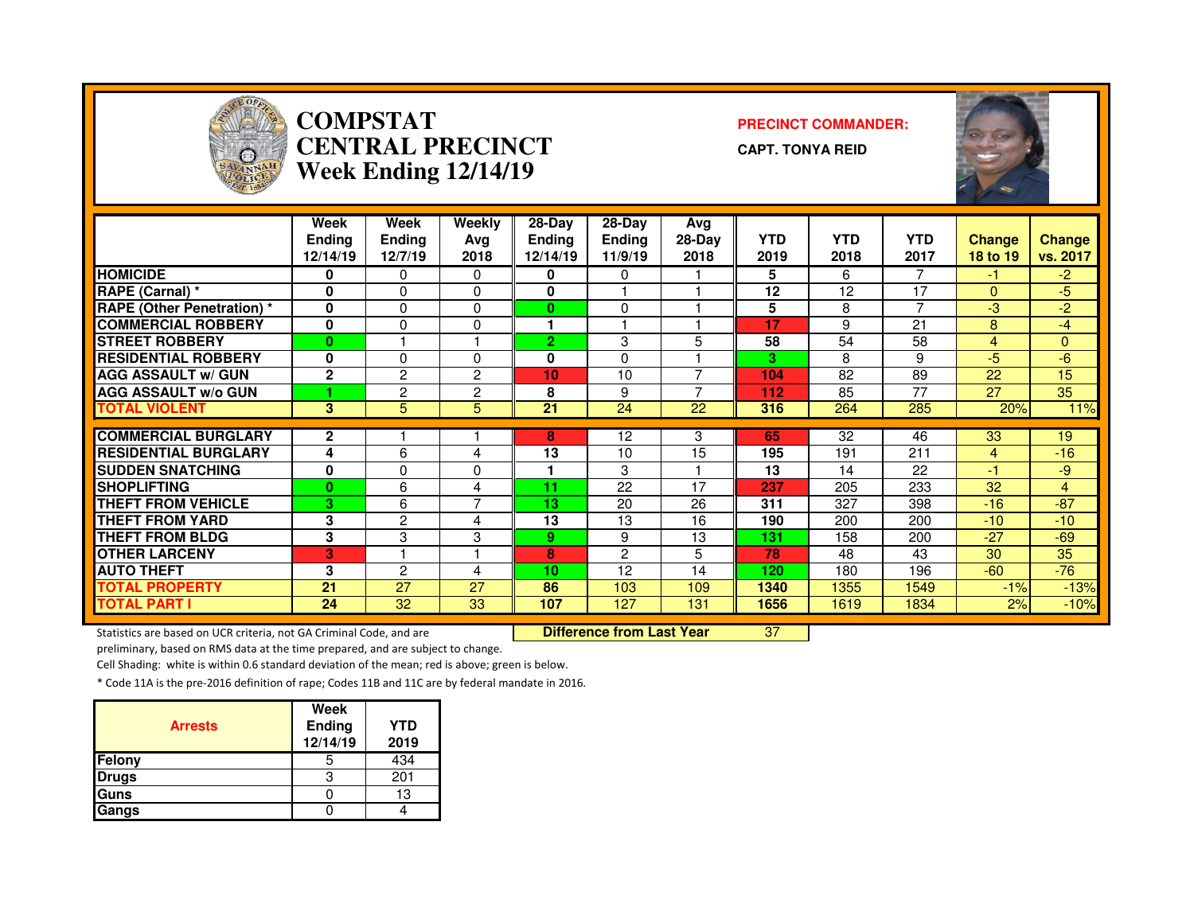

#### **COMPSTAT PRECINCT COMMANDER: CENTRAL PRECINCTWeek Ending 12/14/19**

**CAPT. TONYA REID**



|                                   | Week<br><b>Endina</b><br>12/14/19 | Week<br>Ending<br>12/7/19 | Weekly<br>Ava<br>2018 | 28-Day<br>Endina<br>12/14/19 | $28-Dav$<br><b>Ending</b><br>11/9/19 | Avg<br>$28-Day$<br>2018 | <b>YTD</b><br>2019 | <b>YTD</b><br>2018 | <b>YTD</b><br>2017 | <b>Change</b><br>18 to 19 | Change<br>vs. 2017 |
|-----------------------------------|-----------------------------------|---------------------------|-----------------------|------------------------------|--------------------------------------|-------------------------|--------------------|--------------------|--------------------|---------------------------|--------------------|
| <b>HOMICIDE</b>                   | 0                                 | 0                         | $\mathbf{0}$          | 0                            | 0                                    |                         | 5                  | 6                  | 7                  | -1                        | $-2$               |
| RAPE (Carnal) *                   | 0                                 | 0                         | $\Omega$              | $\bf{0}$                     |                                      |                         | 12                 | 12                 | 17                 | $\Omega$                  | -5                 |
| <b>RAPE (Other Penetration) *</b> | 0                                 | 0                         | $\Omega$              | 0                            | $\Omega$                             |                         | 5                  | 8                  | $\overline{ }$     | -3                        | $-2$               |
| <b>COMMERCIAL ROBBERY</b>         | 0                                 | 0                         | $\Omega$              |                              |                                      |                         | 17                 | 9                  | 21                 | 8                         | $-4$               |
| <b>STREET ROBBERY</b>             | $\bf{0}$                          |                           |                       | $\overline{2}$               | 3                                    | 5                       | 58                 | 54                 | 58                 | $\overline{4}$            | $\Omega$           |
| <b>RESIDENTIAL ROBBERY</b>        | $\bf{0}$                          | 0                         | $\Omega$              | 0                            | $\Omega$                             |                         | 3                  | 8                  | 9                  | -5                        | -6                 |
| <b>AGG ASSAULT w/ GUN</b>         | $\mathbf{2}$                      | 2                         | 2                     | 10                           | 10                                   | ⇁                       | 104                | 82                 | 89                 | 22                        | 15                 |
| <b>AGG ASSAULT w/o GUN</b>        |                                   | 2                         | 2                     | 8                            | 9                                    | ⇁                       | 112                | 85                 | 77                 | 27                        | 35                 |
| <b>TOTAL VIOLENT</b>              | 3                                 | 5                         | 5                     | 21                           | 24                                   | 22                      | 316                | 264                | 285                | 20%                       | 11%                |
|                                   |                                   |                           |                       |                              |                                      |                         |                    |                    |                    |                           |                    |
| <b>COMMERCIAL BURGLARY</b>        | $\mathbf{2}$                      |                           |                       | 8                            | 12                                   | 3                       | 65                 | 32                 | 46                 | 33                        | 19                 |
| <b>RESIDENTIAL BURGLARY</b>       | 4                                 | 6                         | 4                     | 13                           | 10                                   | 15                      | 195                | 191                | 211                | $\overline{4}$            | $-16$              |
| <b>SUDDEN SNATCHING</b>           | 0                                 | 0                         | 0                     |                              | 3                                    |                         | 13                 | 14                 | 22                 | $-1$                      | $-9$               |
| <b>SHOPLIFTING</b>                | $\bf{0}$                          | 6                         | 4                     | 11                           | 22                                   | 17                      | 237                | 205                | 233                | 32                        | $\overline{4}$     |
| <b>THEFT FROM VEHICLE</b>         | з                                 | 6                         | 7                     | 13                           | 20                                   | 26                      | 311                | 327                | 398                | $-16$                     | $-87$              |
| <b>THEFT FROM YARD</b>            | 3                                 | 2                         | 4                     | 13                           | 13                                   | 16                      | 190                | 200                | 200                | $-10$                     | $-10$              |
| <b>THEFT FROM BLDG</b>            | 3                                 | 3                         | 3                     | 9                            | 9                                    | 13                      | 131                | 158                | 200                | $-27$                     | $-69$              |
| <b>OTHER LARCENY</b>              | в                                 |                           |                       | 8                            | 2                                    | 5                       | 78                 | 48                 | 43                 | 30                        | 35                 |
| <b>AUTO THEFT</b>                 | 3                                 | $\overline{c}$            | 4                     | 10                           | 12                                   | 14                      | 120                | 180                | 196                | $-60$                     | $-76$              |
| <b>TOTAL PROPERTY</b>             | 21                                | 27                        | 27                    | 86                           | 103                                  | 109                     | 1340               | 1355               | 1549               | $-1%$                     | $-13%$             |
| <b>TOTAL PART I</b>               | 24                                | 32                        | 33                    | 107                          | 127                                  | 131                     | 1656               | 1619               | 1834               | 2%                        | $-10%$             |

Statistics are based on UCR criteria, not GA Criminal Code, and are **Difference from Last Year** 

<sup>37</sup>

preliminary, based on RMS data at the time prepared, and are subject to change.

Cell Shading: white is within 0.6 standard deviation of the mean; red is above; green is below.

| <b>Arrests</b> | Week<br>Ending<br>12/14/19 | YTD<br>2019 |
|----------------|----------------------------|-------------|
| Felony         |                            | 434         |
| <b>Drugs</b>   |                            | 201         |
| Guns           |                            | 13          |
| Gangs          |                            |             |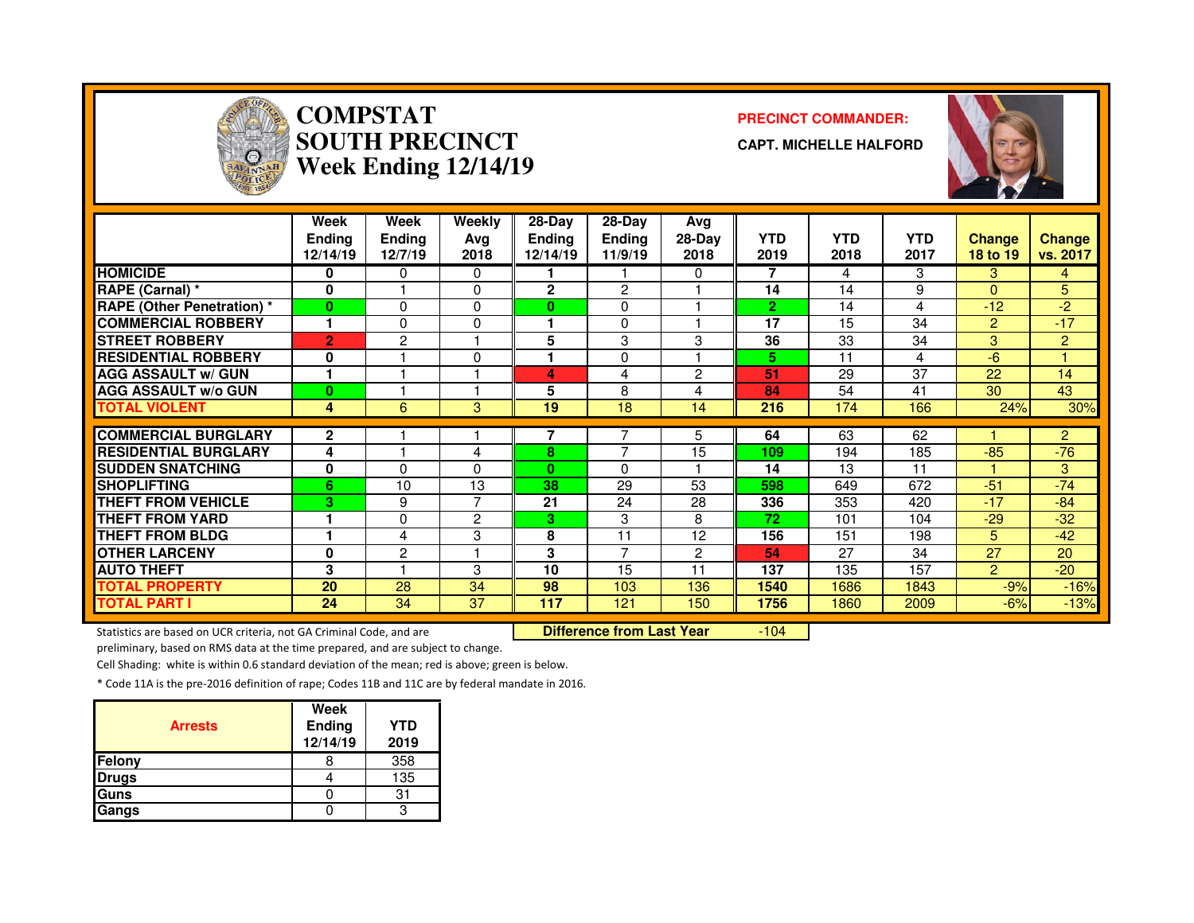

# **COMPSTAT PRECINCT COMMANDER: SOUTH PRECINCTWeek Ending 12/14/19**

**CAPT. MICHELLE HALFORD**



|                                   | Week<br><b>Ending</b><br>12/14/19 | Week<br><b>Endina</b><br>12/7/19 | Weekly<br>Avg<br>2018 | 28-Day<br><b>Ending</b><br>12/14/19 | $28-Dav$<br><b>Ending</b><br>11/9/19 | Avg<br>$28-Day$<br>2018 | <b>YTD</b><br>2019 | <b>YTD</b><br>2018 | <b>YTD</b><br>2017 | <b>Change</b><br>18 to 19 | <b>Change</b><br>vs. 2017 |
|-----------------------------------|-----------------------------------|----------------------------------|-----------------------|-------------------------------------|--------------------------------------|-------------------------|--------------------|--------------------|--------------------|---------------------------|---------------------------|
| <b>HOMICIDE</b>                   | 0                                 | 0                                | 0                     |                                     |                                      | 0                       | 7                  | 4                  | 3                  | 3                         | 4                         |
| <b>RAPE (Carnal)</b> *            | 0                                 |                                  | 0                     | $\overline{2}$                      | $\overline{2}$                       |                         | 14                 | 14                 | 9                  | $\Omega$                  | 5                         |
| <b>RAPE (Other Penetration) *</b> | $\bf{0}$                          | $\Omega$                         | 0                     | 0                                   | $\Omega$                             |                         | $\overline{2}$     | 14                 | 4                  | $-12$                     | $-2$                      |
| <b>COMMERCIAL ROBBERY</b>         | 1                                 | $\Omega$                         | 0                     |                                     | $\Omega$                             |                         | 17                 | 15                 | 34                 | $\overline{2}$            | $-17$                     |
| <b>STREET ROBBERY</b>             | $\overline{2}$                    | 2                                |                       | 5                                   | 3                                    | 3                       | 36                 | 33                 | 34                 | 3                         | 2                         |
| <b>RESIDENTIAL ROBBERY</b>        | 0                                 |                                  | 0                     |                                     | $\Omega$                             |                         | 5.                 | 11                 | 4                  | $-6$                      |                           |
| <b>AGG ASSAULT w/ GUN</b>         |                                   |                                  |                       | 4                                   | 4                                    | 2                       | 51                 | 29                 | 37                 | 22                        | 14                        |
| <b>AGG ASSAULT w/o GUN</b>        | $\bf{0}$                          |                                  |                       | 5                                   | 8                                    | 4                       | 84                 | 54                 | 41                 | 30                        | 43                        |
| <b>TOTAL VIOLENT</b>              | 4                                 | 6                                | 3                     | 19                                  | 18                                   | 14                      | 216                | 174                | 166                | 24%                       | 30%                       |
| <b>COMMERCIAL BURGLARY</b>        | $\mathbf{2}$                      |                                  |                       |                                     |                                      | 5.                      | 64                 | 63                 | 62                 |                           | $\overline{2}$            |
| <b>RESIDENTIAL BURGLARY</b>       | 4                                 |                                  | 4                     | 8                                   | 7                                    | 15                      | 109                | 194                | 185                | $-85$                     | $-76$                     |
| <b>SUDDEN SNATCHING</b>           | 0                                 | <sup>0</sup>                     | 0                     | O.                                  | $\Omega$                             |                         | 14                 | 13                 | 11                 |                           | 3                         |
| <b>SHOPLIFTING</b>                | 6                                 | 10                               | 13                    | 38                                  | 29                                   | 53                      | 598                | 649                | 672                | $-51$                     | $-74$                     |
| <b>THEFT FROM VEHICLE</b>         | 3                                 | 9                                | $\overline{7}$        | 21                                  | 24                                   | 28                      | 336                | 353                | 420                | $-17$                     | $-84$                     |
| <b>THEFT FROM YARD</b>            |                                   | $\Omega$                         | $\overline{c}$        | 3                                   | 3                                    | 8                       | 72                 | 101                | 104                | $-29$                     | $-32$                     |
| <b>THEFT FROM BLDG</b>            |                                   | 4                                | 3                     | 8                                   | 11                                   | 12                      | 156                | 151                | 198                | 5.                        | $-42$                     |
| <b>IOTHER LARCENY</b>             | $\bf{0}$                          | 2                                | н                     | 3                                   | $\overline{ }$                       | $\overline{2}$          | 54                 | 27                 | 34                 | 27                        | 20                        |
| <b>AUTO THEFT</b>                 | 3                                 |                                  | 3                     | 10                                  | 15                                   | 11                      | 137                | 135                | 157                | $\overline{2}$            | $-20$                     |
| <b>TOTAL PROPERTY</b>             | 20                                | 28                               | 34                    | 98                                  | 103                                  | 136                     | 1540               | 1686               | 1843               | $-9%$                     | $-16%$                    |
| <b>TOTAL PART I</b>               | 24                                | 34                               | 37                    | 117                                 | 121                                  | 150                     | 1756               | 1860               | 2009               | $-6%$                     | $-13%$                    |

Statistics are based on UCR criteria, not GA Criminal Code, and are **Difference from Last Year** 

-104

preliminary, based on RMS data at the time prepared, and are subject to change.

Cell Shading: white is within 0.6 standard deviation of the mean; red is above; green is below.

| <b>Arrests</b> | Week<br>Ending<br>12/14/19 | <b>YTD</b><br>2019 |
|----------------|----------------------------|--------------------|
| Felony         |                            | 358                |
| Drugs          |                            | 135                |
| Guns           |                            | 31                 |
| Gangs          |                            |                    |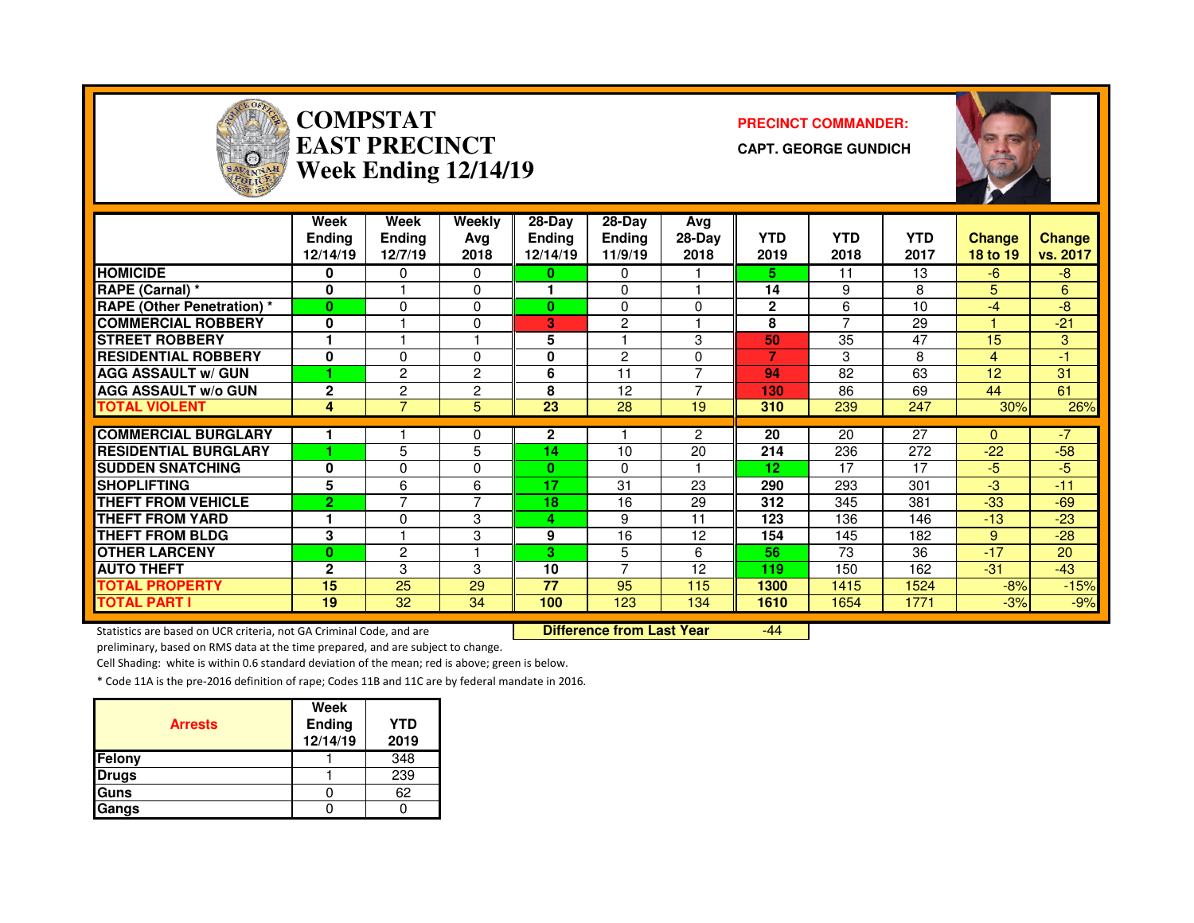

# **COMPSTAT PRECINCT COMMANDER: EAST PRECINCTWeek Ending 12/14/19**

**CAPT. GEORGE GUNDICH**



|                                   | <b>Week</b><br><b>Ending</b><br>12/14/19 | <b>Week</b><br><b>Endina</b><br>12/7/19 | <b>Weekly</b><br>Avg<br>2018 | 28-Day<br><b>Ending</b><br>12/14/19 | 28-Day<br><b>Ending</b><br>11/9/19 | Avg<br>28-Day<br>2018 | <b>YTD</b><br>2019 | <b>YTD</b><br>2018       | <b>YTD</b><br>2017 | <b>Change</b><br>18 to 19 | <b>Change</b><br>vs. 2017 |
|-----------------------------------|------------------------------------------|-----------------------------------------|------------------------------|-------------------------------------|------------------------------------|-----------------------|--------------------|--------------------------|--------------------|---------------------------|---------------------------|
| <b>HOMICIDE</b>                   | 0                                        | 0                                       | 0                            | 0                                   | $\Omega$                           |                       | 5.                 | 11                       | 13                 | $-6$                      | -8                        |
| RAPE (Carnal) *                   | $\bf{0}$                                 |                                         | 0                            |                                     | $\Omega$                           |                       | 14                 | 9                        | 8                  | 5.                        | 6                         |
| <b>RAPE (Other Penetration) *</b> | $\bf{0}$                                 | $\Omega$                                | 0                            | 0                                   | $\Omega$                           | 0                     | $\mathbf{2}$       | 6                        | 10                 | $-4$                      | -8                        |
| <b>COMMERCIAL ROBBERY</b>         | 0                                        |                                         | 0                            | З                                   | 2                                  |                       | 8                  | $\overline{\phantom{0}}$ | 29                 |                           | $-21$                     |
| <b>STREET ROBBERY</b>             |                                          |                                         |                              | 5                                   |                                    | 3                     | 50                 | 35                       | 47                 | 15                        | 3                         |
| <b>RESIDENTIAL ROBBERY</b>        | 0                                        | 0                                       | 0                            | 0                                   | 2                                  | 0                     |                    | 3                        | 8                  | 4                         | -1                        |
| <b>AGG ASSAULT w/ GUN</b>         |                                          | $\overline{2}$                          | 2                            | 6                                   | 11                                 | ⇁                     | 94                 | 82                       | 63                 | 12                        | 31                        |
| <b>AGG ASSAULT w/o GUN</b>        | $\overline{2}$                           | $\overline{c}$                          | 2                            | 8                                   | 12                                 |                       | 130                | 86                       | 69                 | 44                        | 61                        |
| <b>TOTAL VIOLENT</b>              | 4                                        | $\overline{7}$                          | 5                            | 23                                  | 28                                 | 19                    | 310                | 239                      | 247                | 30%                       | 26%                       |
|                                   |                                          |                                         |                              |                                     |                                    |                       |                    |                          |                    |                           |                           |
| <b>COMMERCIAL BURGLARY</b>        |                                          |                                         | 0                            | 2                                   |                                    | $\overline{2}$        | 20                 | 20                       | 27                 | $\Omega$                  | $-7$                      |
| <b>RESIDENTIAL BURGLARY</b>       |                                          | 5                                       | 5                            | 14                                  | 10                                 | 20                    | 214                | 236                      | 272                | $-22$                     | $-58$                     |
| <b>ISUDDEN SNATCHING</b>          | 0                                        | $\Omega$                                | 0                            | $\bf{0}$                            | $\Omega$                           |                       | 12                 | 17                       | 17                 | $-5$                      | -5                        |
| <b>SHOPLIFTING</b>                | 5                                        | 6                                       | 6                            | 17                                  | 31                                 | 23                    | 290                | 293                      | 301                | $-3$                      | $-11$                     |
| <b>THEFT FROM VEHICLE</b>         | $\overline{2}$                           | ⇁                                       | 7                            | 18                                  | 16                                 | 29                    | 312                | 345                      | 381                | $-33$                     | $-69$                     |
| <b>THEFT FROM YARD</b>            |                                          | $\Omega$                                | 3                            | 4                                   | 9                                  | 11                    | 123                | 136                      | 146                | $-13$                     | $-23$                     |
| <b>THEFT FROM BLDG</b>            | 3                                        |                                         | 3                            | 9                                   | 16                                 | 12                    | 154                | 145                      | 182                | 9                         | $-28$                     |
| <b>OTHER LARCENY</b>              | $\bf{0}$                                 | $\overline{2}$                          |                              | 3                                   | 5                                  | 6                     | 56                 | 73                       | 36                 | $-17$                     | 20                        |
| <b>AUTO THEFT</b>                 | $\mathbf{2}$                             | 3                                       | 3                            | 10                                  | $\overline{ }$                     | 12                    | 119                | 150                      | 162                | $-31$                     | $-43$                     |
| <b>TOTAL PROPERTY</b>             | 15                                       | 25                                      | 29                           | 77                                  | 95                                 | 115                   | 1300               | 1415                     | 1524               | $-8%$                     | $-15%$                    |
| <b>TOTAL PART I</b>               | 19                                       | 32                                      | 34                           | 100                                 | 123                                | 134                   | 1610               | 1654                     | 1771               | $-3%$                     | $-9%$                     |

Statistics are based on UCR criteria, not GA Criminal Code, and are **Difference from Last Year** 

-44

preliminary, based on RMS data at the time prepared, and are subject to change.

Cell Shading: white is within 0.6 standard deviation of the mean; red is above; green is below.

| <b>Arrests</b> | <b>Week</b><br>Ending<br>12/14/19 | <b>YTD</b><br>2019 |
|----------------|-----------------------------------|--------------------|
| Felony         |                                   | 348                |
| <b>Drugs</b>   |                                   | 239                |
| Guns           |                                   | 62                 |
| Gangs          |                                   |                    |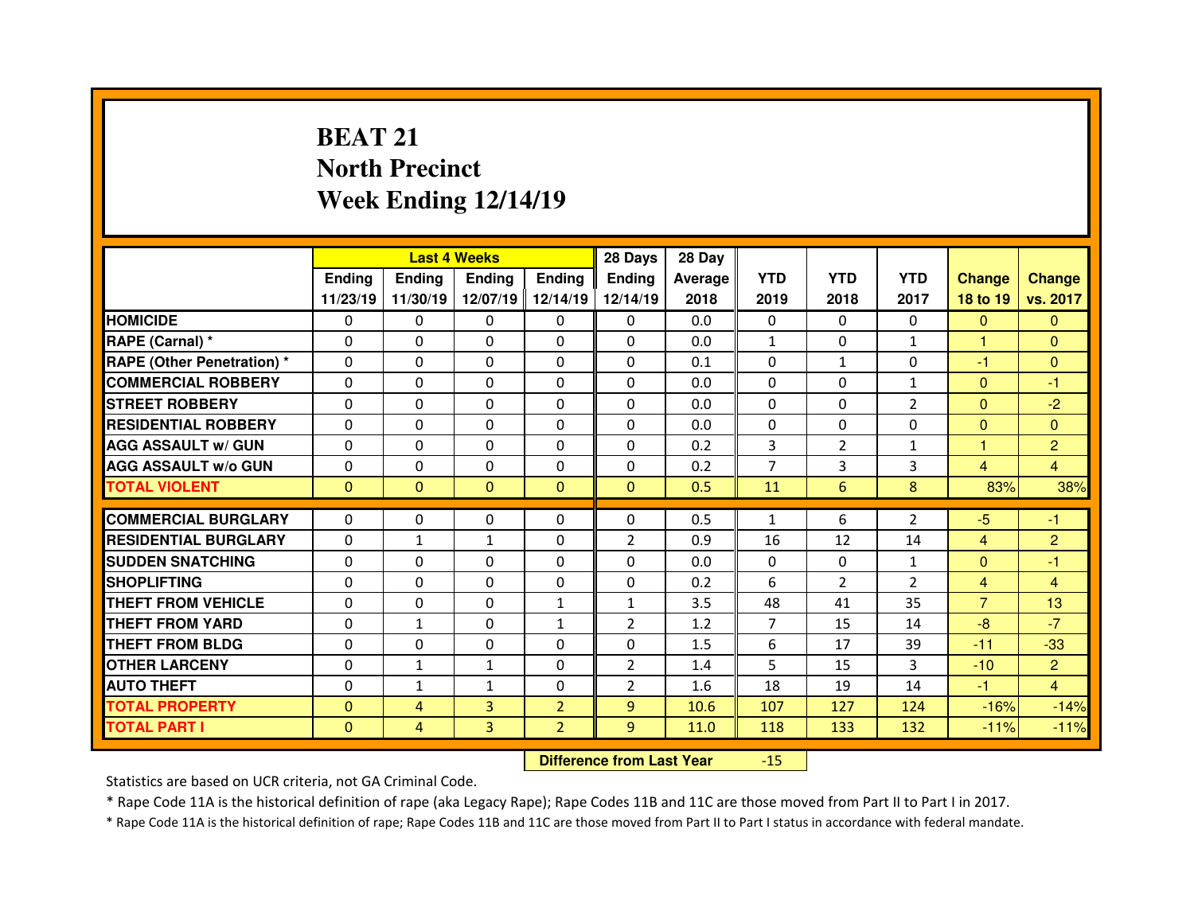# **BEAT 21 North PrecinctWeek Ending 12/14/19**

|                                  |               |                | <b>Last 4 Weeks</b> |                   | 28 Days        | 28 Day  |                |               |                |                |                |
|----------------------------------|---------------|----------------|---------------------|-------------------|----------------|---------|----------------|---------------|----------------|----------------|----------------|
|                                  | <b>Ending</b> | <b>Endina</b>  | <b>Endina</b>       | <b>Ending</b>     | Ending         | Average | <b>YTD</b>     | <b>YTD</b>    | <b>YTD</b>     | <b>Change</b>  | <b>Change</b>  |
|                                  | 11/23/19      | 11/30/19       |                     | 12/07/19 12/14/19 | 12/14/19       | 2018    | 2019           | 2018          | 2017           | 18 to 19       | vs. 2017       |
| <b>HOMICIDE</b>                  | $\Omega$      | 0              | 0                   | $\mathbf{0}$      | 0              | 0.0     | $\Omega$       | $\Omega$      | $\Omega$       | $\mathbf{0}$   | $\Omega$       |
| RAPE (Carnal) *                  | 0             | 0              | 0                   | $\Omega$          | 0              | 0.0     | $\mathbf{1}$   | $\Omega$      | $\mathbf{1}$   | 1              | $\Omega$       |
| <b>RAPE (Other Penetration)*</b> | 0             | $\Omega$       | $\Omega$            | $\Omega$          | $\Omega$       | 0.1     | $\Omega$       | $\mathbf{1}$  | $\Omega$       | -1             | $\Omega$       |
| <b>COMMERCIAL ROBBERY</b>        | $\Omega$      | 0              | $\mathbf{0}$        | $\Omega$          | 0              | 0.0     | 0              | $\Omega$      | $\mathbf{1}$   | $\mathbf{0}$   | -1             |
| <b>STREET ROBBERY</b>            | 0             | $\Omega$       | $\Omega$            | $\Omega$          | $\Omega$       | 0.0     | $\Omega$       | $\Omega$      | $\overline{2}$ | $\mathbf{0}$   | $-2$           |
| <b>RESIDENTIAL ROBBERY</b>       | 0             | $\Omega$       | $\mathbf{0}$        | $\Omega$          | $\Omega$       | 0.0     | $\Omega$       | $\Omega$      | $\Omega$       | $\Omega$       | $\Omega$       |
| <b>AGG ASSAULT w/ GUN</b>        | 0             | $\Omega$       | $\Omega$            | $\Omega$          | $\Omega$       | 0.2     | 3              | $\mathcal{P}$ | $\mathbf{1}$   | 1              | $\overline{2}$ |
| <b>AGG ASSAULT w/o GUN</b>       | $\Omega$      | 0              | $\mathbf{0}$        | $\mathbf{0}$      | 0              | 0.2     | $\overline{7}$ | 3             | 3              | $\overline{4}$ | 4              |
| <b>TOTAL VIOLENT</b>             | $\mathbf{0}$  | $\mathbf{0}$   | $\mathbf{0}$        | $\mathbf{0}$      | $\Omega$       | 0.5     | 11             | 6             | 8              | 83%            | 38%            |
|                                  |               |                |                     |                   |                |         |                |               |                |                |                |
| <b>COMMERCIAL BURGLARY</b>       | 0             | 0              | 0                   | 0                 | $\Omega$       | 0.5     | $\mathbf{1}$   | 6             | $\overline{2}$ | $-5$           | -1             |
| <b>RESIDENTIAL BURGLARY</b>      | 0             | $\mathbf{1}$   | 1                   | $\Omega$          | $\overline{2}$ | 0.9     | 16             | 12            | 14             | $\overline{4}$ | $\overline{2}$ |
| <b>SUDDEN SNATCHING</b>          | 0             | $\Omega$       | $\Omega$            | $\Omega$          | 0              | 0.0     | 0              | $\mathbf{0}$  | $\mathbf{1}$   | $\overline{0}$ | -1             |
| <b>SHOPLIFTING</b>               | $\Omega$      | 0              | $\Omega$            | $\Omega$          | $\Omega$       | 0.2     | 6              | $\mathcal{P}$ | $\overline{2}$ | $\overline{4}$ | 4              |
| <b>THEFT FROM VEHICLE</b>        | 0             | 0              | 0                   | $\mathbf{1}$      | $\mathbf{1}$   | 3.5     | 48             | 41            | 35             | $\overline{7}$ | 13             |
| <b>THEFT FROM YARD</b>           | 0             | $\mathbf{1}$   | $\Omega$            | 1                 | $\overline{2}$ | 1.2     | $\overline{7}$ | 15            | 14             | $-8$           | $-7$           |
| <b>THEFT FROM BLDG</b>           | 0             | 0              | 0                   | $\Omega$          | 0              | 1.5     | 6              | 17            | 39             | $-11$          | $-33$          |
| <b>OTHER LARCENY</b>             | 0             | $\mathbf{1}$   | $\mathbf{1}$        | $\Omega$          | $\overline{2}$ | 1.4     | 5              | 15            | 3              | $-10$          | $\overline{2}$ |
| <b>AUTO THEFT</b>                | 0             | $\mathbf{1}$   | $\mathbf{1}$        | $\Omega$          | $\overline{2}$ | 1.6     | 18             | 19            | 14             | $-1$           | $\overline{4}$ |
| <b>TOTAL PROPERTY</b>            | $\mathbf{0}$  | $\overline{4}$ | 3                   | $\overline{2}$    | 9              | 10.6    | 107            | 127           | 124            | $-16%$         | $-14%$         |
| <b>TOTAL PART I</b>              | $\mathbf{0}$  | $\overline{4}$ | 3                   | $\mathcal{P}$     | $\overline{9}$ | 11.0    | 118            | 133           | 132            | $-11%$         | $-11%$         |
|                                  |               |                |                     |                   |                |         |                |               |                |                |                |

 **Difference from Last Year**-15

Statistics are based on UCR criteria, not GA Criminal Code.

\* Rape Code 11A is the historical definition of rape (aka Legacy Rape); Rape Codes 11B and 11C are those moved from Part II to Part I in 2017.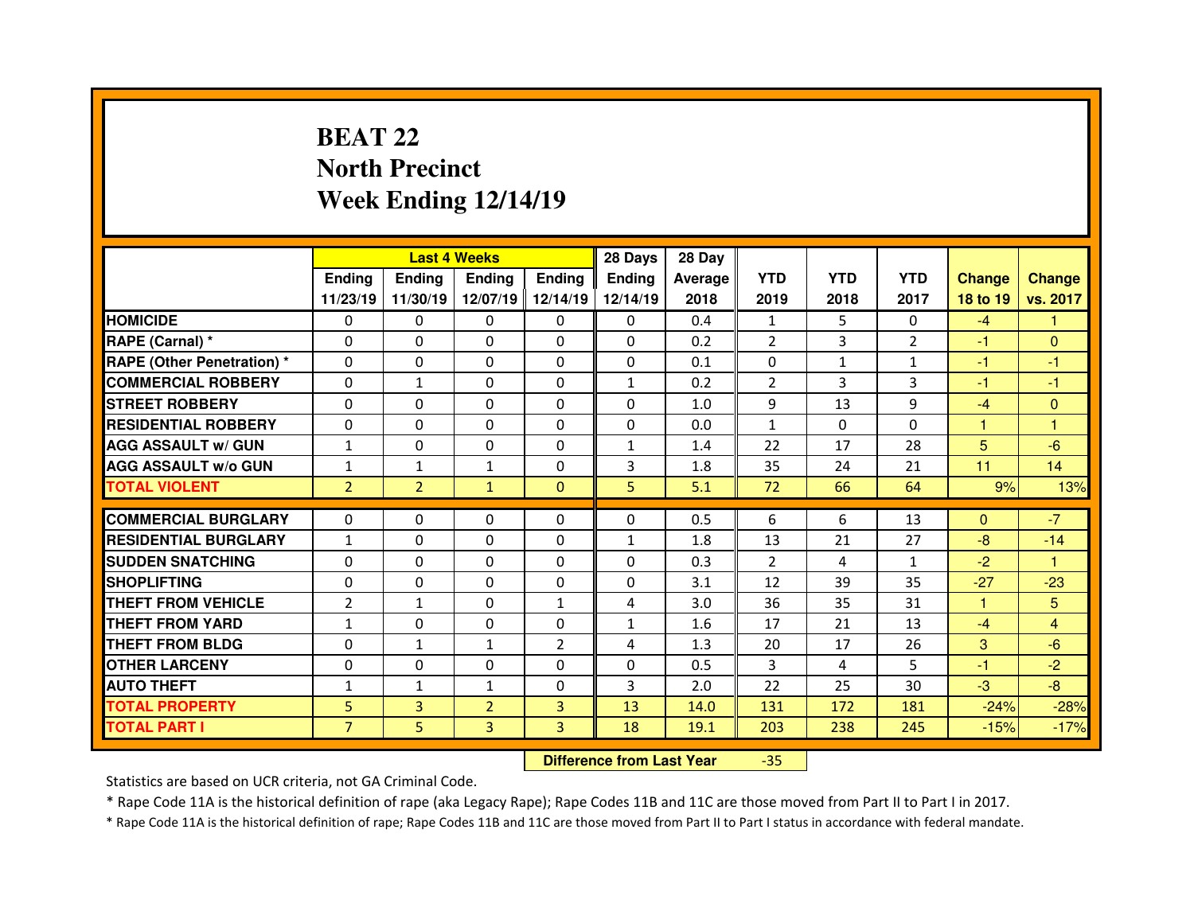### **BEAT 22 North PrecinctWeek Ending 12/14/19**

|                                  |                |                | <b>Last 4 Weeks</b> |                   | 28 Days      | 28 Day  |              |              |                |               |               |
|----------------------------------|----------------|----------------|---------------------|-------------------|--------------|---------|--------------|--------------|----------------|---------------|---------------|
|                                  | <b>Ending</b>  | <b>Endina</b>  | Ending              | <b>Ending</b>     | Ending       | Average | <b>YTD</b>   | <b>YTD</b>   | <b>YTD</b>     | <b>Change</b> | <b>Change</b> |
|                                  | 11/23/19       | 11/30/19       |                     | 12/07/19 12/14/19 | 12/14/19     | 2018    | 2019         | 2018         | 2017           | 18 to 19      | vs. 2017      |
| <b>HOMICIDE</b>                  | $\Omega$       | 0              | $\Omega$            | $\Omega$          | 0            | 0.4     | 1            | 5.           | $\Omega$       | $-4$          | 1             |
| RAPE (Carnal) *                  | $\Omega$       | $\Omega$       | $\mathbf{0}$        | $\Omega$          | 0            | 0.2     | 2            | 3            | $\overline{2}$ | -1            | $\Omega$      |
| <b>RAPE (Other Penetration)*</b> | $\Omega$       | $\Omega$       | $\Omega$            | $\Omega$          | $\Omega$     | 0.1     | $\Omega$     | $\mathbf{1}$ | $\mathbf{1}$   | -1            | -1            |
| <b>COMMERCIAL ROBBERY</b>        | $\Omega$       | $\mathbf{1}$   | $\mathbf{0}$        | $\Omega$          | $\mathbf{1}$ | 0.2     | 2            | 3            | 3              | -1            | $-1$          |
| <b>STREET ROBBERY</b>            | $\Omega$       | $\Omega$       | $\Omega$            | $\Omega$          | $\Omega$     | 1.0     | 9            | 13           | 9              | $-4$          | $\Omega$      |
| <b>RESIDENTIAL ROBBERY</b>       | $\Omega$       | $\Omega$       | $\mathbf{0}$        | $\Omega$          | 0            | 0.0     | $\mathbf{1}$ | $\Omega$     | $\Omega$       | $\mathbf{1}$  | 1             |
| <b>AGG ASSAULT w/ GUN</b>        | $\mathbf{1}$   | $\Omega$       | $\Omega$            | $\Omega$          | $\mathbf{1}$ | 1.4     | 22           | 17           | 28             | 5             | $-6$          |
| <b>AGG ASSAULT w/o GUN</b>       | $\mathbf{1}$   | $\mathbf{1}$   | $\mathbf{1}$        | $\Omega$          | 3            | 1.8     | 35           | 24           | 21             | 11            | 14            |
| <b>TOTAL VIOLENT</b>             | $\overline{2}$ | $\overline{2}$ | $\mathbf{1}$        | $\Omega$          | 5            | 5.1     | 72           | 66           | 64             | 9%            | 13%           |
|                                  |                |                |                     |                   |              | 0.5     |              |              | 13             | $\mathbf{0}$  | $-7$          |
| <b>COMMERCIAL BURGLARY</b>       | 0              | 0              | 0                   | $\Omega$          | 0            |         | 6            | 6            |                |               |               |
|                                  |                |                |                     |                   |              |         |              |              |                |               |               |
| <b>RESIDENTIAL BURGLARY</b>      | $\mathbf{1}$   | $\Omega$       | 0                   | $\Omega$          | $\mathbf{1}$ | 1.8     | 13           | 21           | 27             | $-8$          | $-14$         |
| <b>SUDDEN SNATCHING</b>          | 0              | 0              | 0                   | $\Omega$          | 0            | 0.3     | 2            | 4            | $\mathbf{1}$   | $-2$          | $\mathbf{1}$  |
| <b>SHOPLIFTING</b>               | 0              | $\Omega$       | $\Omega$            | $\Omega$          | 0            | 3.1     | 12           | 39           | 35             | $-27$         | $-23$         |
| <b>THEFT FROM VEHICLE</b>        | $\overline{2}$ | $\mathbf{1}$   | 0                   | $\mathbf{1}$      | 4            | 3.0     | 36           | 35           | 31             | 1             | 5             |
| <b>THEFT FROM YARD</b>           | $\mathbf{1}$   | $\Omega$       | $\Omega$            | $\Omega$          | $\mathbf{1}$ | 1.6     | 17           | 21           | 13             | $-4$          | 4             |
| <b>THEFT FROM BLDG</b>           | 0              | $\mathbf{1}$   | $\mathbf{1}$        | $\overline{2}$    | 4            | 1.3     | 20           | 17           | 26             | 3             | $-6$          |
| <b>OTHER LARCENY</b>             | $\Omega$       | $\Omega$       | $\Omega$            | $\Omega$          | $\Omega$     | 0.5     | 3            | 4            | 5              | -1            | $-2$          |
| <b>AUTO THEFT</b>                | $\mathbf{1}$   | $\mathbf{1}$   | $\mathbf{1}$        | $\Omega$          | 3            | 2.0     | 22           | 25           | 30             | $-3$          | $-8$          |
| <b>TOTAL PROPERTY</b>            | 5              | 3              | $\overline{2}$      | $\overline{3}$    | 13           | 14.0    | 131          | 172          | 181            | $-24%$        | $-28%$        |
| <b>TOTAL PART I</b>              | $\overline{7}$ | 5              | 3                   | 3                 | 18           | 19.1    | 203          | 238          | 245            | $-15%$        | $-17%$        |

 **Difference from Last Year**-35

Statistics are based on UCR criteria, not GA Criminal Code.

\* Rape Code 11A is the historical definition of rape (aka Legacy Rape); Rape Codes 11B and 11C are those moved from Part II to Part I in 2017.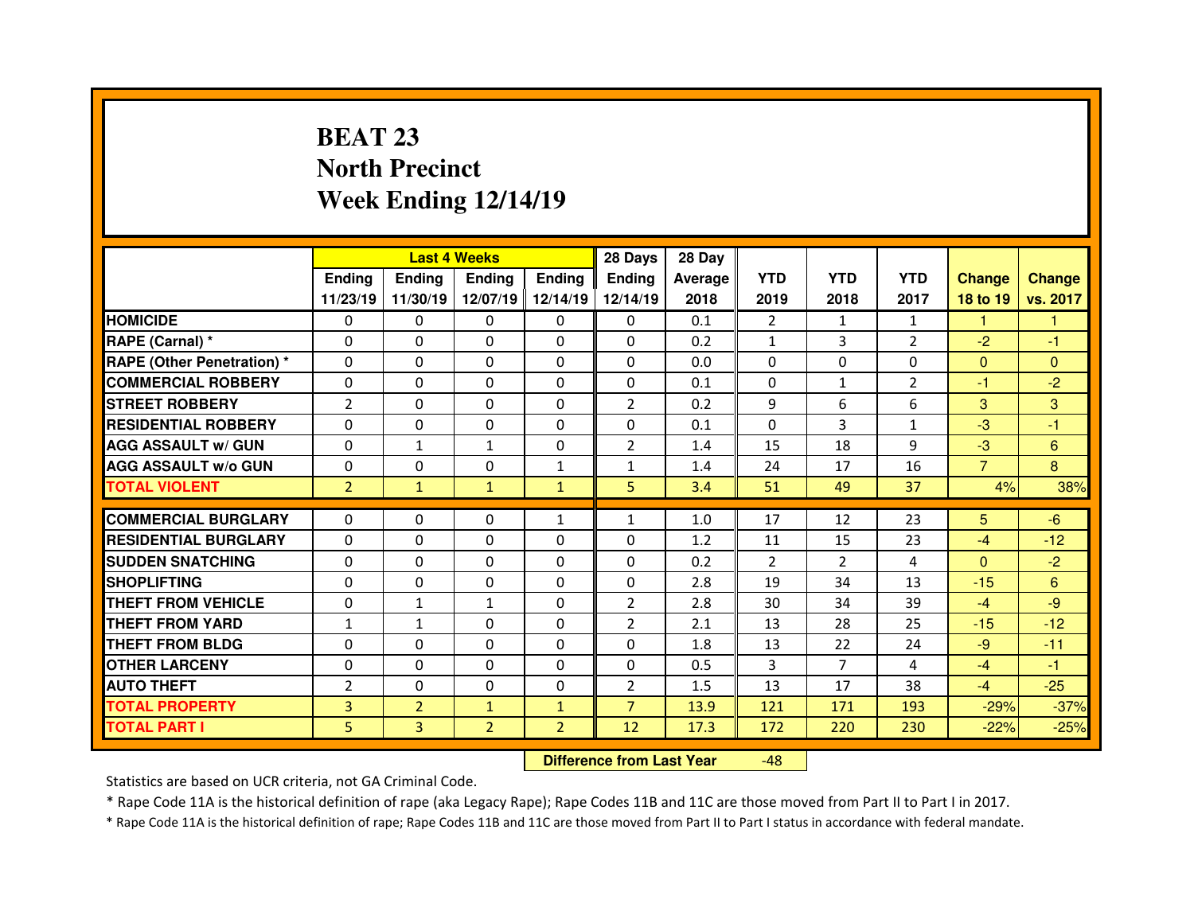# **BEAT 23 North PrecinctWeek Ending 12/14/19**

|                                  |                |                | <b>Last 4 Weeks</b> |                   | 28 Days        | 28 Day  |                |                |                |                |               |
|----------------------------------|----------------|----------------|---------------------|-------------------|----------------|---------|----------------|----------------|----------------|----------------|---------------|
|                                  | <b>Ending</b>  | <b>Ending</b>  | Ending              | <b>Ending</b>     | Ending         | Average | <b>YTD</b>     | <b>YTD</b>     | <b>YTD</b>     | <b>Change</b>  | <b>Change</b> |
|                                  | 11/23/19       | 11/30/19       |                     | 12/07/19 12/14/19 | 12/14/19       | 2018    | 2019           | 2018           | 2017           | 18 to 19       | vs. 2017      |
| <b>HOMICIDE</b>                  | $\Omega$       | $\Omega$       | 0                   | $\Omega$          | 0              | 0.1     | $\overline{2}$ | 1              | $\mathbf{1}$   | 1              | 1             |
| RAPE (Carnal) *                  | $\Omega$       | 0              | $\mathbf{0}$        | $\Omega$          | 0              | 0.2     | $\mathbf{1}$   | 3              | $\overline{2}$ | $-2$           | $-1$          |
| <b>RAPE (Other Penetration)*</b> | $\Omega$       | 0              | $\Omega$            | $\Omega$          | 0              | 0.0     | $\Omega$       | $\Omega$       | $\Omega$       | $\mathbf{0}$   | $\Omega$      |
| <b>COMMERCIAL ROBBERY</b>        | $\Omega$       | $\Omega$       | $\Omega$            | $\Omega$          | $\Omega$       | 0.1     | $\Omega$       | $\mathbf{1}$   | $\overline{2}$ | -1             | $-2$          |
| <b>STREET ROBBERY</b>            | $\overline{2}$ | $\Omega$       | $\Omega$            | $\Omega$          | $\overline{2}$ | 0.2     | 9              | 6              | 6              | 3              | 3             |
| <b>RESIDENTIAL ROBBERY</b>       | $\Omega$       | $\Omega$       | $\mathbf{0}$        | $\Omega$          | $\Omega$       | 0.1     | $\Omega$       | 3              | $\mathbf{1}$   | $-3$           | $-1$          |
| <b>AGG ASSAULT w/ GUN</b>        | $\Omega$       | $\mathbf{1}$   | $\mathbf{1}$        | $\Omega$          | $\overline{2}$ | 1.4     | 15             | 18             | 9              | $-3$           | 6             |
| <b>AGG ASSAULT w/o GUN</b>       | $\Omega$       | $\Omega$       | $\mathbf{0}$        | $\mathbf{1}$      | $\mathbf{1}$   | 1.4     | 24             | 17             | 16             | $\overline{7}$ | 8             |
| <b>TOTAL VIOLENT</b>             | $\overline{2}$ | $\mathbf{1}$   | $\mathbf{1}$        | $\mathbf{1}$      | 5              | 3.4     | 51             | 49             | 37             | 4%             | 38%           |
| <b>COMMERCIAL BURGLARY</b>       | 0              | $\Omega$       | 0                   | $\mathbf{1}$      | $\mathbf{1}$   | 1.0     | 17             | 12             | 23             | 5              | $-6$          |
|                                  |                |                |                     |                   |                |         |                |                |                |                |               |
| <b>RESIDENTIAL BURGLARY</b>      | 0              | 0              | $\Omega$            | $\Omega$          | 0              | 1.2     | 11             | 15             | 23             | $-4$           | $-12$         |
| <b>SUDDEN SNATCHING</b>          | 0              | 0              | $\Omega$            | $\Omega$          | 0              | 0.2     | $\mathcal{P}$  | $\mathcal{P}$  | 4              | $\mathbf{0}$   | $-2$          |
| <b>SHOPLIFTING</b>               | 0              | $\Omega$       | $\Omega$            | $\Omega$          | 0              | 2.8     | 19             | 34             | 13             | $-15$          | 6             |
| <b>THEFT FROM VEHICLE</b>        | $\mathbf{0}$   | $\mathbf{1}$   | $\mathbf{1}$        | $\Omega$          | $\overline{2}$ | 2.8     | 30             | 34             | 39             | $-4$           | $-9$          |
| <b>THEFT FROM YARD</b>           | $\mathbf{1}$   | $\mathbf{1}$   | $\Omega$            | $\Omega$          | $\overline{2}$ | 2.1     | 13             | 28             | 25             | $-15$          | $-12$         |
| <b>THEFT FROM BLDG</b>           | $\mathbf{0}$   | 0              | 0                   | $\Omega$          | 0              | 1.8     | 13             | 22             | 24             | $-9$           | $-11$         |
| <b>OTHER LARCENY</b>             | $\Omega$       | $\Omega$       | $\Omega$            | $\Omega$          | $\Omega$       | 0.5     | 3              | $\overline{7}$ | 4              | $-4$           | $-1$          |
| <b>AUTO THEFT</b>                | $\overline{2}$ | 0              | 0                   | 0                 | $\overline{2}$ | 1.5     | 13             | 17             | 38             | $-4$           | $-25$         |
| <b>TOTAL PROPERTY</b>            | $\overline{3}$ | $\overline{2}$ | $\mathbf{1}$        | $\mathbf{1}$      | $\overline{7}$ | 13.9    | 121            | 171            | 193            | $-29%$         | $-37%$        |
| <b>TOTAL PART I</b>              | 5              | 3              | $\overline{2}$      | $\overline{2}$    | 12             | 17.3    | 172            | 220            | 230            | $-22%$         | $-25%$        |

 **Difference from Last Year**-48

Statistics are based on UCR criteria, not GA Criminal Code.

\* Rape Code 11A is the historical definition of rape (aka Legacy Rape); Rape Codes 11B and 11C are those moved from Part II to Part I in 2017.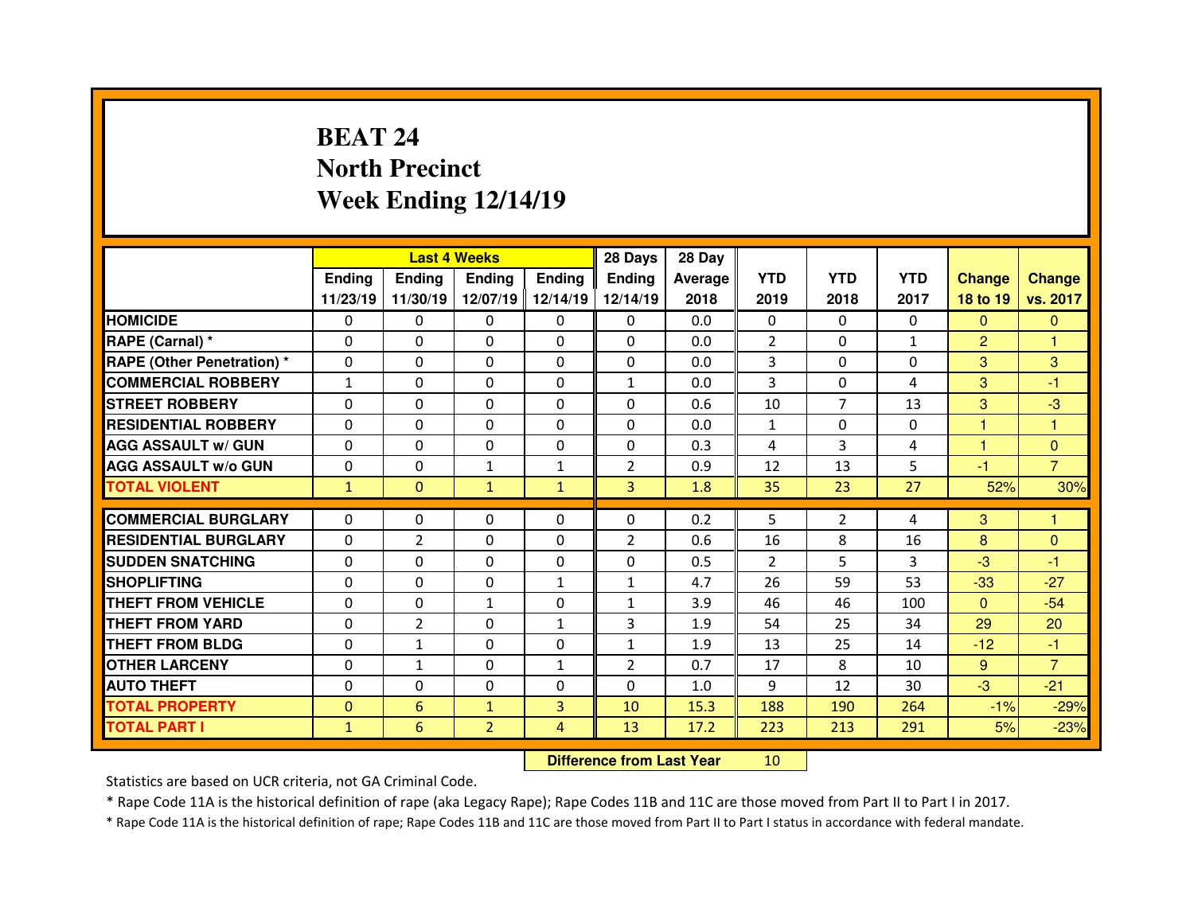# **BEAT 24 North PrecinctWeek Ending 12/14/19**

|                                  |              | <b>Last 4 Weeks</b> |                |               | 28 Days        | 28 Day  |                |                |              |                |                |
|----------------------------------|--------------|---------------------|----------------|---------------|----------------|---------|----------------|----------------|--------------|----------------|----------------|
|                                  | Ending       | <b>Endina</b>       | <b>Ending</b>  | <b>Ending</b> | <b>Ending</b>  | Average | <b>YTD</b>     | <b>YTD</b>     | <b>YTD</b>   | <b>Change</b>  | <b>Change</b>  |
|                                  | 11/23/19     | 11/30/19            | 12/07/19       | 12/14/19      | 12/14/19       | 2018    | 2019           | 2018           | 2017         | 18 to 19       | vs. 2017       |
| <b>HOMICIDE</b>                  | 0            | $\Omega$            | $\Omega$       | $\Omega$      | 0              | 0.0     | $\Omega$       | $\Omega$       | $\Omega$     | $\Omega$       | $\Omega$       |
| RAPE (Carnal) *                  | $\Omega$     | 0                   | 0              | $\Omega$      | $\Omega$       | 0.0     | $\overline{2}$ | $\Omega$       | $\mathbf{1}$ | $\overline{2}$ | 1              |
| <b>RAPE (Other Penetration)*</b> | $\Omega$     | 0                   | 0              | $\Omega$      | $\Omega$       | 0.0     | 3              | $\Omega$       | $\Omega$     | 3              | 3              |
| <b>COMMERCIAL ROBBERY</b>        | $\mathbf{1}$ | 0                   | $\Omega$       | $\Omega$      | $\mathbf{1}$   | 0.0     | 3              | $\Omega$       | 4            | 3              | -1             |
| <b>STREET ROBBERY</b>            | $\Omega$     | 0                   | $\Omega$       | $\Omega$      | $\Omega$       | 0.6     | 10             | $\overline{7}$ | 13           | 3              | $-3$           |
| <b>RESIDENTIAL ROBBERY</b>       | $\Omega$     | 0                   | 0              | $\Omega$      | $\Omega$       | 0.0     | $\mathbf{1}$   | $\Omega$       | $\Omega$     | 1              | 1              |
| <b>AGG ASSAULT w/ GUN</b>        | $\Omega$     | 0                   | 0              | $\Omega$      | $\Omega$       | 0.3     | 4              | 3              | 4            | 1              | $\mathbf{0}$   |
| <b>AGG ASSAULT W/o GUN</b>       | 0            | 0                   | $\mathbf{1}$   | $\mathbf{1}$  | $\overline{2}$ | 0.9     | 12             | 13             | 5            | $-1$           | $\overline{7}$ |
| <b>TOTAL VIOLENT</b>             | $\mathbf{1}$ | $\mathbf{0}$        | $\mathbf{1}$   | $\mathbf{1}$  | 3 <sup>1</sup> | 1.8     | 35             | 23             | 27           | 52%            | 30%            |
| <b>COMMERCIAL BURGLARY</b>       | $\Omega$     | 0                   | 0              | 0             | 0              | 0.2     | 5              | $\overline{2}$ |              | 3              |                |
|                                  | $\Omega$     |                     |                |               |                |         |                |                | 4            |                |                |
| <b>RESIDENTIAL BURGLARY</b>      |              | $\overline{2}$      | 0              | 0             | $\overline{2}$ | 0.6     | 16             | 8              | 16           | 8              | $\Omega$       |
| <b>SUDDEN SNATCHING</b>          | $\Omega$     | 0                   | $\Omega$       | $\mathbf{0}$  | $\Omega$       | 0.5     | $\overline{2}$ | 5              | 3            | $-3$           | -1             |
|                                  |              |                     |                |               |                |         |                |                |              |                |                |
| <b>SHOPLIFTING</b>               | 0            | 0                   | $\Omega$       | $\mathbf{1}$  | $\mathbf{1}$   | 4.7     | 26             | 59             | 53           | $-33$          | $-27$          |
| THEFT FROM VEHICLE               | 0            | 0                   | $\mathbf{1}$   | $\mathbf{0}$  | $\mathbf{1}$   | 3.9     | 46             | 46             | 100          | $\mathbf{0}$   | $-54$          |
| <b>THEFT FROM YARD</b>           | 0            | $\overline{2}$      | $\Omega$       | $\mathbf{1}$  | 3              | 1.9     | 54             | 25             | 34           | 29             | 20             |
| <b>THEFT FROM BLDG</b>           | 0            | $\mathbf{1}$        | 0              | $\mathbf{0}$  | $\mathbf{1}$   | 1.9     | 13             | 25             | 14           | $-12$          | -1             |
| <b>OTHER LARCENY</b>             | $\Omega$     | $\mathbf{1}$        | $\Omega$       | $\mathbf{1}$  | $\overline{2}$ | 0.7     | 17             | 8              | 10           | 9              | $\overline{7}$ |
| <b>AUTO THEFT</b>                | $\Omega$     | 0                   | 0              | $\mathbf{0}$  | $\Omega$       | 1.0     | 9              | 12             | 30           | $-3$           | $-21$          |
| <b>TOTAL PROPERTY</b>            | $\Omega$     | 6                   | $\mathbf{1}$   | 3             | 10             | 15.3    | 188            | 190            | 264          | $-1%$          | $-29%$         |
| <b>TOTAL PART I</b>              | $\mathbf{1}$ | 6                   | $\overline{2}$ | 4             | 13             | 17.2    | 223            | 213            | 291          | 5%             | $-23%$         |

 **Difference from Last Year**<sup>10</sup>

Statistics are based on UCR criteria, not GA Criminal Code.

\* Rape Code 11A is the historical definition of rape (aka Legacy Rape); Rape Codes 11B and 11C are those moved from Part II to Part I in 2017.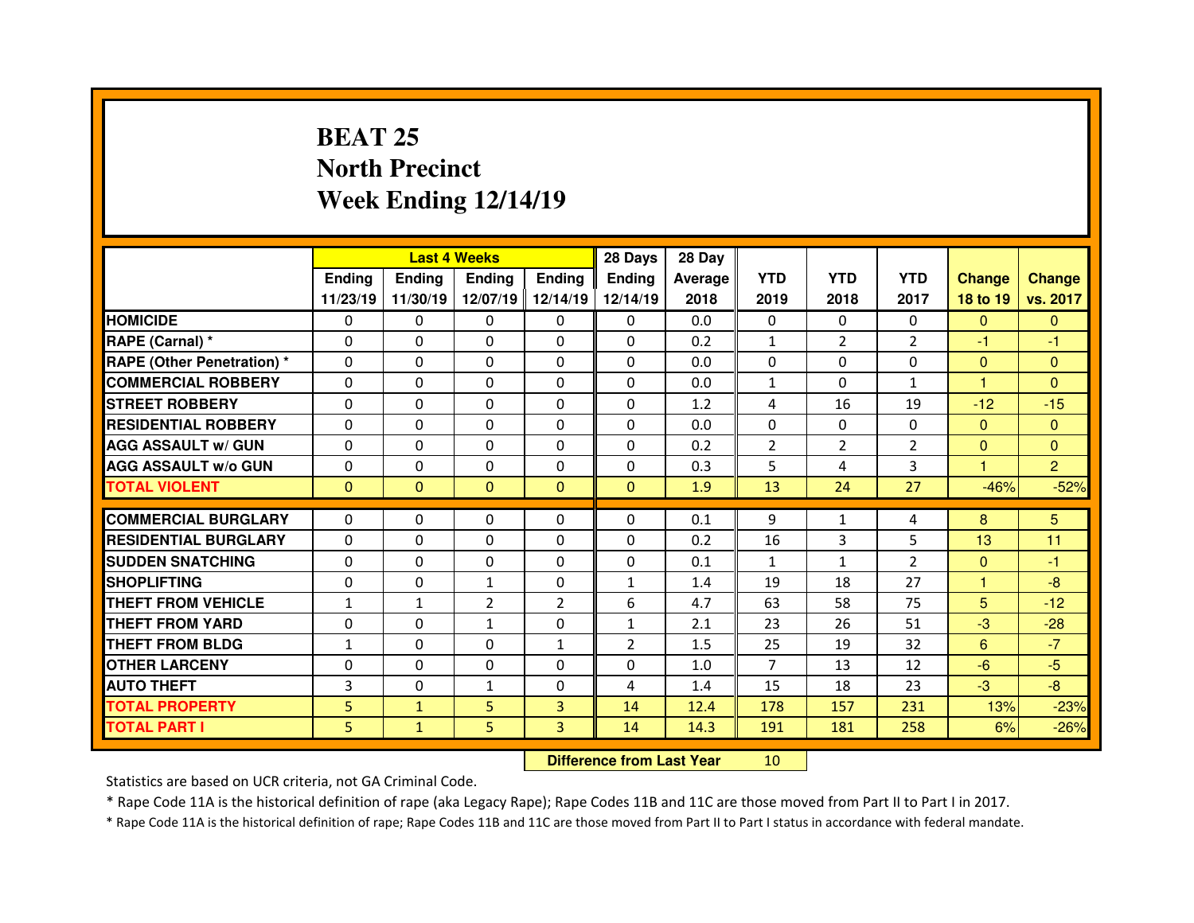# **BEAT 25 North PrecinctWeek Ending 12/14/19**

|                                  |               |               | <b>Last 4 Weeks</b> |               | 28 Days        | 28 Day  |                |                |                |               |                |
|----------------------------------|---------------|---------------|---------------------|---------------|----------------|---------|----------------|----------------|----------------|---------------|----------------|
|                                  | <b>Ending</b> | <b>Endina</b> | <b>Ending</b>       | <b>Ending</b> | <b>Ending</b>  | Average | <b>YTD</b>     | <b>YTD</b>     | <b>YTD</b>     | <b>Change</b> | <b>Change</b>  |
|                                  | 11/23/19      | 11/30/19      | 12/07/19            | 12/14/19      | 12/14/19       | 2018    | 2019           | 2018           | 2017           | 18 to 19      | vs. 2017       |
| <b>HOMICIDE</b>                  | 0             | $\Omega$      | $\Omega$            | $\Omega$      | 0              | 0.0     | $\Omega$       | $\Omega$       | $\Omega$       | $\Omega$      | $\Omega$       |
| RAPE (Carnal) *                  | $\Omega$      | 0             | 0                   | $\Omega$      | $\Omega$       | 0.2     | $\mathbf{1}$   | $\overline{2}$ | $\overline{2}$ | -1            | -1             |
| <b>RAPE (Other Penetration)*</b> | $\Omega$      | 0             | 0                   | $\Omega$      | $\Omega$       | 0.0     | $\Omega$       | $\Omega$       | $\Omega$       | $\mathbf{0}$  | $\Omega$       |
| <b>COMMERCIAL ROBBERY</b>        | $\Omega$      | 0             | $\Omega$            | $\Omega$      | $\Omega$       | 0.0     | $\mathbf{1}$   | $\Omega$       | $\mathbf{1}$   | 1             | $\Omega$       |
| <b>STREET ROBBERY</b>            | $\Omega$      | 0             | $\Omega$            | $\Omega$      | $\Omega$       | 1.2     | 4              | 16             | 19             | $-12$         | $-15$          |
| <b>RESIDENTIAL ROBBERY</b>       | $\Omega$      | 0             | 0                   | $\Omega$      | $\Omega$       | 0.0     | $\Omega$       | $\Omega$       | $\Omega$       | $\Omega$      | $\Omega$       |
| <b>AGG ASSAULT w/ GUN</b>        | $\Omega$      | 0             | $\Omega$            | $\Omega$      | $\Omega$       | 0.2     | 2              | $\overline{2}$ | $\overline{2}$ | $\mathbf{0}$  | $\Omega$       |
| <b>AGG ASSAULT W/o GUN</b>       | $\Omega$      | 0             | $\Omega$            | $\mathbf{0}$  | $\Omega$       | 0.3     | 5              | 4              | 3              | 1             | $\overline{2}$ |
| <b>TOTAL VIOLENT</b>             | $\mathbf{0}$  | $\mathbf{0}$  | $\mathbf{0}$        | $\mathbf{0}$  | $\mathbf{0}$   | 1.9     | 13             | 24             | 27             | $-46%$        | $-52%$         |
| <b>COMMERCIAL BURGLARY</b>       | $\Omega$      | 0             | 0                   | 0             | 0              |         | 9              |                |                |               | 5              |
|                                  |               |               |                     |               |                |         |                |                |                |               |                |
|                                  |               |               |                     |               |                | 0.1     |                | $\mathbf{1}$   | 4              | 8             |                |
| <b>RESIDENTIAL BURGLARY</b>      | $\Omega$      | 0             | 0                   | 0             | $\Omega$       | 0.2     | 16             | 3              | 5              | 13            | 11             |
| <b>SUDDEN SNATCHING</b>          | $\Omega$      | 0             | $\Omega$            | $\mathbf{0}$  | $\Omega$       | 0.1     | $\mathbf{1}$   | $\mathbf{1}$   | $\overline{2}$ | $\Omega$      | $-1$           |
| <b>SHOPLIFTING</b>               | 0             | 0             | $\mathbf{1}$        | $\mathbf{0}$  | $\mathbf{1}$   | 1.4     | 19             | 18             | 27             | 1             | $-8$           |
| THEFT FROM VEHICLE               | $\mathbf{1}$  | $\mathbf{1}$  | $\overline{2}$      | 2             | 6              | 4.7     | 63             | 58             | 75             | 5             | $-12$          |
| <b>THEFT FROM YARD</b>           | 0             | 0             | $\mathbf{1}$        | $\mathbf{0}$  | $\mathbf{1}$   | 2.1     | 23             | 26             | 51             | $-3$          | $-28$          |
| <b>THEFT FROM BLDG</b>           | $\mathbf{1}$  | 0             | 0                   | $\mathbf{1}$  | $\overline{2}$ | 1.5     | 25             | 19             | 32             | 6             | $-7$           |
| <b>OTHER LARCENY</b>             | $\Omega$      | 0             | $\Omega$            | $\Omega$      | $\Omega$       | 1.0     | $\overline{7}$ | 13             | 12             | $-6$          | $-5$           |
| <b>AUTO THEFT</b>                | 3             | 0             | $\mathbf{1}$        | 0             | 4              | 1.4     | 15             | 18             | 23             | $-3$          | $-8$           |
| <b>TOTAL PROPERTY</b>            | 5             | $\mathbf{1}$  | 5                   | 3             | 14             | 12.4    | 178            | 157            | 231            | 13%           | $-23%$         |
| <b>TOTAL PART I</b>              | 5.            | $\mathbf{1}$  | 5                   | 3             | 14             | 14.3    | 191            | 181            | 258            | 6%            | $-26%$         |

 **Difference from Last Year**<sup>10</sup>

Statistics are based on UCR criteria, not GA Criminal Code.

\* Rape Code 11A is the historical definition of rape (aka Legacy Rape); Rape Codes 11B and 11C are those moved from Part II to Part I in 2017.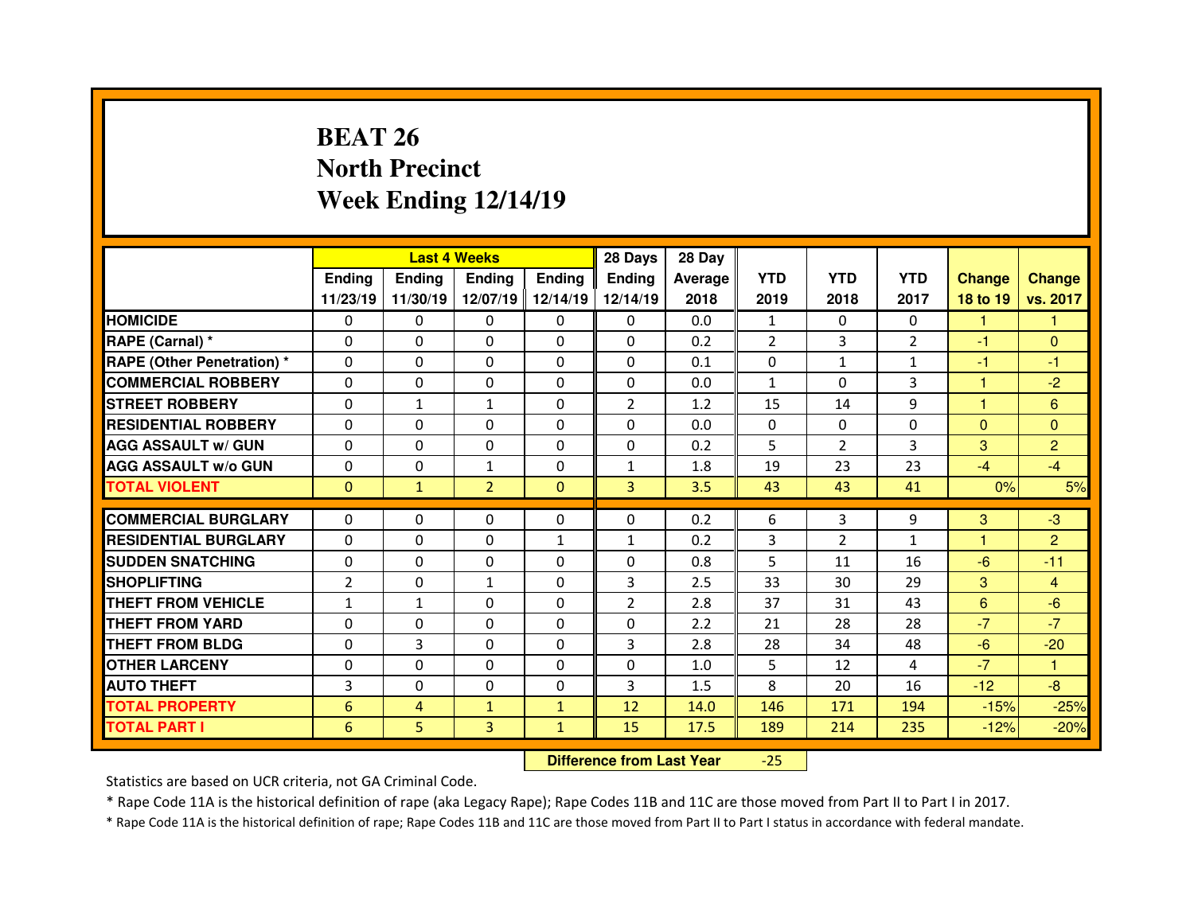# **BEAT 26 North PrecinctWeek Ending 12/14/19**

|                                  |                | <b>Last 4 Weeks</b> |                |                   | 28 Days        | 28 Day  |              |                |                |               |                |
|----------------------------------|----------------|---------------------|----------------|-------------------|----------------|---------|--------------|----------------|----------------|---------------|----------------|
|                                  | <b>Ending</b>  | <b>Ending</b>       | Ending         | <b>Ending</b>     | Ending         | Average | <b>YTD</b>   | <b>YTD</b>     | <b>YTD</b>     | <b>Change</b> | <b>Change</b>  |
|                                  | 11/23/19       | 11/30/19            |                | 12/07/19 12/14/19 | 12/14/19       | 2018    | 2019         | 2018           | 2017           | 18 to 19      | vs. 2017       |
| <b>HOMICIDE</b>                  | $\Omega$       | 0                   | $\Omega$       | $\Omega$          | 0              | 0.0     | 1            | $\Omega$       | $\Omega$       | 1             | 1              |
| RAPE (Carnal) *                  | 0              | $\Omega$            | $\mathbf{0}$   | $\Omega$          | 0              | 0.2     | 2            | 3              | $\overline{2}$ | $-1$          | $\Omega$       |
| <b>RAPE (Other Penetration)*</b> | 0              | $\Omega$            | $\Omega$       | $\Omega$          | 0              | 0.1     | 0            | $\mathbf{1}$   | $\mathbf{1}$   | -1            | -1             |
| <b>COMMERCIAL ROBBERY</b>        | $\Omega$       | 0                   | 0              | $\Omega$          | 0              | 0.0     | $\mathbf{1}$ | $\Omega$       | 3              | 1             | $-2$           |
| <b>STREET ROBBERY</b>            | 0              | $\mathbf{1}$        | $\mathbf{1}$   | $\Omega$          | $\overline{2}$ | 1.2     | 15           | 14             | 9              | 1             | 6              |
| <b>RESIDENTIAL ROBBERY</b>       | $\Omega$       | $\Omega$            | $\Omega$       | $\Omega$          | $\Omega$       | 0.0     | $\Omega$     | $\Omega$       | $\Omega$       | $\mathbf{0}$  | $\Omega$       |
| <b>AGG ASSAULT w/ GUN</b>        | 0              | 0                   | 0              | $\Omega$          | 0              | 0.2     | 5            | $\overline{2}$ | 3              | 3             | 2              |
| <b>AGG ASSAULT w/o GUN</b>       | $\Omega$       | 0                   | $\mathbf{1}$   | $\Omega$          | $\mathbf{1}$   | 1.8     | 19           | 23             | 23             | $-4$          | $-4$           |
| <b>TOTAL VIOLENT</b>             | $\mathbf{0}$   | $\mathbf{1}$        | $\overline{2}$ | $\mathbf{0}$      | 3 <sup>1</sup> | 3.5     | 43           | 43             | 41             | 0%            | 5%             |
| <b>COMMERCIAL BURGLARY</b>       |                |                     |                |                   |                |         |              |                |                |               |                |
|                                  | 0              | 0                   | 0              | 0                 | 0              | 0.2     | 6            | 3              | 9              | 3<br>н        | $-3$           |
| <b>RESIDENTIAL BURGLARY</b>      | $\Omega$       | 0                   | 0              | 1                 | $\mathbf{1}$   | 0.2     | 3            | $\overline{2}$ | $\mathbf{1}$   |               | $\overline{2}$ |
| <b>SUDDEN SNATCHING</b>          | 0              | $\Omega$            |                | $\Omega$          |                |         | 5            |                |                |               | $-11$          |
|                                  |                |                     | $\Omega$       |                   | 0              | 0.8     |              | 11             | 16             | $-6$          |                |
| <b>SHOPLIFTING</b>               | $\overline{2}$ | $\Omega$            | $\mathbf{1}$   | $\Omega$          | 3              | 2.5     | 33           | 30             | 29             | 3             | $\overline{4}$ |
| <b>THEFT FROM VEHICLE</b>        | $\mathbf{1}$   | $\mathbf{1}$        | 0              | $\Omega$          | $\overline{2}$ | 2.8     | 37           | 31             | 43             | 6             | $-6$           |
| <b>THEFT FROM YARD</b>           | 0              | $\Omega$            | 0              | $\Omega$          | 0              | 2.2     | 21           | 28             | 28             | $-7$          | $-7$           |
| <b>THEFT FROM BLDG</b>           | 0              | 3                   | $\mathbf{0}$   | $\Omega$          | 3              | 2.8     | 28           | 34             | 48             | $-6$          | $-20$          |
| <b>OTHER LARCENY</b>             | 0              | $\Omega$            | $\Omega$       | $\Omega$          | $\Omega$       | 1.0     | 5            | 12             | 4              | $-7$          | $\mathbf{1}$   |
| <b>AUTO THEFT</b>                | 3              | 0                   | $\mathbf{0}$   | $\Omega$          | 3              | 1.5     | 8            | 20             | 16             | $-12$         | $-8$           |
| <b>TOTAL PROPERTY</b>            | 6              | $\overline{4}$      | $\mathbf{1}$   | $\mathbf{1}$      | 12             | 14.0    | 146          | 171            | 194            | $-15%$        | $-25%$         |
| <b>TOTAL PART I</b>              | 6              | 5                   | 3              | $\mathbf{1}$      | 15             | 17.5    | 189          | 214            | 235            | $-12%$        | $-20%$         |

 **Difference from Last Year**-25

Statistics are based on UCR criteria, not GA Criminal Code.

\* Rape Code 11A is the historical definition of rape (aka Legacy Rape); Rape Codes 11B and 11C are those moved from Part II to Part I in 2017.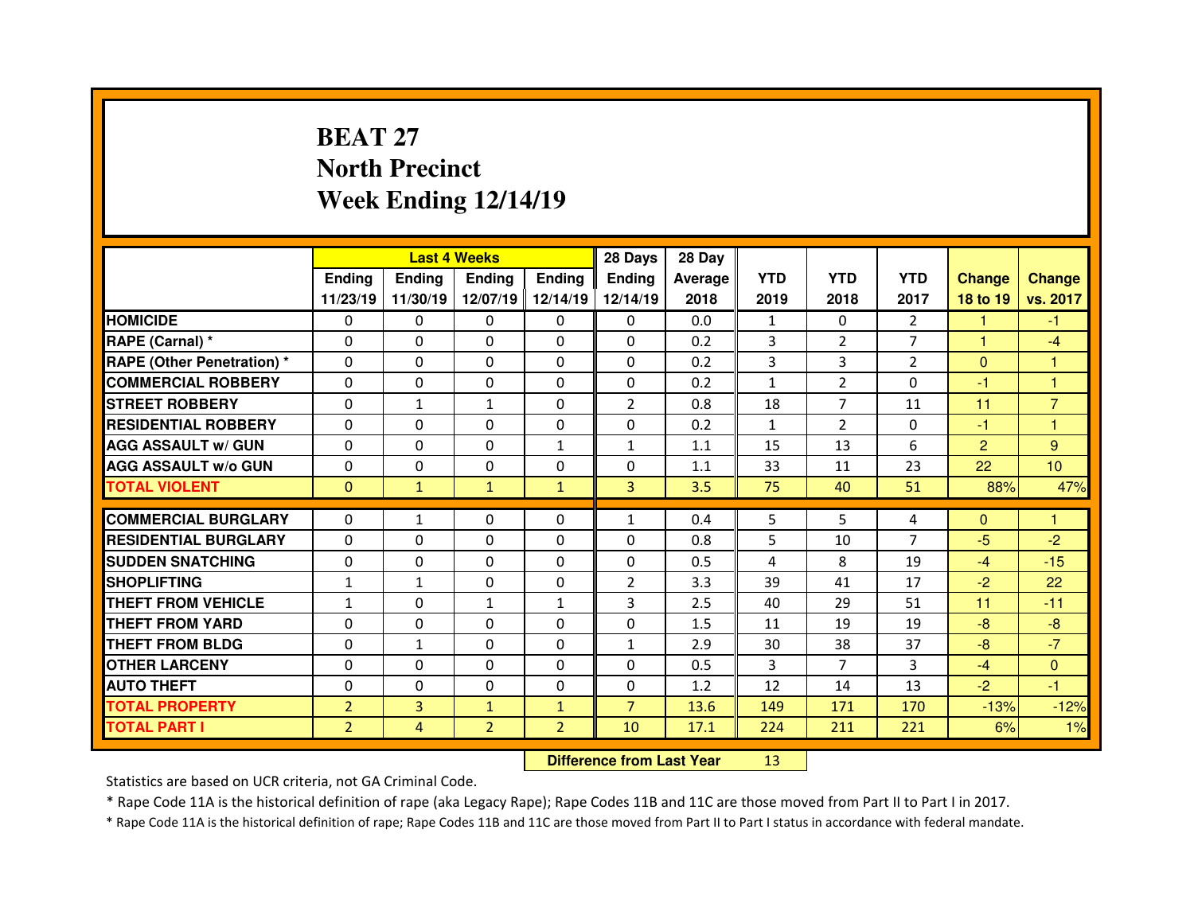# **BEAT 27 North PrecinctWeek Ending 12/14/19**

|                                  |                |               | <b>Last 4 Weeks</b> |                | 28 Days        | 28 Day  |              |                |                |                |                 |
|----------------------------------|----------------|---------------|---------------------|----------------|----------------|---------|--------------|----------------|----------------|----------------|-----------------|
|                                  | Ending         | <b>Endina</b> | Ending              | <b>Ending</b>  | <b>Ending</b>  | Average | <b>YTD</b>   | <b>YTD</b>     | <b>YTD</b>     | <b>Change</b>  | <b>Change</b>   |
|                                  | 11/23/19       | 11/30/19      | 12/07/19            | 12/14/19       | 12/14/19       | 2018    | 2019         | 2018           | 2017           | 18 to 19       | vs. 2017        |
| <b>HOMICIDE</b>                  | 0              | $\Omega$      | 0                   | $\Omega$       | 0              | 0.0     | $\mathbf{1}$ | $\Omega$       | $\overline{2}$ | 1              | $-1$            |
| RAPE (Carnal) *                  | $\Omega$       | 0             | 0                   | $\Omega$       | $\Omega$       | 0.2     | 3            | $\overline{2}$ | $\overline{7}$ | $\mathbf{1}$   | $-4$            |
| <b>RAPE (Other Penetration)*</b> | $\Omega$       | 0             | $\Omega$            | $\Omega$       | $\Omega$       | 0.2     | 3            | 3              | $\mathcal{P}$  | $\Omega$       | 1               |
| <b>COMMERCIAL ROBBERY</b>        | $\Omega$       | 0             | $\Omega$            | $\Omega$       | $\Omega$       | 0.2     | $\mathbf{1}$ | $\overline{2}$ | $\Omega$       | -1             | 1               |
| <b>STREET ROBBERY</b>            | $\Omega$       | $\mathbf{1}$  | $\mathbf{1}$        | $\Omega$       | $\overline{2}$ | 0.8     | 18           | $\overline{7}$ | 11             | 11             | $\overline{7}$  |
| <b>RESIDENTIAL ROBBERY</b>       | $\Omega$       | 0             | $\Omega$            | $\mathbf{0}$   | $\Omega$       | 0.2     | $\mathbf{1}$ | $\overline{2}$ | $\Omega$       | -1             | 1               |
| <b>AGG ASSAULT w/ GUN</b>        | $\Omega$       | 0             | $\Omega$            | $\mathbf{1}$   | $\mathbf{1}$   | 1.1     | 15           | 13             | 6              | $\overline{2}$ | 9               |
| <b>AGG ASSAULT w/o GUN</b>       | $\Omega$       | 0             | 0                   | $\mathbf{0}$   | 0              | 1.1     | 33           | 11             | 23             | 22             | 10 <sup>°</sup> |
| <b>TOTAL VIOLENT</b>             | $\mathbf{0}$   | $\mathbf{1}$  | $\mathbf{1}$        | $\mathbf{1}$   | $\overline{3}$ | 3.5     | 75           | 40             | 51             | 88%            | 47%             |
|                                  |                |               |                     |                |                |         |              |                |                |                |                 |
|                                  |                |               |                     |                |                |         |              |                |                |                |                 |
| <b>COMMERCIAL BURGLARY</b>       | 0              | $\mathbf{1}$  | 0                   | $\mathbf{0}$   | $\mathbf{1}$   | 0.4     | 5            | 5.             | 4              | $\mathbf{0}$   | 1               |
| <b>RESIDENTIAL BURGLARY</b>      | $\Omega$       | 0             | 0                   | 0              | $\Omega$       | 0.8     | 5            | 10             | $\overline{7}$ | $-5$           | $-2$            |
| <b>SUDDEN SNATCHING</b>          | 0              | 0             | 0                   | $\mathbf{0}$   | $\Omega$       | 0.5     | 4            | 8              | 19             | $-4$           | $-15$           |
| <b>SHOPLIFTING</b>               | $\mathbf{1}$   | $\mathbf{1}$  | $\Omega$            | $\mathbf{0}$   | $\overline{2}$ | 3.3     | 39           | 41             | 17             | $-2$           | 22              |
| THEFT FROM VEHICLE               | $\mathbf{1}$   | 0             | $\mathbf{1}$        | $\mathbf{1}$   | $\overline{3}$ | 2.5     | 40           | 29             | 51             | 11             | $-11$           |
| <b>THEFT FROM YARD</b>           | 0              | 0             | $\Omega$            | 0              | $\Omega$       | 1.5     | 11           | 19             | 19             | $-8$           | $-8$            |
| <b>THEFT FROM BLDG</b>           | $\Omega$       | $\mathbf{1}$  | 0                   | $\Omega$       | $\mathbf{1}$   | 2.9     | 30           | 38             | 37             | -8             | $-7$            |
| <b>OTHER LARCENY</b>             | $\Omega$       | 0             | $\Omega$            | $\Omega$       | $\Omega$       | 0.5     | 3            | $\overline{7}$ | 3              | $-4$           | $\Omega$        |
| <b>AUTO THEFT</b>                | $\Omega$       | 0             | 0                   | $\mathbf{0}$   | $\Omega$       | 1.2     | 12           | 14             | 13             | $-2$           | -1              |
| <b>TOTAL PROPERTY</b>            | $\overline{2}$ | 3             | $\mathbf{1}$        | $\mathbf{1}$   | $\overline{7}$ | 13.6    | 149          | 171            | 170            | $-13%$         | $-12%$          |
| <b>TOTAL PART I</b>              | $\overline{2}$ | 4             | $\overline{2}$      | $\overline{2}$ | 10             | 17.1    | 224          | 211            | 221            | 6%             | 1%              |

 **Difference from Last Year**<sup>13</sup>

Statistics are based on UCR criteria, not GA Criminal Code.

\* Rape Code 11A is the historical definition of rape (aka Legacy Rape); Rape Codes 11B and 11C are those moved from Part II to Part I in 2017.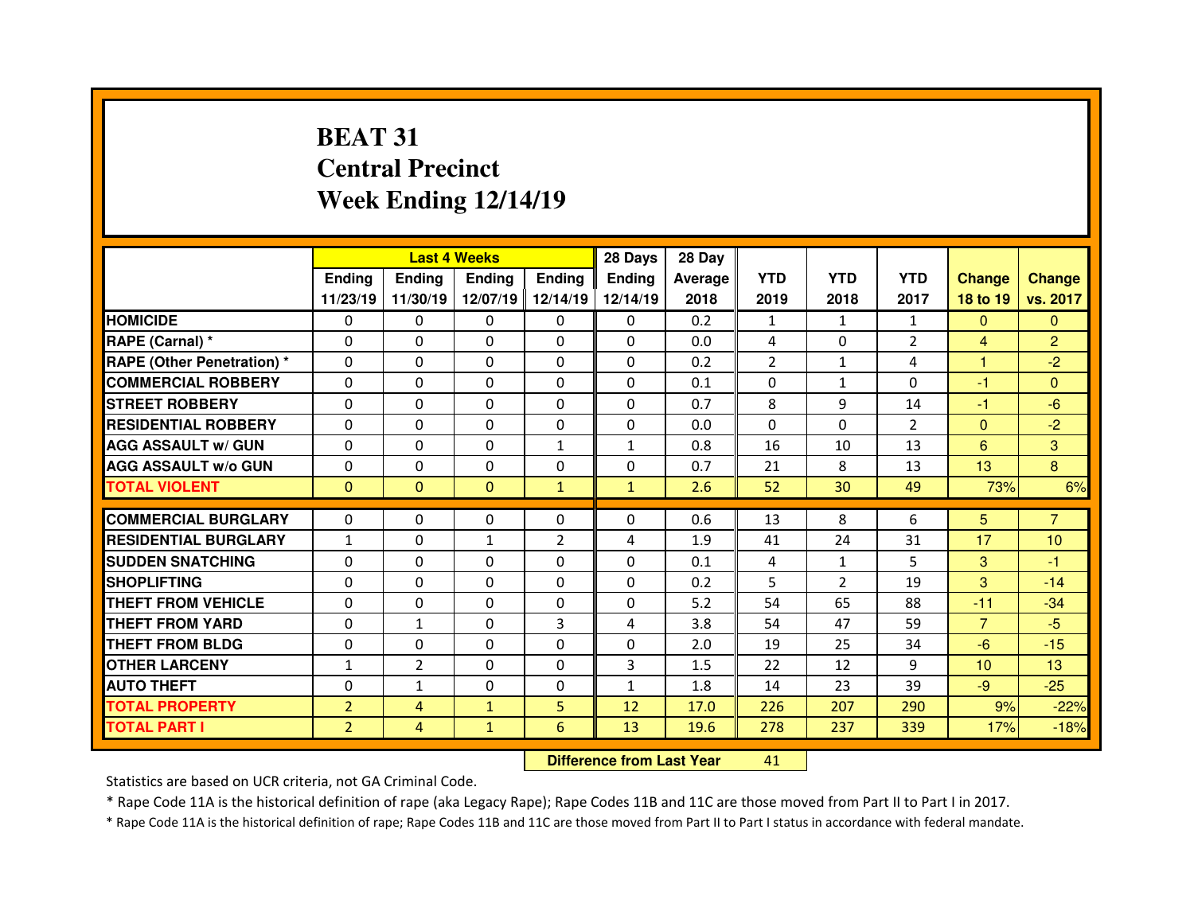# **BEAT 31 Central PrecinctWeek Ending 12/14/19**

|                                  |                |                | <b>Last 4 Weeks</b> |                | 28 Days                          | 28 Day  |                |                |                |                 |                 |
|----------------------------------|----------------|----------------|---------------------|----------------|----------------------------------|---------|----------------|----------------|----------------|-----------------|-----------------|
|                                  | <b>Ending</b>  | <b>Ending</b>  | <b>Ending</b>       | <b>Ending</b>  | Ending                           | Average | <b>YTD</b>     | <b>YTD</b>     | <b>YTD</b>     | <b>Change</b>   | <b>Change</b>   |
|                                  | 11/23/19       | 11/30/19       | 12/07/19            | 12/14/19       | 12/14/19                         | 2018    | 2019           | 2018           | 2017           | 18 to 19        | vs. 2017        |
| <b>HOMICIDE</b>                  | 0              | 0              | 0                   | $\Omega$       | 0                                | 0.2     | 1              | 1              | $\mathbf{1}$   | $\mathbf{0}$    | $\Omega$        |
| RAPE (Carnal) *                  | 0              | 0              | 0                   | $\Omega$       | $\Omega$                         | 0.0     | 4              | $\mathbf{0}$   | $\overline{2}$ | $\overline{4}$  | $\overline{2}$  |
| <b>RAPE (Other Penetration)*</b> | 0              | 0              | 0                   | 0              | 0                                | 0.2     | $\overline{2}$ | $\mathbf{1}$   | 4              | н               | $-2$            |
| <b>COMMERCIAL ROBBERY</b>        | $\Omega$       | 0              | $\Omega$            | $\Omega$       | $\Omega$                         | 0.1     | $\Omega$       | $\mathbf{1}$   | $\Omega$       | $-1$            | $\Omega$        |
| <b>STREET ROBBERY</b>            | $\Omega$       | 0              | $\Omega$            | $\Omega$       | 0                                | 0.7     | 8              | 9              | 14             | -1              | $-6$            |
| <b>RESIDENTIAL ROBBERY</b>       | $\Omega$       | $\Omega$       | $\mathbf{0}$        | $\Omega$       | $\Omega$                         | 0.0     | $\Omega$       | $\Omega$       | $\overline{2}$ | $\mathbf{0}$    | $-2$            |
| <b>AGG ASSAULT w/ GUN</b>        | $\Omega$       | $\Omega$       | $\mathbf{0}$        | $\mathbf{1}$   | $\mathbf{1}$                     | 0.8     | 16             | 10             | 13             | $6\phantom{1}$  | 3               |
| <b>AGG ASSAULT w/o GUN</b>       | 0              | 0              | 0                   | 0              | 0                                | 0.7     | 21             | 8              | 13             | 13              | 8               |
| <b>TOTAL VIOLENT</b>             | $\mathbf{0}$   | $\mathbf{0}$   | $\mathbf{0}$        | $\mathbf{1}$   | $\mathbf{1}$                     | 2.6     | 52             | 30             | 49             | 73%             | 6%              |
| <b>COMMERCIAL BURGLARY</b>       | $\Omega$       | 0              | $\mathbf{0}$        | $\Omega$       | $\Omega$                         | 0.6     | 13             | 8              | 6              | 5 <sup>5</sup>  | $\overline{7}$  |
| <b>RESIDENTIAL BURGLARY</b>      | $\mathbf{1}$   | 0              | $\mathbf{1}$        | $\overline{2}$ | 4                                | 1.9     | 41             | 24             | 31             | 17              | 10              |
| <b>SUDDEN SNATCHING</b>          | 0              | 0              | 0                   | $\Omega$       | 0                                | 0.1     | 4              | $\mathbf{1}$   | 5.             | 3               | -1              |
| <b>SHOPLIFTING</b>               | 0              | 0              | 0                   | $\Omega$       | $\Omega$                         | 0.2     | 5              | $\overline{2}$ | 19             | 3               | $-14$           |
| <b>THEFT FROM VEHICLE</b>        | 0              | 0              | 0                   | 0              | 0                                | 5.2     | 54             | 65             | 88             | $-11$           | $-34$           |
| <b>THEFT FROM YARD</b>           | 0              | $\mathbf{1}$   | 0                   | 3              | 4                                | 3.8     | 54             | 47             | 59             | $\overline{7}$  | $-5$            |
| <b>THEFT FROM BLDG</b>           | 0              | 0              | 0                   | 0              | 0                                | 2.0     | 19             | 25             | 34             | $-6$            | $-15$           |
| <b>OTHER LARCENY</b>             | $\mathbf{1}$   | $\overline{2}$ | 0                   | $\Omega$       | 3                                | 1.5     | 22             | 12             | 9              | 10 <sup>1</sup> | 13 <sup>°</sup> |
| <b>AUTO THEFT</b>                | 0              | $\mathbf{1}$   | $\Omega$            | 0              | $\mathbf{1}$                     | 1.8     | 14             | 23             | 39             | $-9$            | $-25$           |
| <b>TOTAL PROPERTY</b>            | $\overline{2}$ | $\overline{4}$ | $\mathbf{1}$        | 5              | 12                               | 17.0    | 226            | 207            | 290            | 9%              | $-22%$          |
| <b>TOTAL PART I</b>              | $\overline{2}$ | $\overline{4}$ | $\mathbf{1}$        | 6              | 13                               | 19.6    | 278            | 237            | 339            | 17%             | $-18%$          |
|                                  |                |                |                     |                | <b>Difference from Last Year</b> |         | 41             |                |                |                 |                 |

Statistics are based on UCR criteria, not GA Criminal Code.

\* Rape Code 11A is the historical definition of rape (aka Legacy Rape); Rape Codes 11B and 11C are those moved from Part II to Part I in 2017.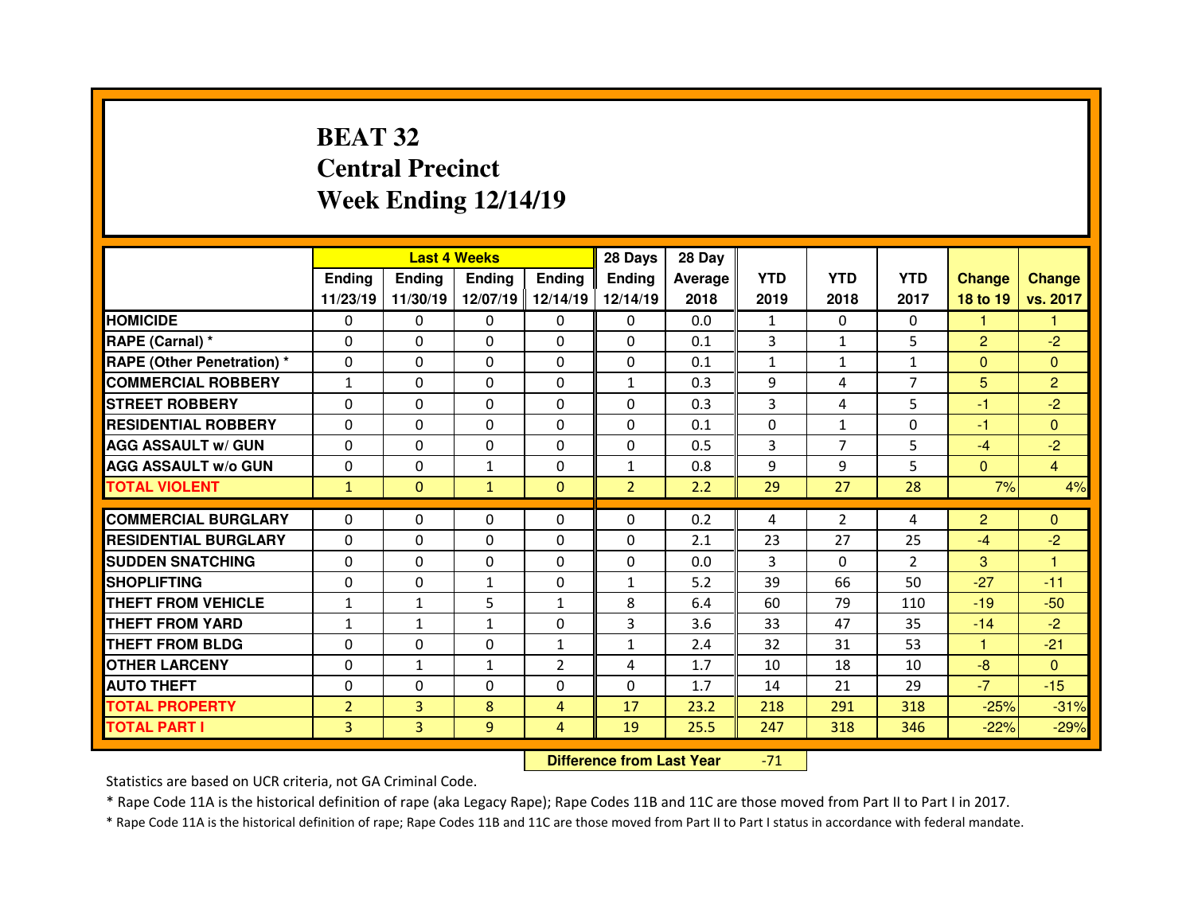# **BEAT 32 Central PrecinctWeek Ending 12/14/19**

|                                  |                |                | <b>Last 4 Weeks</b> |                   | 28 Days        | 28 Day  |              |                |                |                |                |
|----------------------------------|----------------|----------------|---------------------|-------------------|----------------|---------|--------------|----------------|----------------|----------------|----------------|
|                                  | Ending         | <b>Ending</b>  | Ending              | <b>Ending</b>     | Ending         | Average | <b>YTD</b>   | <b>YTD</b>     | <b>YTD</b>     | <b>Change</b>  | <b>Change</b>  |
|                                  | 11/23/19       | 11/30/19       |                     | 12/07/19 12/14/19 | 12/14/19       | 2018    | 2019         | 2018           | 2017           | 18 to 19       | vs. 2017       |
| <b>HOMICIDE</b>                  | $\Omega$       | 0              | $\Omega$            | $\Omega$          | 0              | 0.0     | 1            | $\Omega$       | $\Omega$       | 1              | 1              |
| RAPE (Carnal) *                  | 0              | $\Omega$       | $\mathbf{0}$        | $\Omega$          | 0              | 0.1     | 3            | $\mathbf{1}$   | 5              | $\overline{2}$ | $-2$           |
| <b>RAPE (Other Penetration)*</b> | 0              | $\Omega$       | $\Omega$            | $\Omega$          | 0              | 0.1     | $\mathbf{1}$ | $\mathbf{1}$   | $\mathbf{1}$   | $\overline{0}$ | $\Omega$       |
| <b>COMMERCIAL ROBBERY</b>        | $\mathbf{1}$   | 0              | $\Omega$            | $\Omega$          | $\mathbf{1}$   | 0.3     | 9            | 4              | $\overline{7}$ | 5              | $\overline{2}$ |
| <b>STREET ROBBERY</b>            | 0              | $\Omega$       | $\mathbf{0}$        | $\Omega$          | $\Omega$       | 0.3     | 3            | 4              | 5              | $-1$           | $-2$           |
| <b>RESIDENTIAL ROBBERY</b>       | $\Omega$       | $\Omega$       | $\Omega$            | $\Omega$          | $\Omega$       | 0.1     | $\Omega$     | $\mathbf{1}$   | $\Omega$       | -1             | $\Omega$       |
| <b>AGG ASSAULT w/ GUN</b>        | 0              | 0              | $\Omega$            | $\Omega$          | 0              | 0.5     | 3            | $\overline{7}$ | 5              | $-4$           | $-2$           |
| <b>AGG ASSAULT w/o GUN</b>       | $\Omega$       | $\Omega$       | $\mathbf{1}$        | $\Omega$          | $\mathbf{1}$   | 0.8     | 9            | 9              | 5              | $\overline{0}$ | $\overline{4}$ |
| <b>TOTAL VIOLENT</b>             | $\mathbf{1}$   | $\mathbf{0}$   | $\mathbf{1}$        | $\mathbf{0}$      | $\overline{2}$ | 2.2     | 29           | 27             | 28             | 7%             | 4%             |
| <b>COMMERCIAL BURGLARY</b>       |                |                |                     |                   | 0              |         |              |                |                |                |                |
|                                  | 0              | 0              | 0                   | 0                 |                | 0.2     | 4            | $\overline{2}$ | 4              | $\overline{2}$ | $\overline{0}$ |
| <b>RESIDENTIAL BURGLARY</b>      | $\Omega$       | 0              | 0                   | $\Omega$          | 0              | 2.1     | 23           | 27             | 25             | $-4$           | $-2$           |
| <b>SUDDEN SNATCHING</b>          | 0              | $\Omega$       | $\Omega$            | $\Omega$          | 0              | 0.0     | 3            | $\Omega$       | $\overline{2}$ | 3              | 1              |
| <b>SHOPLIFTING</b>               | 0              | $\Omega$       | $\mathbf{1}$        | $\Omega$          | $\mathbf{1}$   | 5.2     | 39           | 66             | 50             | $-27$          | $-11$          |
|                                  |                |                |                     |                   |                |         |              |                |                |                |                |
| <b>THEFT FROM VEHICLE</b>        | $\mathbf{1}$   | $\mathbf{1}$   | 5                   | $\mathbf{1}$      | 8              | 6.4     | 60           | 79             | 110            | $-19$          | $-50$          |
| <b>THEFT FROM YARD</b>           | $\mathbf{1}$   | $\mathbf{1}$   | $\mathbf{1}$        | $\Omega$          | 3              | 3.6     | 33           | 47             | 35             | $-14$          | $-2$           |
| <b>THEFT FROM BLDG</b>           | 0              | 0              | 0                   | $\mathbf{1}$      | $\mathbf{1}$   | 2.4     | 32           | 31             | 53             | 1.             | $-21$          |
| <b>OTHER LARCENY</b>             | 0              | $\mathbf{1}$   | $\mathbf{1}$        | $\overline{2}$    | 4              | 1.7     | 10           | 18             | 10             | $-8$           | $\Omega$       |
| <b>AUTO THEFT</b>                | 0              | 0              | 0                   | $\Omega$          | 0              | 1.7     | 14           | 21             | 29             | $-7$           | $-15$          |
| <b>TOTAL PROPERTY</b>            | $\overline{2}$ | $\overline{3}$ | 8                   | $\overline{4}$    | 17             | 23.2    | 218          | 291            | 318            | $-25%$         | $-31%$         |
| <b>TOTAL PART I</b>              | 3              | 3              | 9                   | $\overline{4}$    | 19             | 25.5    | 247          | 318            | 346            | $-22%$         | $-29%$         |

 **Difference from Last Year**-71

Statistics are based on UCR criteria, not GA Criminal Code.

\* Rape Code 11A is the historical definition of rape (aka Legacy Rape); Rape Codes 11B and 11C are those moved from Part II to Part I in 2017.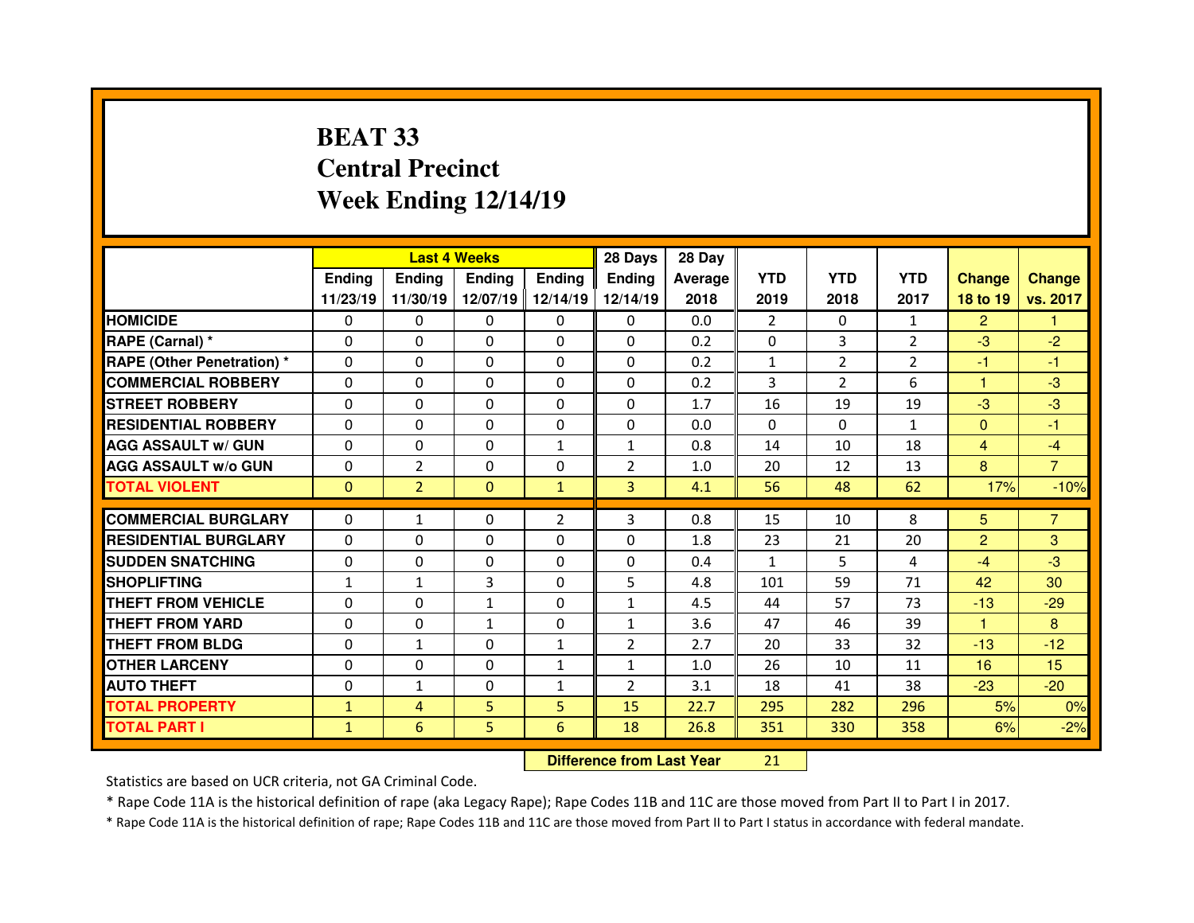# **BEAT 33 Central PrecinctWeek Ending 12/14/19**

|                                  |               | <b>Last 4 Weeks</b> |               |                | 28 Days                          | 28 Day  |                |                |                |                |                |
|----------------------------------|---------------|---------------------|---------------|----------------|----------------------------------|---------|----------------|----------------|----------------|----------------|----------------|
|                                  | <b>Ending</b> | <b>Ending</b>       | <b>Ending</b> | <b>Ending</b>  | <b>Ending</b>                    | Average | <b>YTD</b>     | <b>YTD</b>     | <b>YTD</b>     | <b>Change</b>  | <b>Change</b>  |
|                                  | 11/23/19      | 11/30/19            | 12/07/19      | 12/14/19       | 12/14/19                         | 2018    | 2019           | 2018           | 2017           | 18 to 19       | vs. 2017       |
| <b>HOMICIDE</b>                  | 0             | 0                   | 0             | $\Omega$       | 0                                | 0.0     | $\overline{2}$ | $\mathbf{0}$   | $\mathbf{1}$   | $\overline{2}$ |                |
| RAPE (Carnal) *                  | 0             | 0                   | $\Omega$      | $\Omega$       | $\Omega$                         | 0.2     | $\Omega$       | 3              | $\overline{2}$ | $-3$           | $-2$           |
| <b>RAPE (Other Penetration)*</b> | $\Omega$      | 0                   | 0             | 0              | $\Omega$                         | 0.2     | $\mathbf{1}$   | $\overline{2}$ | $\overline{2}$ | -1             | $-1$           |
| <b>COMMERCIAL ROBBERY</b>        | $\Omega$      | 0                   | $\Omega$      | $\Omega$       | $\Omega$                         | 0.2     | 3              | $\overline{2}$ | 6              | 1              | $-3$           |
| <b>STREET ROBBERY</b>            | $\Omega$      | 0                   | $\Omega$      | $\Omega$       | $\Omega$                         | 1.7     | 16             | 19             | 19             | $-3$           | $-3$           |
| <b>RESIDENTIAL ROBBERY</b>       | $\Omega$      | 0                   | 0             | $\Omega$       | $\Omega$                         | 0.0     | $\mathbf{0}$   | $\mathbf{0}$   | $\mathbf{1}$   | $\mathbf{0}$   | $-1$           |
| <b>AGG ASSAULT w/ GUN</b>        | $\Omega$      | 0                   | 0             | $\mathbf{1}$   | $\mathbf{1}$                     | 0.8     | 14             | 10             | 18             | $\overline{4}$ | $-4$           |
| <b>AGG ASSAULT w/o GUN</b>       | 0             | $\overline{2}$      | 0             | 0              | $\overline{2}$                   | 1.0     | 20             | 12             | 13             | 8              | $\overline{7}$ |
| <b>TOTAL VIOLENT</b>             | $\mathbf{0}$  | $\overline{2}$      | $\mathbf{0}$  | $\mathbf{1}$   | 3                                | 4.1     | 56             | 48             | 62             | 17%            | $-10%$         |
| <b>COMMERCIAL BURGLARY</b>       | 0             | $\mathbf{1}$        | 0             | $\overline{2}$ | 3                                | 0.8     | 15             | 10             | 8              | 5              | $\overline{7}$ |
| <b>RESIDENTIAL BURGLARY</b>      | $\Omega$      | 0                   | 0             | $\mathbf{0}$   | $\Omega$                         | 1.8     | 23             | 21             | 20             | $\overline{2}$ | 3              |
| <b>SUDDEN SNATCHING</b>          | 0             | 0                   | 0             | 0              | 0                                | 0.4     | 1              | 5.             | 4              | $-4$           | $-3$           |
| <b>SHOPLIFTING</b>               | $\mathbf{1}$  | $\mathbf{1}$        | 3             | $\Omega$       | 5                                | 4.8     | 101            | 59             | 71             | 42             | 30             |
| <b>THEFT FROM VEHICLE</b>        | 0             | 0                   | $\mathbf{1}$  | 0              | $\mathbf{1}$                     | 4.5     | 44             | 57             | 73             | $-13$          | $-29$          |
| <b>THEFT FROM YARD</b>           | 0             | 0                   | $\mathbf{1}$  | 0              | $\mathbf{1}$                     | 3.6     | 47             | 46             | 39             | 1.             | 8              |
| <b>THEFT FROM BLDG</b>           | $\Omega$      | $\mathbf{1}$        | 0             | $\mathbf{1}$   | $\overline{2}$                   | 2.7     | 20             | 33             | 32             | $-13$          | $-12$          |
| <b>OTHER LARCENY</b>             | 0             | 0                   | 0             | $\mathbf{1}$   | $\mathbf{1}$                     | 1.0     | 26             | 10             | 11             | 16             | 15             |
| <b>AUTO THEFT</b>                | $\Omega$      | $\mathbf{1}$        | $\Omega$      | $\mathbf{1}$   | $\overline{2}$                   | 3.1     | 18             | 41             | 38             | $-23$          | $-20$          |
| <b>TOTAL PROPERTY</b>            | $\mathbf{1}$  | $\overline{4}$      | 5             | 5              | 15                               | 22.7    | 295            | 282            | 296            | 5%             | 0%             |
| <b>TOTAL PART I</b>              | $\mathbf{1}$  | 6                   | 5             | 6              | 18                               | 26.8    | 351            | 330            | 358            | 6%             | $-2%$          |
|                                  |               |                     |               |                | <b>Difference from Last Year</b> |         | 21             |                |                |                |                |

Statistics are based on UCR criteria, not GA Criminal Code.

\* Rape Code 11A is the historical definition of rape (aka Legacy Rape); Rape Codes 11B and 11C are those moved from Part II to Part I in 2017.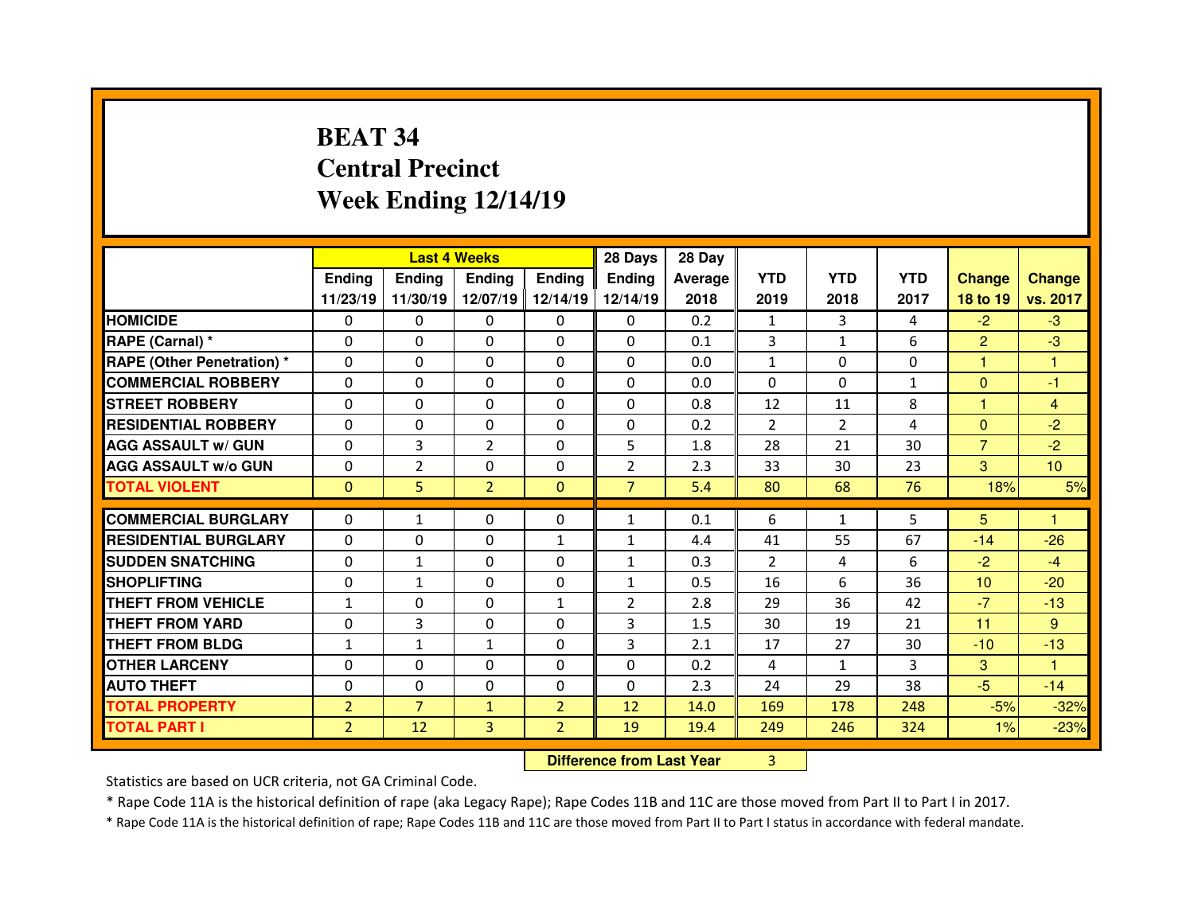# **BEAT 34 Central PrecinctWeek Ending 12/14/19**

|                                   |                |                | <b>Last 4 Weeks</b> |                | 28 Days                          | 28 Day  |                |                |              |                |                 |
|-----------------------------------|----------------|----------------|---------------------|----------------|----------------------------------|---------|----------------|----------------|--------------|----------------|-----------------|
|                                   | Ending         | <b>Ending</b>  | <b>Ending</b>       | <b>Ending</b>  | <b>Ending</b>                    | Average | <b>YTD</b>     | <b>YTD</b>     | <b>YTD</b>   | <b>Change</b>  | <b>Change</b>   |
|                                   | 11/23/19       | 11/30/19       | 12/07/19            | 12/14/19       | 12/14/19                         | 2018    | 2019           | 2018           | 2017         | 18 to 19       | vs. 2017        |
| <b>HOMICIDE</b>                   | 0              | $\Omega$       | 0                   | $\mathbf{0}$   | $\Omega$                         | 0.2     | 1              | 3              | 4            | $-2$           | $-3$            |
| RAPE (Carnal) *                   | 0              | 0              | 0                   | $\mathbf{0}$   | $\Omega$                         | 0.1     | 3              | $\mathbf{1}$   | 6            | $\overline{2}$ | $-3$            |
| <b>RAPE (Other Penetration) *</b> | $\Omega$       | 0              | 0                   | $\mathbf{0}$   | 0                                | 0.0     | $\mathbf{1}$   | $\Omega$       | 0            | н              | 1               |
| <b>COMMERCIAL ROBBERY</b>         | $\Omega$       | 0              | $\Omega$            | $\mathbf{0}$   | $\Omega$                         | 0.0     | $\Omega$       | $\Omega$       | $\mathbf{1}$ | $\mathbf{0}$   | $-1$            |
| <b>STREET ROBBERY</b>             | $\Omega$       | 0              | $\Omega$            | $\mathbf{0}$   | $\Omega$                         | 0.8     | 12             | 11             | 8            | н              | 4               |
| <b>RESIDENTIAL ROBBERY</b>        | $\Omega$       | 0              | $\Omega$            | $\mathbf{0}$   | $\Omega$                         | 0.2     | $\overline{2}$ | $\overline{2}$ | 4            | $\Omega$       | $-2$            |
| <b>AGG ASSAULT w/ GUN</b>         | 0              | 3              | $\overline{2}$      | $\mathbf{0}$   | 5                                | 1.8     | 28             | 21             | 30           | $\overline{7}$ | $-2$            |
| <b>AGG ASSAULT w/o GUN</b>        | $\Omega$       | $\overline{2}$ | 0                   | $\Omega$       | $\overline{2}$                   | 2.3     | 33             | 30             | 23           | 3              | 10 <sup>°</sup> |
| <b>TOTAL VIOLENT</b>              | $\Omega$       | 5              | $\overline{2}$      | $\mathbf{0}$   | $\overline{7}$                   | 5.4     | 80             | 68             | 76           | 18%            | 5%              |
| <b>COMMERCIAL BURGLARY</b>        | $\Omega$       | $\mathbf{1}$   | $\Omega$            | $\Omega$       | $\mathbf{1}$                     | 0.1     | 6              | $\mathbf{1}$   | 5            | 5              | 1               |
| <b>RESIDENTIAL BURGLARY</b>       | 0              | 0              | 0                   | $\mathbf{1}$   | $\mathbf{1}$                     | 4.4     | 41             | 55             | 67           | $-14$          | $-26$           |
| <b>SUDDEN SNATCHING</b>           | $\Omega$       | $\mathbf{1}$   | $\Omega$            | 0              | $\mathbf{1}$                     | 0.3     | 2              | 4              | 6            | $-2$           | $-4$            |
| <b>SHOPLIFTING</b>                | $\Omega$       | $\mathbf{1}$   | 0                   | 0              | $\mathbf{1}$                     | 0.5     | 16             | 6              | 36           | 10             | $-20$           |
| <b>THEFT FROM VEHICLE</b>         | $\mathbf{1}$   | 0              | 0                   | $\mathbf{1}$   | $\overline{2}$                   | 2.8     | 29             | 36             | 42           | $-7$           | $-13$           |
| <b>THEFT FROM YARD</b>            | 0              | 3              | 0                   | 0              | 3                                | 1.5     | 30             | 19             | 21           | 11             | 9               |
| <b>THEFT FROM BLDG</b>            | $\mathbf{1}$   | $\mathbf{1}$   | $\mathbf{1}$        | 0              | 3                                | 2.1     | 17             | 27             | 30           | $-10$          | $-13$           |
| <b>OTHER LARCENY</b>              | 0              | 0              | 0                   | $\Omega$       | $\Omega$                         | 0.2     | 4              | $\mathbf{1}$   | 3            | 3              | 1               |
| <b>AUTO THEFT</b>                 | 0              | 0              | $\Omega$            | $\Omega$       | $\Omega$                         | 2.3     | 24             | 29             | 38           | $-5$           | $-14$           |
| <b>TOTAL PROPERTY</b>             | $\overline{2}$ | $\overline{7}$ | $\mathbf{1}$        | $\overline{2}$ | 12                               | 14.0    | 169            | 178            | 248          | $-5%$          | $-32%$          |
| <b>TOTAL PART I</b>               | $\overline{2}$ | 12             | 3                   | $\overline{2}$ | 19                               | 19.4    | 249            | 246            | 324          | 1%             | $-23%$          |
|                                   |                |                |                     |                | <b>Difference from Last Year</b> |         | 3              |                |              |                |                 |

Statistics are based on UCR criteria, not GA Criminal Code.

\* Rape Code 11A is the historical definition of rape (aka Legacy Rape); Rape Codes 11B and 11C are those moved from Part II to Part I in 2017.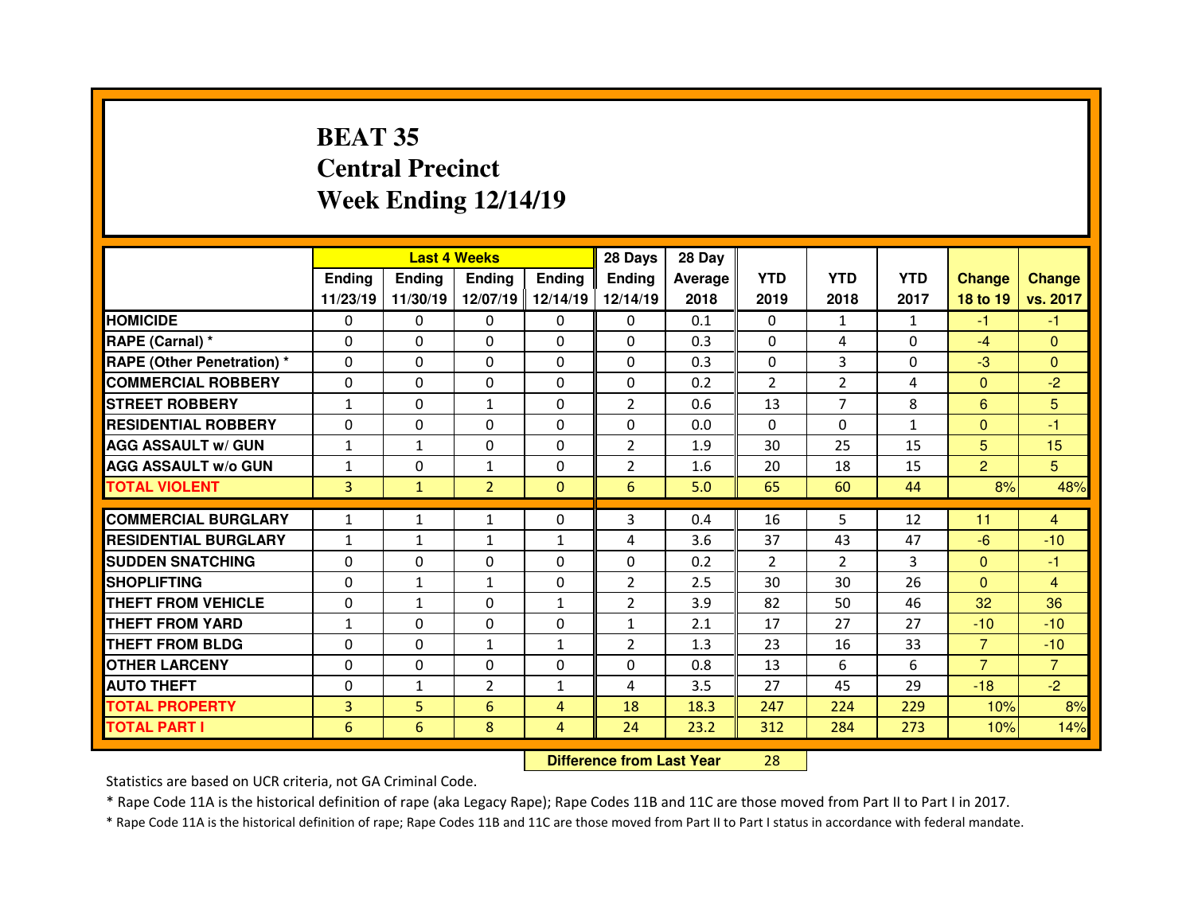# **BEAT 35 Central PrecinctWeek Ending 12/14/19**

|                                   |               |               | <b>Last 4 Weeks</b> |                   | 28 Days                          | 28 Day  |            |                |              |                |                |
|-----------------------------------|---------------|---------------|---------------------|-------------------|----------------------------------|---------|------------|----------------|--------------|----------------|----------------|
|                                   | <b>Ending</b> | <b>Ending</b> | <b>Ending</b>       | <b>Ending</b>     | Ending                           | Average | <b>YTD</b> | <b>YTD</b>     | <b>YTD</b>   | <b>Change</b>  | <b>Change</b>  |
|                                   | 11/23/19      | 11/30/19      |                     | 12/07/19 12/14/19 | 12/14/19                         | 2018    | 2019       | 2018           | 2017         | 18 to 19       | vs. 2017       |
| <b>HOMICIDE</b>                   | 0             | 0             | 0                   | $\Omega$          | 0                                | 0.1     | 0          | 1              | $\mathbf{1}$ | $-1$           | $-1$           |
| <b>RAPE (Carnal) *</b>            | $\Omega$      | 0             | $\mathbf{0}$        | $\Omega$          | $\Omega$                         | 0.3     | $\Omega$   | 4              | $\Omega$     | $-4$           | $\Omega$       |
| <b>RAPE (Other Penetration) *</b> | $\Omega$      | 0             | $\mathbf{0}$        | $\Omega$          | $\Omega$                         | 0.3     | $\Omega$   | 3              | $\Omega$     | $-3$           | $\Omega$       |
| <b>COMMERCIAL ROBBERY</b>         | 0             | 0             | $\mathbf{0}$        | $\mathbf{0}$      | 0                                | 0.2     | 2          | $\overline{2}$ | 4            | $\mathbf{0}$   | $-2$           |
| <b>STREET ROBBERY</b>             | $\mathbf{1}$  | 0             | $\mathbf{1}$        | $\Omega$          | $\overline{2}$                   | 0.6     | 13         | $\overline{7}$ | 8            | 6              | 5              |
| <b>RESIDENTIAL ROBBERY</b>        | 0             | 0             | 0                   | $\Omega$          | 0                                | 0.0     | $\Omega$   | $\Omega$       | $\mathbf{1}$ | $\mathbf{0}$   | $-1$           |
| <b>AGG ASSAULT w/ GUN</b>         | $\mathbf{1}$  | $\mathbf{1}$  | 0                   | 0                 | $\overline{2}$                   | 1.9     | 30         | 25             | 15           | 5              | 15             |
| <b>AGG ASSAULT w/o GUN</b>        | $\mathbf{1}$  | 0             | $\mathbf{1}$        | $\Omega$          | $\overline{2}$                   | 1.6     | 20         | 18             | 15           | $\overline{2}$ | 5              |
| <b>TOTAL VIOLENT</b>              | 3             | $\mathbf{1}$  | $\overline{2}$      | $\mathbf{0}$      | 6                                | 5.0     | 65         | 60             | 44           | 8%             | 48%            |
| <b>COMMERCIAL BURGLARY</b>        | $\mathbf{1}$  | $\mathbf{1}$  | $\mathbf{1}$        | $\Omega$          | 3                                | 0.4     | 16         | 5              | 12           | 11             | 4              |
| <b>RESIDENTIAL BURGLARY</b>       | $\mathbf{1}$  | $\mathbf{1}$  | $\mathbf{1}$        | $\mathbf{1}$      | 4                                | 3.6     | 37         | 43             | 47           | $-6$           | $-10$          |
| <b>SUDDEN SNATCHING</b>           | 0             | 0             | 0                   | $\Omega$          | 0                                | 0.2     | 2          | $\overline{2}$ | 3            | $\mathbf{0}$   | -1             |
| <b>SHOPLIFTING</b>                | 0             | $\mathbf{1}$  | $\mathbf{1}$        | 0                 | $\overline{2}$                   | 2.5     | 30         | 30             | 26           | $\overline{0}$ | $\overline{4}$ |
| <b>THEFT FROM VEHICLE</b>         | 0             | $\mathbf{1}$  | $\Omega$            | $\mathbf{1}$      | $\overline{2}$                   | 3.9     | 82         | 50             | 46           | 32             | 36             |
| <b>THEFT FROM YARD</b>            | $\mathbf{1}$  | 0             | 0                   | 0                 | $\mathbf{1}$                     | 2.1     | 17         | 27             | 27           | $-10$          | $-10$          |
| <b>THEFT FROM BLDG</b>            | 0             | 0             | $\mathbf{1}$        | $\mathbf{1}$      | $\overline{2}$                   | 1.3     | 23         | 16             | 33           | $\overline{7}$ | $-10$          |
| <b>OTHER LARCENY</b>              | 0             | 0             | 0                   | 0                 | 0                                | 0.8     | 13         | 6              | 6            | $\overline{7}$ | $\overline{7}$ |
| <b>AUTO THEFT</b>                 | $\Omega$      | $\mathbf{1}$  | $\overline{2}$      | $\mathbf{1}$      | 4                                | 3.5     | 27         | 45             | 29           | $-18$          | $-2$           |
| <b>TOTAL PROPERTY</b>             | 3             | 5             | 6                   | $\overline{4}$    | 18                               | 18.3    | 247        | 224            | 229          | 10%            | 8%             |
| <b>TOTAL PART I</b>               | 6             | 6             | 8                   | $\overline{4}$    | 24                               | 23.2    | 312        | 284            | 273          | 10%            | 14%            |
|                                   |               |               |                     |                   | <b>Difference from Last Year</b> |         | 28         |                |              |                |                |

Statistics are based on UCR criteria, not GA Criminal Code.

\* Rape Code 11A is the historical definition of rape (aka Legacy Rape); Rape Codes 11B and 11C are those moved from Part II to Part I in 2017.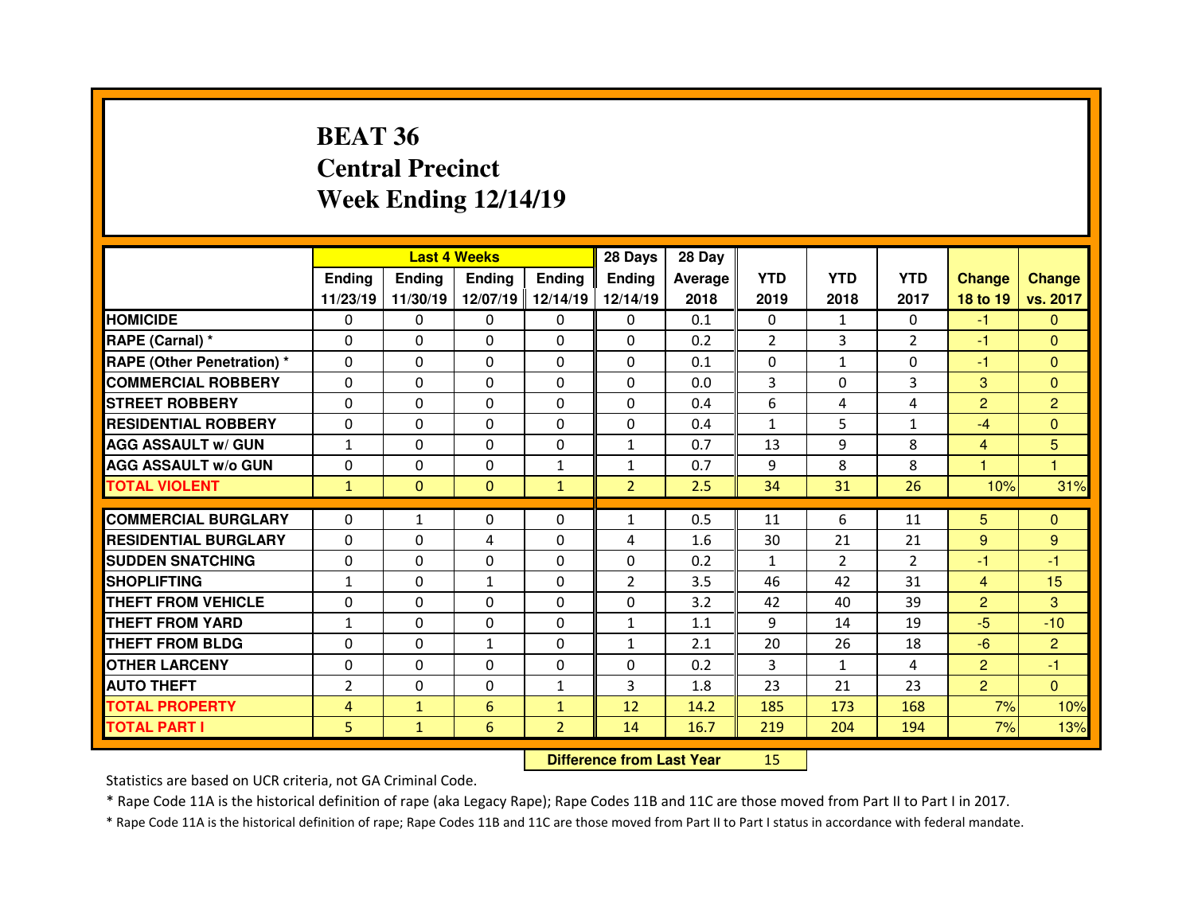# **BEAT 36 Central PrecinctWeek Ending 12/14/19**

|                                  |                | <b>Last 4 Weeks</b> |               |                   | 28 Days                          | 28 Day  |                |                |                |                         |                |
|----------------------------------|----------------|---------------------|---------------|-------------------|----------------------------------|---------|----------------|----------------|----------------|-------------------------|----------------|
|                                  | <b>Ending</b>  | <b>Endina</b>       | <b>Ending</b> | <b>Ending</b>     | Ending                           | Average | <b>YTD</b>     | <b>YTD</b>     | <b>YTD</b>     | <b>Change</b>           | <b>Change</b>  |
|                                  | 11/23/19       | 11/30/19            |               | 12/07/19 12/14/19 | 12/14/19                         | 2018    | 2019           | 2018           | 2017           | 18 to 19                | vs. 2017       |
| <b>HOMICIDE</b>                  | 0              | 0                   | 0             | 0                 | 0                                | 0.1     | 0              | 1              | 0              | $-1$                    | $\Omega$       |
| RAPE (Carnal) *                  | 0              | 0                   | 0             | $\Omega$          | $\Omega$                         | 0.2     | $\overline{2}$ | 3              | $\overline{2}$ | $-1$                    | $\Omega$       |
| <b>RAPE (Other Penetration)*</b> | 0              | 0                   | $\Omega$      | $\Omega$          | 0                                | 0.1     | $\Omega$       | $\mathbf{1}$   | $\Omega$       | $-1$                    | $\Omega$       |
| <b>COMMERCIAL ROBBERY</b>        | 0              | 0                   | 0             | $\Omega$          | $\Omega$                         | 0.0     | 3              | $\Omega$       | 3              | 3                       | $\mathbf{0}$   |
| <b>STREET ROBBERY</b>            | 0              | $\Omega$            | $\Omega$      | $\Omega$          | 0                                | 0.4     | 6              | 4              | 4              | $\overline{2}$          | $\overline{2}$ |
| <b>RESIDENTIAL ROBBERY</b>       | 0              | 0                   | $\Omega$      | $\Omega$          | $\Omega$                         | 0.4     | $\mathbf{1}$   | 5              | $\mathbf{1}$   | $-4$                    | $\Omega$       |
| <b>AGG ASSAULT w/ GUN</b>        | $\mathbf{1}$   | $\Omega$            | $\mathbf{0}$  | $\Omega$          | $\mathbf{1}$                     | 0.7     | 13             | 9              | 8              | $\overline{4}$          | 5              |
| <b>AGG ASSAULT w/o GUN</b>       | 0              | 0                   | 0             | $\mathbf{1}$      | 1                                | 0.7     | 9              | 8              | 8              | $\overline{\mathbf{1}}$ | $\mathbf{1}$   |
| <b>TOTAL VIOLENT</b>             | $\mathbf{1}$   | $\mathbf{0}$        | $\mathbf{0}$  | $\mathbf{1}$      | $\overline{2}$                   | 2.5     | 34             | 31             | 26             | 10%                     | 31%            |
| <b>COMMERCIAL BURGLARY</b>       | $\Omega$       | $\mathbf{1}$        | $\Omega$      | $\Omega$          | $\mathbf{1}$                     | 0.5     | 11             | 6              | 11             | 5 <sup>5</sup>          | $\Omega$       |
| <b>RESIDENTIAL BURGLARY</b>      | 0              | $\Omega$            | 4             | $\Omega$          | 4                                | 1.6     | 30             | 21             | 21             | 9                       | 9              |
| <b>SUDDEN SNATCHING</b>          | 0              | $\Omega$            | $\Omega$      | $\Omega$          | 0                                | 0.2     | 1              | $\overline{2}$ | $\overline{2}$ | -1                      | -1             |
| <b>SHOPLIFTING</b>               | $\mathbf{1}$   | $\Omega$            | $\mathbf{1}$  | $\Omega$          | $\overline{2}$                   | 3.5     | 46             | 42             | 31             | $\overline{4}$          | 15             |
| <b>THEFT FROM VEHICLE</b>        | 0              | 0                   | $\Omega$      | $\Omega$          | $\Omega$                         | 3.2     | 42             | 40             | 39             | $\overline{2}$          | 3              |
| <b>THEFT FROM YARD</b>           | $\mathbf{1}$   | 0                   | 0             | $\Omega$          | $\mathbf{1}$                     | 1.1     | 9              | 14             | 19             | $-5$                    | $-10$          |
| <b>THEFT FROM BLDG</b>           | 0              | $\Omega$            | $\mathbf{1}$  | $\Omega$          | $\mathbf{1}$                     | 2.1     | 20             | 26             | 18             | $-6$                    | $\overline{2}$ |
| <b>OTHER LARCENY</b>             | 0              | $\Omega$            | $\Omega$      | $\Omega$          | 0                                | 0.2     | 3              | $\mathbf{1}$   | 4              | $\overline{2}$          | $-1$           |
| <b>AUTO THEFT</b>                | $\overline{2}$ | $\Omega$            | $\mathbf{0}$  | $\mathbf{1}$      | 3                                | 1.8     | 23             | 21             | 23             | $\overline{2}$          | $\Omega$       |
| <b>TOTAL PROPERTY</b>            | 4              | $\mathbf{1}$        | 6             | $\mathbf{1}$      | 12                               | 14.2    | 185            | 173            | 168            | 7%                      | 10%            |
| <b>TOTAL PART I</b>              | 5              | $\mathbf{1}$        | 6             | $\overline{2}$    | 14                               | 16.7    | 219            | 204            | 194            | 7%                      | 13%            |
|                                  |                |                     |               |                   | <b>Difference from Last Year</b> |         | 15             |                |                |                         |                |

Statistics are based on UCR criteria, not GA Criminal Code.

\* Rape Code 11A is the historical definition of rape (aka Legacy Rape); Rape Codes 11B and 11C are those moved from Part II to Part I in 2017.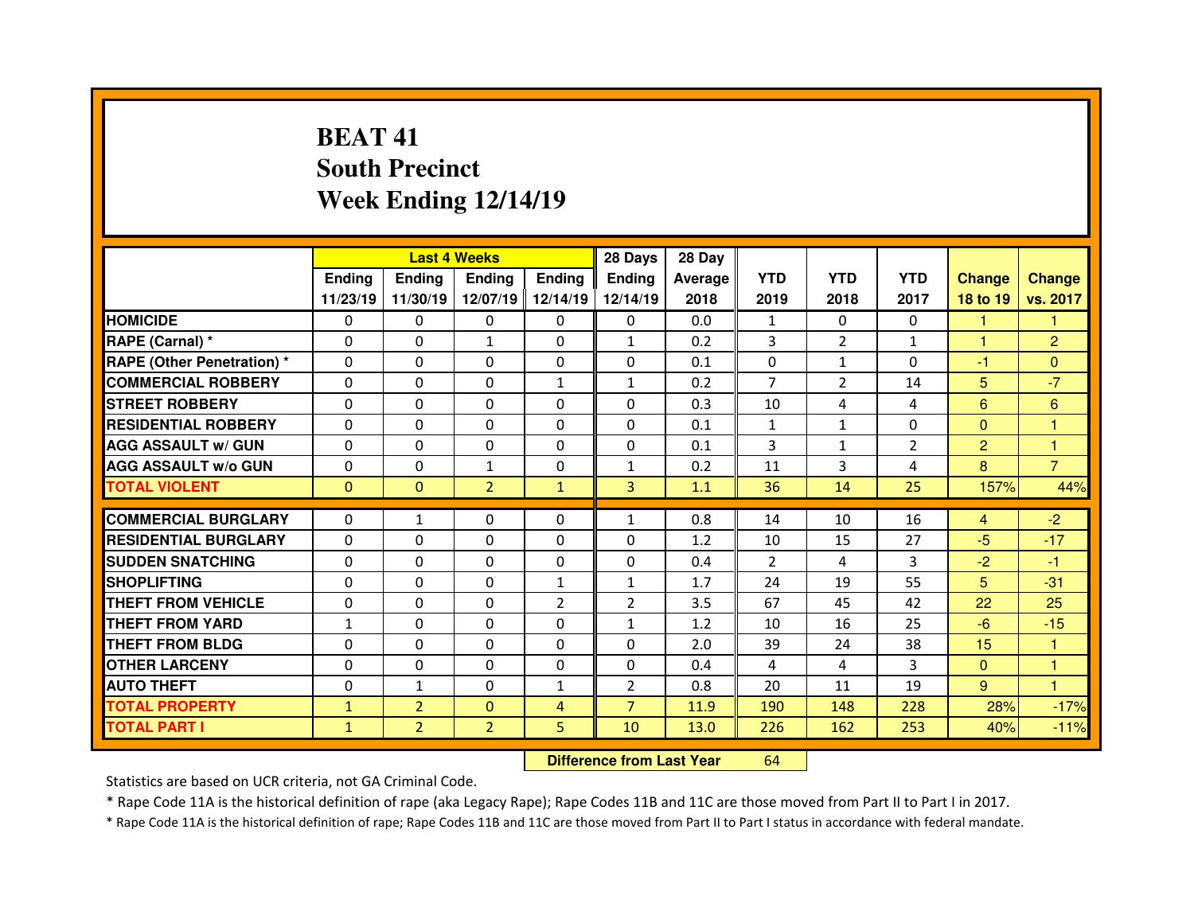# **BEAT 41 South PrecinctWeek Ending 12/14/19**

|                                              |                              |                                  | <b>Last 4 Weeks</b>        |                | 28 Days                          | 28 Day      |                |                |                |                      |                |
|----------------------------------------------|------------------------------|----------------------------------|----------------------------|----------------|----------------------------------|-------------|----------------|----------------|----------------|----------------------|----------------|
|                                              | Ending                       | <b>Ending</b>                    | <b>Endina</b>              | <b>Ending</b>  | <b>Ending</b>                    | Average     | <b>YTD</b>     | <b>YTD</b>     | <b>YTD</b>     | <b>Change</b>        | <b>Change</b>  |
|                                              | 11/23/19                     | 11/30/19                         | 12/07/19                   | 12/14/19       | 12/14/19                         | 2018        | 2019           | 2018           | 2017           | 18 to 19             | vs. 2017       |
| <b>HOMICIDE</b>                              | $\Omega$                     | 0                                | 0                          | $\Omega$       | $\Omega$                         | 0.0         | $\mathbf{1}$   | $\Omega$       | $\Omega$       | 1                    | 1              |
| RAPE (Carnal) *                              | $\Omega$                     | 0                                | $\mathbf{1}$               | $\mathbf{0}$   | $\mathbf{1}$                     | 0.2         | 3              | $\overline{2}$ | $\mathbf{1}$   | $\blacktriangleleft$ | $\overline{2}$ |
| <b>RAPE (Other Penetration)*</b>             | $\Omega$                     | 0                                | $\Omega$                   | $\Omega$       | $\Omega$                         | 0.1         | $\Omega$       | $\mathbf{1}$   | $\Omega$       | $-1$                 | $\Omega$       |
| <b>COMMERCIAL ROBBERY</b>                    | 0                            | 0                                | $\Omega$                   | $\mathbf{1}$   | $\mathbf{1}$                     | 0.2         | $\overline{7}$ | $\overline{2}$ | 14             | 5                    | $-7$           |
| <b>STREET ROBBERY</b>                        | $\Omega$                     | 0                                | $\Omega$                   | $\Omega$       | $\Omega$                         | 0.3         | 10             | 4              | 4              | 6                    | 6              |
| <b>RESIDENTIAL ROBBERY</b>                   | $\Omega$                     | 0                                | $\Omega$                   | $\mathbf{0}$   | $\Omega$                         | 0.1         | $\mathbf{1}$   | $\mathbf{1}$   | $\Omega$       | $\Omega$             | $\overline{1}$ |
| <b>AGG ASSAULT w/ GUN</b>                    | $\Omega$                     | 0                                | $\Omega$                   | $\mathbf{0}$   | $\Omega$                         | 0.1         | 3              | $\mathbf{1}$   | $\overline{2}$ | $\overline{2}$       | $\mathbf{1}$   |
| <b>AGG ASSAULT w/o GUN</b>                   | 0                            | 0                                | $\mathbf{1}$               | $\mathbf{0}$   | $\mathbf{1}$                     | 0.2         | 11             | 3              | 4              | 8                    | $\overline{7}$ |
| <b>TOTAL VIOLENT</b>                         | $\Omega$                     | $\mathbf{0}$                     | $\overline{2}$             | $\mathbf{1}$   | $\overline{3}$                   | 1.1         | 36             | 14             | 25             | 157%                 | 44%            |
| <b>COMMERCIAL BURGLARY</b>                   | 0                            | $\mathbf{1}$                     | 0                          | $\mathbf{0}$   | $\mathbf{1}$                     | 0.8         | 14             | 10             | 16             | 4                    | $-2$           |
| <b>RESIDENTIAL BURGLARY</b>                  | $\Omega$                     | 0                                | 0                          | $\Omega$       | $\Omega$                         | 1.2         | 10             | 15             | 27             | $-5$                 | $-17$          |
| <b>SUDDEN SNATCHING</b>                      | $\Omega$                     | 0                                | 0                          | $\Omega$       | $\Omega$                         | 0.4         | $\mathcal{P}$  | 4              | 3              | $-2$                 | $-1$           |
| <b>SHOPLIFTING</b>                           | $\Omega$                     | 0                                | $\Omega$                   | $\mathbf{1}$   | $\mathbf{1}$                     | 1.7         | 24             | 19             | 55             | 5                    | $-31$          |
| THEFT FROM VEHICLE                           | 0                            | 0                                | $\Omega$                   | $\overline{2}$ | $\overline{2}$                   | 3.5         | 67             | 45             | 42             | 22                   | 25             |
| <b>THEFT FROM YARD</b>                       |                              | 0                                | $\Omega$                   | 0              | $\mathbf{1}$                     | 1.2         | 10             | 16             | 25             | $-6$                 | $-15$          |
| <b>THEFT FROM BLDG</b>                       | $\mathbf{1}$<br>$\Omega$     | 0                                | $\Omega$                   |                | $\Omega$                         | 2.0         | 39             | 24             | 38             | 15                   | -1             |
|                                              |                              |                                  |                            | $\mathbf{0}$   |                                  |             |                |                |                |                      |                |
| <b>OTHER LARCENY</b>                         | $\Omega$                     | 0                                | $\Omega$                   | $\Omega$       | $\Omega$                         | 0.4         | 4              | 4              | 3              | $\mathbf{0}$         | 1<br>1         |
| <b>AUTO THEFT</b>                            | 0                            | $\mathbf{1}$                     | 0                          | $\mathbf{1}$   | $\overline{2}$<br>$\overline{7}$ | 0.8<br>11.9 | 20<br>190      | 11<br>148      | 19<br>228      | $9^{\circ}$<br>28%   | $-17%$         |
|                                              |                              |                                  |                            |                |                                  |             |                |                |                |                      |                |
| <b>TOTAL PROPERTY</b><br><b>TOTAL PART I</b> | $\mathbf{1}$<br>$\mathbf{1}$ | $\overline{2}$<br>$\overline{2}$ | $\Omega$<br>$\overline{2}$ | 4<br>5         | 10                               | 13.0        | 226            | 162            | 253            | 40%                  | $-11%$         |

 **Difference from Last Year**<sup>64</sup>

Statistics are based on UCR criteria, not GA Criminal Code.

\* Rape Code 11A is the historical definition of rape (aka Legacy Rape); Rape Codes 11B and 11C are those moved from Part II to Part I in 2017.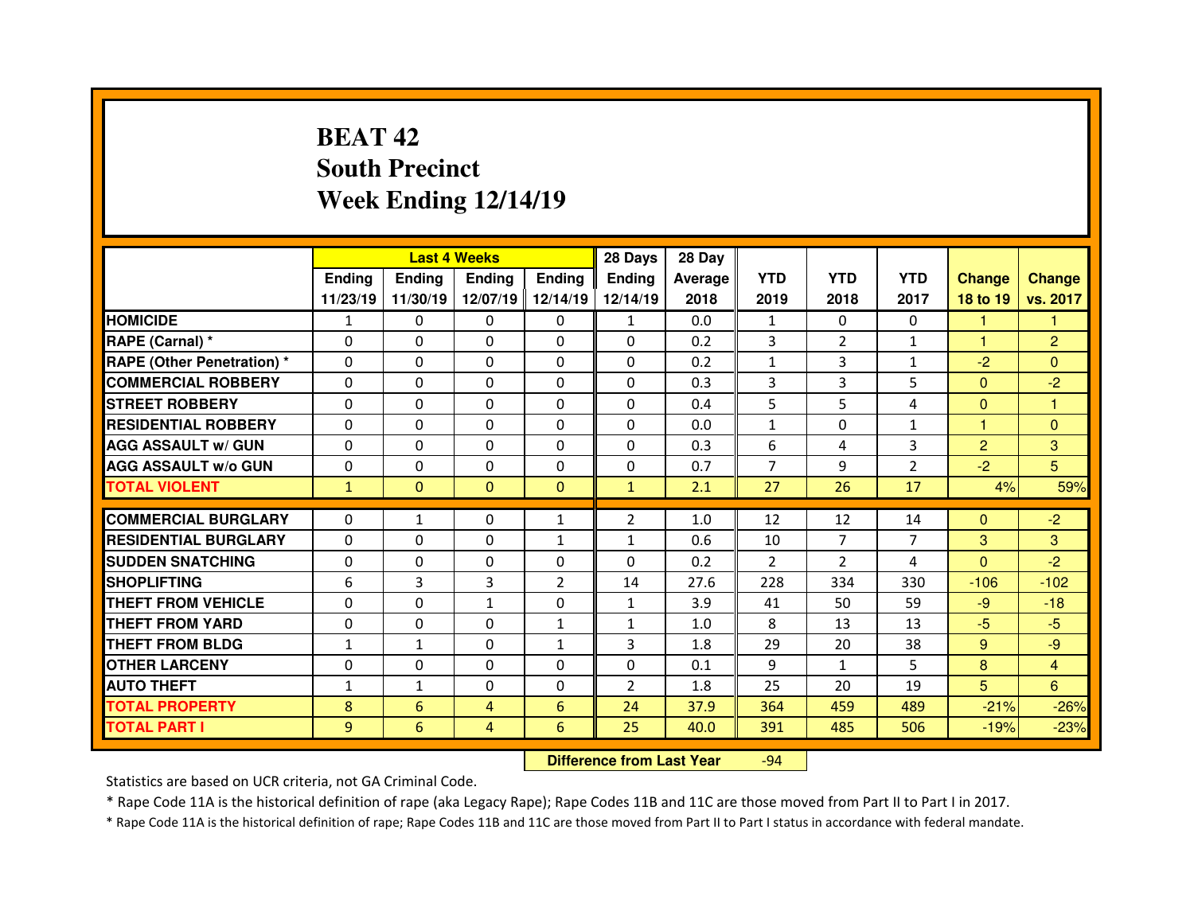# **BEAT 42 South PrecinctWeek Ending 12/14/19**

|                                   | <b>Last 4 Weeks</b><br>Ending<br><b>Ending</b><br><b>Ending</b><br><b>Endina</b> |              |              |              | 28 Days        | 28 Day  |                |                |                |                |                |
|-----------------------------------|----------------------------------------------------------------------------------|--------------|--------------|--------------|----------------|---------|----------------|----------------|----------------|----------------|----------------|
|                                   |                                                                                  |              |              |              | <b>Endina</b>  | Average | <b>YTD</b>     | <b>YTD</b>     | <b>YTD</b>     | <b>Change</b>  | <b>Change</b>  |
|                                   | 11/23/19                                                                         | 11/30/19     | 12/07/19     | 12/14/19     | 12/14/19       | 2018    | 2019           | 2018           | 2017           | 18 to 19       | vs. 2017       |
| <b>HOMICIDE</b>                   | $\mathbf{1}$                                                                     | $\Omega$     | $\Omega$     | $\Omega$     | $\mathbf{1}$   | 0.0     | $\mathbf{1}$   | $\Omega$       | $\Omega$       | 1              |                |
| RAPE (Carnal) *                   | 0                                                                                | 0            | 0            | $\Omega$     | $\Omega$       | 0.2     | 3              | $\overline{2}$ | $\mathbf{1}$   | 1              | $\overline{2}$ |
| <b>RAPE (Other Penetration) *</b> | $\Omega$                                                                         | 0            | $\Omega$     | $\Omega$     | $\Omega$       | 0.2     | $\mathbf{1}$   | 3              | $\mathbf{1}$   | $-2$           | $\Omega$       |
| <b>COMMERCIAL ROBBERY</b>         | 0                                                                                | 0            | 0            | $\mathbf{0}$ | $\Omega$       | 0.3     | 3              | 3              | 5              | $\mathbf{0}$   | $-2$           |
| <b>STREET ROBBERY</b>             | $\Omega$                                                                         | 0            | $\Omega$     | $\Omega$     | $\Omega$       | 0.4     | 5              | 5.             | 4              | $\mathbf{0}$   | 1              |
| <b>RESIDENTIAL ROBBERY</b>        | $\Omega$                                                                         | 0            | $\Omega$     | $\Omega$     | $\Omega$       | 0.0     | $\mathbf{1}$   | $\Omega$       | $\mathbf{1}$   | 1              | $\Omega$       |
| <b>AGG ASSAULT w/ GUN</b>         | $\Omega$                                                                         | 0            | $\Omega$     | 0            | $\Omega$       | 0.3     | 6              | 4              | 3              | $\overline{2}$ | 3              |
| <b>AGG ASSAULT w/o GUN</b>        | 0                                                                                | 0            | $\Omega$     | $\mathbf{0}$ | $\Omega$       | 0.7     | $\overline{7}$ | 9              | $\overline{2}$ | $-2$           | 5              |
| <b>TOTAL VIOLENT</b>              | $\mathbf{1}$                                                                     | $\mathbf{0}$ | $\mathbf{0}$ | $\mathbf{0}$ | $\mathbf{1}$   | 2.1     | 27             | 26             | 17             | 4%             | 59%            |
|                                   |                                                                                  |              |              |              |                |         |                |                |                |                |                |
| <b>COMMERCIAL BURGLARY</b>        | $\Omega$                                                                         | $\mathbf{1}$ | $\Omega$     | $\mathbf{1}$ | $\overline{2}$ | 1.0     | 12             | 12             | 14             | $\mathbf{0}$   | $-2$           |
| <b>RESIDENTIAL BURGLARY</b>       | $\Omega$                                                                         | 0            | 0            | $\mathbf{1}$ | 1              | 0.6     | 10             | $\overline{7}$ | $\overline{7}$ | 3              | 3              |
| <b>SUDDEN SNATCHING</b>           | $\Omega$                                                                         |              |              | $\Omega$     |                |         |                | $\mathcal{P}$  |                |                | $-2$           |
|                                   |                                                                                  | 0            | $\Omega$     |              | $\Omega$       | 0.2     | $\mathfrak{p}$ |                | 4              | $\Omega$       |                |
| <b>SHOPLIFTING</b>                | 6                                                                                | 3            | 3            | 2            | 14             | 27.6    | 228            | 334            | 330            | $-106$         | $-102$         |
| <b>THEFT FROM VEHICLE</b>         | $\Omega$                                                                         | $\Omega$     | $\mathbf{1}$ | $\Omega$     | $\mathbf{1}$   | 3.9     | 41             | 50             | 59             | $-9$           | $-18$          |
| <b>THEFT FROM YARD</b>            | $\Omega$                                                                         | 0            | 0            | $\mathbf{1}$ | $\mathbf{1}$   | 1.0     | 8              | 13             | 13             | $-5$           | $-5$           |
| <b>THEFT FROM BLDG</b>            | $\mathbf{1}$                                                                     | $\mathbf{1}$ | 0            | $\mathbf{1}$ | 3              | 1.8     | 29             | 20             | 38             | 9              | $-9$           |
| <b>OTHER LARCENY</b>              | $\Omega$                                                                         | 0            | $\Omega$     | $\mathbf{0}$ | $\Omega$       | 0.1     | 9              | $\mathbf{1}$   | 5              | 8              | $\overline{4}$ |
| <b>AUTO THEFT</b>                 | $\mathbf{1}$                                                                     | $\mathbf{1}$ | $\Omega$     | $\Omega$     | $\overline{2}$ | 1.8     | 25             | 20             | 19             | 5 <sup>5</sup> | 6              |
| <b>TOTAL PROPERTY</b>             | 8                                                                                | 6            | 4            | 6            | 24             | 37.9    | 364            | 459            | 489            | $-21%$         | $-26%$         |
| <b>TOTAL PART I</b>               | 9                                                                                | 6            | 4            | 6            | 25             | 40.0    | 391            | 485            | 506            | $-19%$         | $-23%$         |

 **Difference from Last Year**-94

Statistics are based on UCR criteria, not GA Criminal Code.

\* Rape Code 11A is the historical definition of rape (aka Legacy Rape); Rape Codes 11B and 11C are those moved from Part II to Part I in 2017.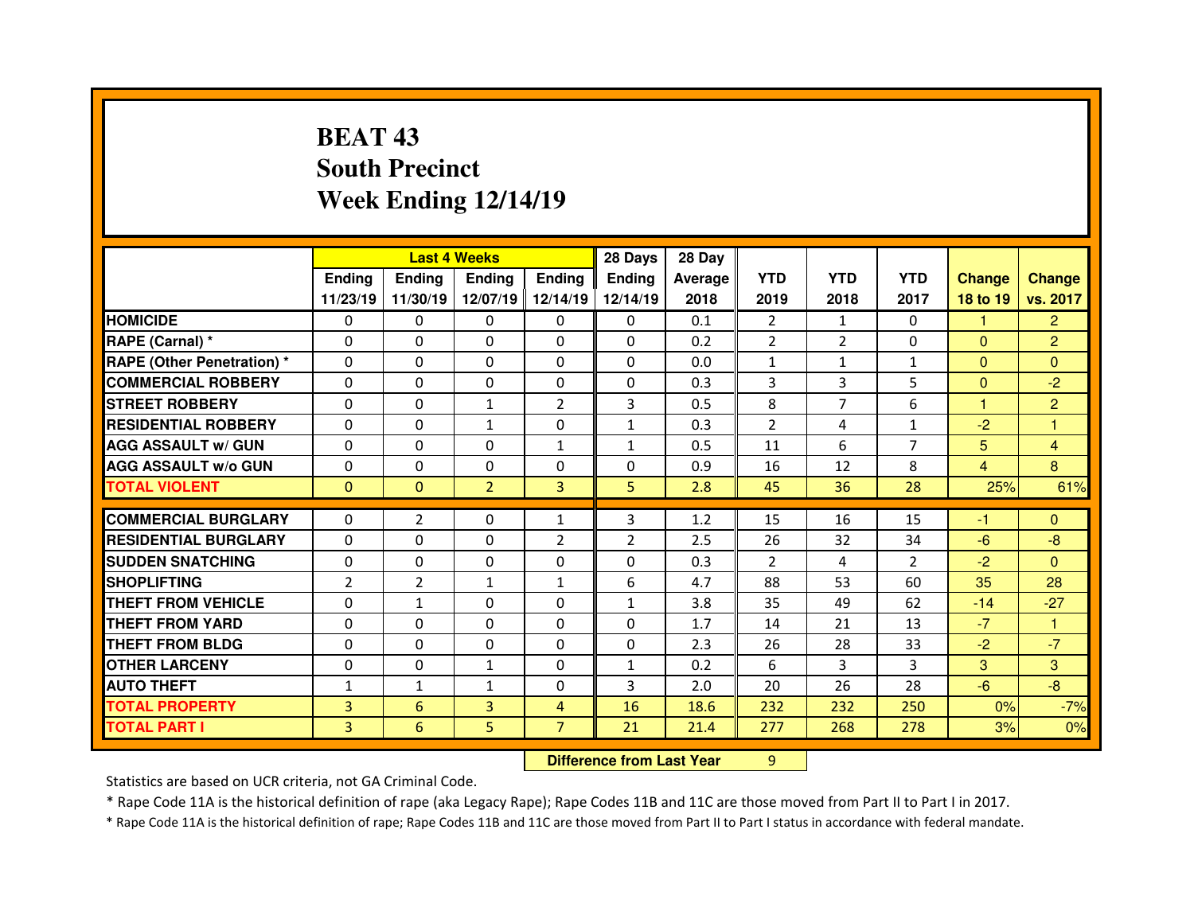# **BEAT 43 South PrecinctWeek Ending 12/14/19**

|                                   |                | <b>Last 4 Weeks</b>              |                |                |                | 28 Day  |                |                |                |                |                |
|-----------------------------------|----------------|----------------------------------|----------------|----------------|----------------|---------|----------------|----------------|----------------|----------------|----------------|
|                                   | <b>Ending</b>  | <b>Ending</b>                    | <b>Ending</b>  | <b>Ending</b>  | <b>Ending</b>  | Average | <b>YTD</b>     | <b>YTD</b>     | <b>YTD</b>     | <b>Change</b>  | <b>Change</b>  |
|                                   | 11/23/19       | 11/30/19                         | 12/07/19       | 12/14/19       | 12/14/19       | 2018    | 2019           | 2018           | 2017           | 18 to 19       | vs. 2017       |
| <b>HOMICIDE</b>                   | 0              | $\mathbf{0}$                     | $\Omega$       | $\Omega$       | $\Omega$       | 0.1     | $\overline{2}$ | $\mathbf{1}$   | $\Omega$       | 1              | $\overline{2}$ |
| RAPE (Carnal) *                   | $\Omega$       | 0                                | 0              | $\Omega$       | $\Omega$       | 0.2     | $\overline{2}$ | $\overline{2}$ | 0              | $\overline{0}$ | $\overline{2}$ |
| <b>RAPE (Other Penetration) *</b> | $\Omega$       | 0                                | 0              | $\mathbf{0}$   | $\Omega$       | 0.0     | $\mathbf{1}$   | $\mathbf{1}$   | $\mathbf{1}$   | $\mathbf{0}$   | $\Omega$       |
| <b>COMMERCIAL ROBBERY</b>         | $\Omega$       | 0                                | $\Omega$       | $\mathbf{0}$   | $\Omega$       | 0.3     | 3              | 3              | 5              | $\Omega$       | $-2$           |
| <b>STREET ROBBERY</b>             | $\Omega$       | 0                                | $\mathbf{1}$   | $\overline{2}$ | 3              | 0.5     | 8              | $\overline{7}$ | 6              | 1              | $\overline{2}$ |
| <b>RESIDENTIAL ROBBERY</b>        | $\Omega$       | 0                                | $\mathbf{1}$   | $\mathbf{0}$   | $\mathbf{1}$   | 0.3     | 2              | 4              | $\mathbf{1}$   | $-2$           | $\mathbf{1}$   |
| <b>AGG ASSAULT w/ GUN</b>         | $\Omega$       | 0                                | 0              | $\mathbf{1}$   | $\mathbf{1}$   | 0.5     | 11             | 6              | $\overline{7}$ | 5              | $\overline{4}$ |
| <b>AGG ASSAULT w/o GUN</b>        | $\Omega$       | 0                                | 0              | $\mathbf{0}$   | $\Omega$       | 0.9     | 16             | 12             | 8              | $\overline{4}$ | 8              |
| <b>TOTAL VIOLENT</b>              | $\mathbf{0}$   | $\overline{0}$                   | $\overline{2}$ | 3              | 5              | 2.8     | 45             | 36             | 28             | 25%            | 61%            |
| <b>COMMERCIAL BURGLARY</b>        | $\Omega$       | $\overline{2}$                   | $\Omega$       | $\mathbf{1}$   | 3              | 1.2     | 15             | 16             | 15             | -1             | $\mathbf{0}$   |
| <b>RESIDENTIAL BURGLARY</b>       | 0              | 0                                | 0              | $\overline{2}$ | $\overline{2}$ | 2.5     | 26             | 32             | 34             | $-6$           | $-8$           |
| <b>SUDDEN SNATCHING</b>           | 0              | 0                                | $\Omega$       | $\mathbf{0}$   | $\Omega$       | 0.3     | 2              | 4              | $\overline{2}$ | $-2$           | $\Omega$       |
| <b>SHOPLIFTING</b>                | $\overline{2}$ | $\overline{2}$                   | $\mathbf{1}$   | $\mathbf{1}$   | 6              | 4.7     | 88             | 53             | 60             | 35             | 28             |
| <b>THEFT FROM VEHICLE</b>         | 0              | $\mathbf{1}$                     | 0              | 0              | $\mathbf{1}$   | 3.8     | 35             | 49             | 62             | $-14$          | $-27$          |
| <b>THEFT FROM YARD</b>            | $\Omega$       | 0                                | 0              | $\Omega$       | 0              | 1.7     | 14             | 21             | 13             | $-7$           | 1              |
| <b>THEFT FROM BLDG</b>            | 0              | 0                                | $\Omega$       | 0              | $\Omega$       | 2.3     | 26             | 28             | 33             | $-2$           | $-7$           |
| <b>OTHER LARCENY</b>              | 0              | 0                                | $\mathbf{1}$   | 0              | $\mathbf{1}$   | 0.2     | 6              | 3              | 3              | 3              | 3              |
| <b>AUTO THEFT</b>                 | $\mathbf{1}$   | $\mathbf{1}$                     | $\mathbf{1}$   | $\mathbf{0}$   | 3              | 2.0     | 20             | 26             | 28             | $-6$           | $-8$           |
| <b>TOTAL PROPERTY</b>             | 3              | $6\phantom{1}$                   | 3              | 4              | 16             | 18.6    | 232            | 232            | 250            | 0%             | $-7%$          |
| <b>TOTAL PART I</b>               | $\overline{3}$ | 6                                | 5              | $\overline{7}$ | 21             | 21.4    | 277            | 268            | 278            | 3%             | 0%             |
|                                   |                | <b>Difference from Last Year</b> |                | 9              |                |         |                |                |                |                |                |

 **Difference from Last Year**

Statistics are based on UCR criteria, not GA Criminal Code.

\* Rape Code 11A is the historical definition of rape (aka Legacy Rape); Rape Codes 11B and 11C are those moved from Part II to Part I in 2017.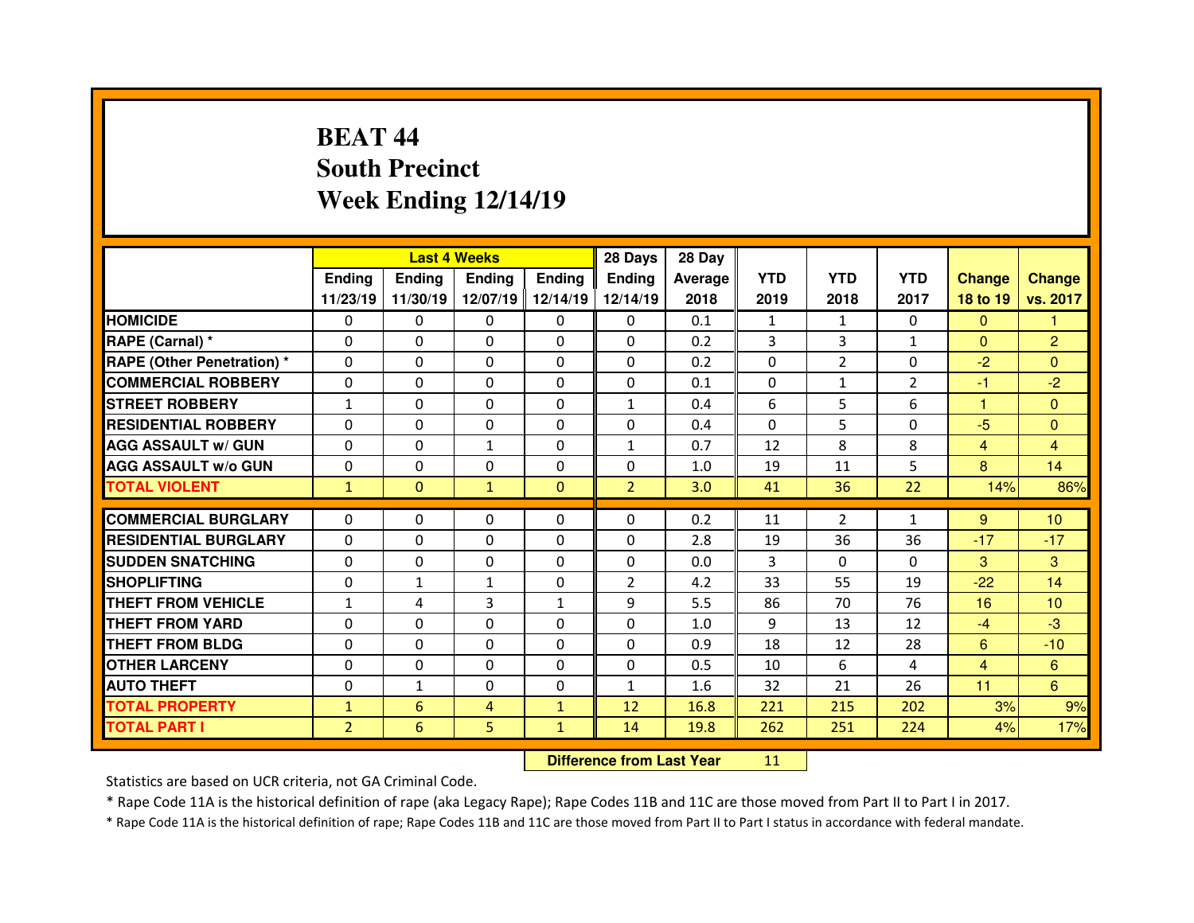# **BEAT 44 South PrecinctWeek Ending 12/14/19**

|                                   | <b>Last 4 Weeks</b> |                |                |               | 28 Days        | 28 Day                           |            |                |                |                |                 |
|-----------------------------------|---------------------|----------------|----------------|---------------|----------------|----------------------------------|------------|----------------|----------------|----------------|-----------------|
|                                   | Ending              | <b>Ending</b>  | <b>Ending</b>  | <b>Ending</b> | <b>Ending</b>  | Average                          | <b>YTD</b> | <b>YTD</b>     | <b>YTD</b>     | <b>Change</b>  | <b>Change</b>   |
|                                   | 11/23/19            | 11/30/19       | 12/07/19       | 12/14/19      | 12/14/19       | 2018                             | 2019       | 2018           | 2017           | 18 to 19       | vs. 2017        |
| <b>HOMICIDE</b>                   | 0                   | $\Omega$       | 0              | $\mathbf{0}$  | $\Omega$       | 0.1                              | 1          | $\mathbf{1}$   | $\mathbf{0}$   | $\mathbf{0}$   |                 |
| RAPE (Carnal) *                   | 0                   | 0              | 0              | $\mathbf{0}$  | $\Omega$       | 0.2                              | 3          | 3              | $\mathbf{1}$   | $\mathbf{0}$   | $\overline{2}$  |
| <b>RAPE (Other Penetration) *</b> | 0                   | 0              | 0              | $\mathbf{0}$  | 0              | 0.2                              | $\Omega$   | $\overline{2}$ | 0              | $-2$           | $\overline{0}$  |
| <b>COMMERCIAL ROBBERY</b>         | $\Omega$            | 0              | $\Omega$       | $\mathbf{0}$  | $\Omega$       | 0.1                              | $\Omega$   | $\mathbf{1}$   | $\overline{2}$ | $-1$           | $-2$            |
| <b>STREET ROBBERY</b>             | $\mathbf{1}$        | 0              | $\Omega$       | $\Omega$      | 1              | 0.4                              | 6          | 5              | 6              | н              | $\Omega$        |
| <b>RESIDENTIAL ROBBERY</b>        | $\Omega$            | 0              | $\Omega$       | $\Omega$      | $\Omega$       | 0.4                              | $\Omega$   | 5              | 0              | $-5$           | $\Omega$        |
| <b>AGG ASSAULT w/ GUN</b>         | 0                   | 0              | $\mathbf{1}$   | $\mathbf{0}$  | $\mathbf{1}$   | 0.7                              | 12         | 8              | 8              | $\overline{4}$ | 4               |
| <b>AGG ASSAULT w/o GUN</b>        | $\Omega$            | 0              | 0              | $\Omega$      | 0              | 1.0                              | 19         | 11             | 5              | 8              | 14              |
| <b>TOTAL VIOLENT</b>              | $\mathbf{1}$        | $\overline{0}$ | $\mathbf{1}$   | $\mathbf{0}$  | $\overline{2}$ | 3.0                              | 41         | 36             | 22             | 14%            | 86%             |
| <b>COMMERCIAL BURGLARY</b>        | $\Omega$            | 0              | $\Omega$       | $\Omega$      | $\Omega$       | 0.2                              | 11         | $\overline{2}$ | $\mathbf{1}$   | 9              | 10 <sup>1</sup> |
| <b>RESIDENTIAL BURGLARY</b>       | 0                   | 0              | 0              | $\mathbf{0}$  | $\Omega$       | 2.8                              | 19         | 36             | 36             | $-17$          | $-17$           |
| <b>SUDDEN SNATCHING</b>           | $\Omega$            | 0              | 0              | $\Omega$      | $\Omega$       | 0.0                              | 3          | $\Omega$       | 0              | 3              | 3               |
| <b>SHOPLIFTING</b>                | $\Omega$            | $\mathbf{1}$   | $\mathbf{1}$   | 0             | $\overline{2}$ | 4.2                              | 33         | 55             | 19             | $-22$          | 14              |
| <b>THEFT FROM VEHICLE</b>         | $\mathbf{1}$        | 4              | 3              | $\mathbf{1}$  | 9              | 5.5                              | 86         | 70             | 76             | 16             | 10 <sup>°</sup> |
| <b>THEFT FROM YARD</b>            | 0                   | 0              | 0              | 0             | $\Omega$       | 1.0                              | 9          | 13             | 12             | $-4$           | $-3$            |
| <b>THEFT FROM BLDG</b>            | $\Omega$            | 0              | 0              | 0             | $\Omega$       | 0.9                              | 18         | 12             | 28             | 6              | $-10$           |
| <b>OTHER LARCENY</b>              | 0                   | 0              | 0              | $\Omega$      | $\Omega$       | 0.5                              | 10         | 6              | 4              | $\overline{4}$ | 6               |
| <b>AUTO THEFT</b>                 | 0                   | $\mathbf{1}$   | $\Omega$       | $\Omega$      | $\mathbf{1}$   | 1.6                              | 32         | 21             | 26             | 11             | 6               |
| <b>TOTAL PROPERTY</b>             | $\mathbf{1}$        | 6              | $\overline{4}$ | $\mathbf{1}$  | 12             | 16.8                             | 221        | 215            | 202            | 3%             | 9%              |
| <b>TOTAL PART I</b>               | $\overline{a}$      | 6              | 5              | $\mathbf{1}$  | 14             | 19.8                             | 262        | 251            | 224            | 4%             | 17%             |
|                                   |                     |                |                |               |                | <b>Difference from Last Year</b> | 11         |                |                |                |                 |

Statistics are based on UCR criteria, not GA Criminal Code.

\* Rape Code 11A is the historical definition of rape (aka Legacy Rape); Rape Codes 11B and 11C are those moved from Part II to Part I in 2017.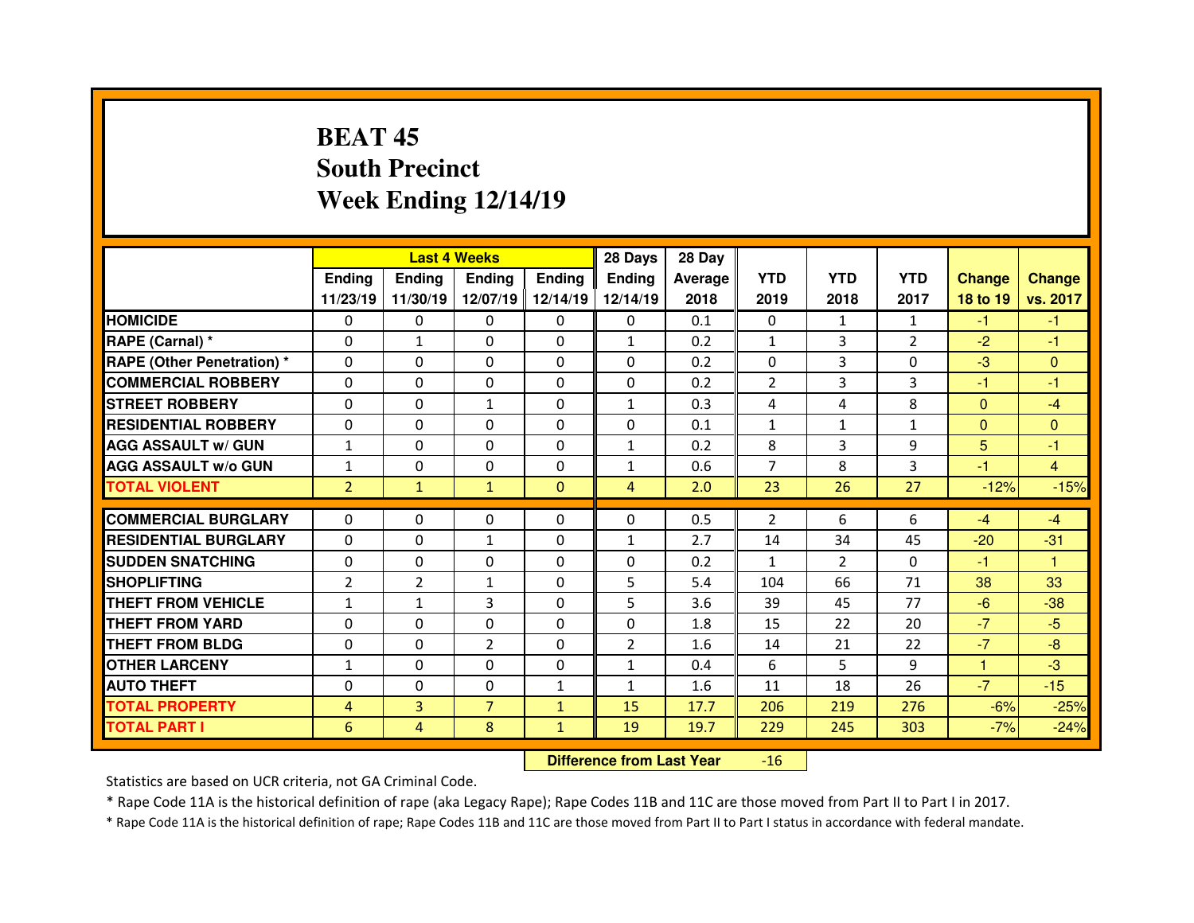# **BEAT 45 South PrecinctWeek Ending 12/14/19**

|                                  |                | <b>Last 4 Weeks</b> |                |               | 28 Days        | 28 Day  |                |               |                |               |                |
|----------------------------------|----------------|---------------------|----------------|---------------|----------------|---------|----------------|---------------|----------------|---------------|----------------|
|                                  | Ending         | <b>Endina</b>       | Ending         | <b>Ending</b> | <b>Ending</b>  | Average | <b>YTD</b>     | <b>YTD</b>    | <b>YTD</b>     | <b>Change</b> | <b>Change</b>  |
|                                  | 11/23/19       | 11/30/19            | 12/07/19       | 12/14/19      | 12/14/19       | 2018    | 2019           | 2018          | 2017           | 18 to 19      | vs. 2017       |
| <b>HOMICIDE</b>                  | 0              | 0                   | 0              | $\Omega$      | 0              | 0.1     | $\Omega$       | $\mathbf{1}$  | $\mathbf{1}$   | $-1$          | $-1$           |
| RAPE (Carnal) *                  | $\Omega$       | $\mathbf{1}$        | 0              | $\Omega$      | $\mathbf{1}$   | 0.2     | $\mathbf{1}$   | 3             | $\overline{2}$ | $-2$          | $-1$           |
| <b>RAPE (Other Penetration)*</b> | $\Omega$       | 0                   | $\Omega$       | $\Omega$      | $\Omega$       | 0.2     | $\Omega$       | 3             | $\Omega$       | $-3$          | $\Omega$       |
| <b>COMMERCIAL ROBBERY</b>        | $\Omega$       | 0                   | $\Omega$       | $\Omega$      | $\Omega$       | 0.2     | 2              | 3             | 3              | -1            | -1             |
| <b>STREET ROBBERY</b>            | $\Omega$       | 0                   | $\mathbf{1}$   | $\Omega$      | $\mathbf{1}$   | 0.3     | 4              | 4             | 8              | $\Omega$      | $-4$           |
| <b>RESIDENTIAL ROBBERY</b>       | $\Omega$       | 0                   | $\Omega$       | $\Omega$      | $\Omega$       | 0.1     | $\mathbf{1}$   | $\mathbf{1}$  | $\mathbf{1}$   | $\Omega$      | $\Omega$       |
| <b>AGG ASSAULT w/ GUN</b>        | $\mathbf{1}$   | 0                   | $\Omega$       | $\Omega$      | $\mathbf{1}$   | 0.2     | 8              | 3             | 9              | 5             | $-1$           |
| <b>AGG ASSAULT w/o GUN</b>       | $\mathbf{1}$   | 0                   | 0              | $\Omega$      | $\mathbf{1}$   | 0.6     | $\overline{7}$ | 8             | 3              | $-1$          | $\overline{4}$ |
| <b>TOTAL VIOLENT</b>             | $\overline{2}$ | $\mathbf{1}$        | $\mathbf{1}$   | $\mathbf{0}$  | $\overline{4}$ | 2.0     | 23             | 26            | 27             | $-12%$        | $-15%$         |
|                                  |                |                     |                |               |                |         |                |               |                |               |                |
| <b>COMMERCIAL BURGLARY</b>       | 0              | 0                   | 0              | $\mathbf{0}$  | $\Omega$       | 0.5     | 2              | 6             | 6              | $-4$          | $-4$           |
| <b>RESIDENTIAL BURGLARY</b>      | $\Omega$       | 0                   | $\mathbf{1}$   | 0             | $\mathbf{1}$   | 2.7     | 14             | 34            | 45             | $-20$         | $-31$          |
| <b>SUDDEN SNATCHING</b>          | 0              | 0                   | 0              | $\mathbf{0}$  | $\Omega$       | 0.2     | $\mathbf{1}$   | $\mathcal{P}$ | $\Omega$       | -1            | $\mathbf{1}$   |
| <b>SHOPLIFTING</b>               | $\overline{2}$ | $\overline{2}$      | $\mathbf{1}$   | $\mathbf{0}$  | 5              | 5.4     | 104            | 66            | 71             | 38            | 33             |
| THEFT FROM VEHICLE               | $\mathbf{1}$   | $\mathbf{1}$        | 3              | $\Omega$      | 5              | 3.6     | 39             | 45            | 77             | $-6$          | $-38$          |
| <b>THEFT FROM YARD</b>           | 0              | 0                   | $\Omega$       | 0             | $\Omega$       | 1.8     | 15             | 22            | 20             | $-7$          | $-5$           |
| <b>THEFT FROM BLDG</b>           | $\Omega$       | 0                   | $\overline{2}$ | $\Omega$      | $\overline{2}$ | 1.6     | 14             | 21            | 22             | $-7$          | $-8$           |
|                                  |                |                     |                |               |                |         |                |               |                |               |                |
| <b>OTHER LARCENY</b>             | $\mathbf{1}$   | 0                   | $\Omega$       | $\Omega$      | $\mathbf{1}$   | 0.4     | 6              | 5.            | 9              | 1             | $-3$           |
| <b>AUTO THEFT</b>                | $\Omega$       | 0                   | 0              | $\mathbf{1}$  | $\mathbf{1}$   | 1.6     | 11             | 18            | 26             | $-7$          | $-15$          |
| <b>TOTAL PROPERTY</b>            | 4              | 3                   | $\overline{7}$ | $\mathbf{1}$  | 15             | 17.7    | 206            | 219           | 276            | $-6%$         | $-25%$         |
| <b>TOTAL PART I</b>              | 6              | 4                   | 8              | $\mathbf{1}$  | 19             | 19.7    | 229            | 245           | 303            | $-7%$         | $-24%$         |

 **Difference from Last Year**-16

Statistics are based on UCR criteria, not GA Criminal Code.

\* Rape Code 11A is the historical definition of rape (aka Legacy Rape); Rape Codes 11B and 11C are those moved from Part II to Part I in 2017.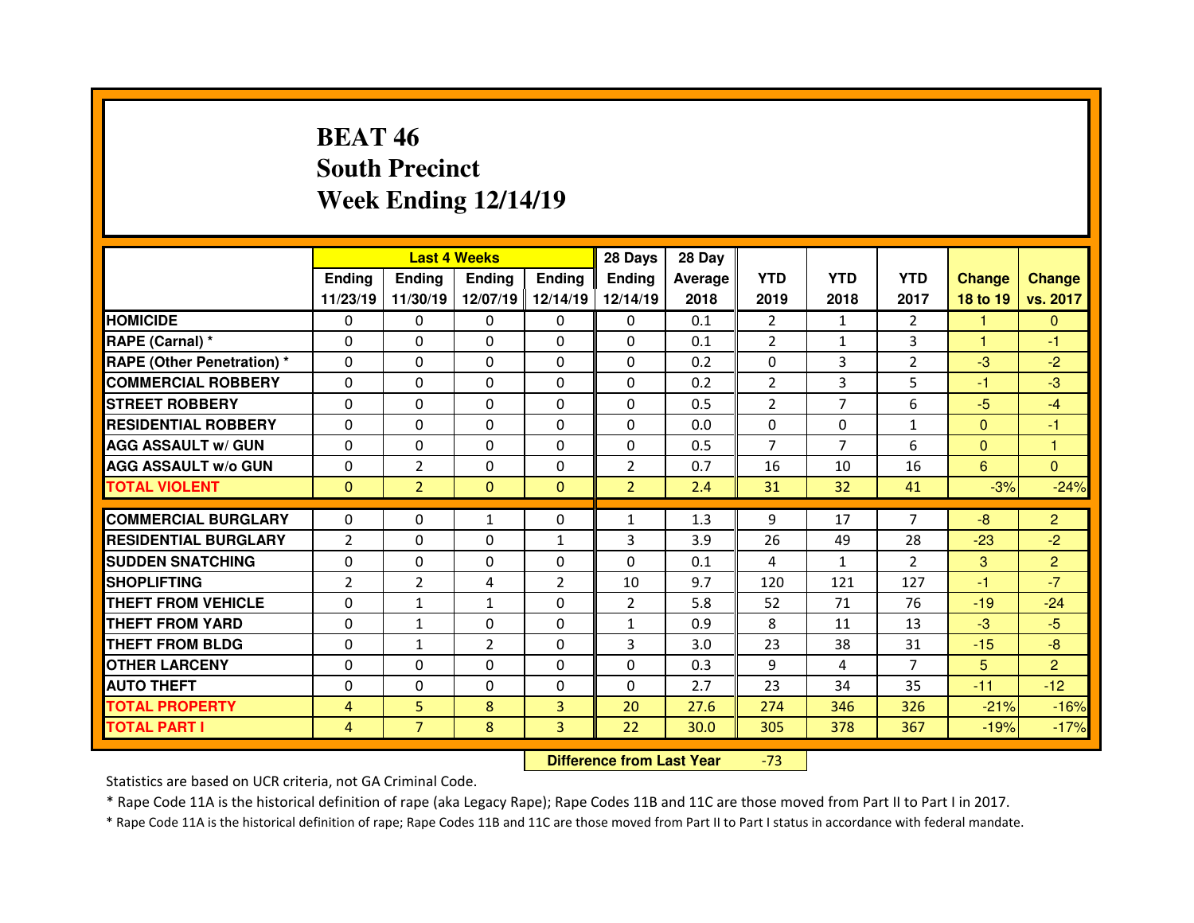# **BEAT 46 South PrecinctWeek Ending 12/14/19**

|                                  |                |                | <b>Last 4 Weeks</b> |                | 28 Days        | 28 Day  |                |                |                |                |                |
|----------------------------------|----------------|----------------|---------------------|----------------|----------------|---------|----------------|----------------|----------------|----------------|----------------|
|                                  | Ending         | <b>Ending</b>  | <b>Ending</b>       | <b>Ending</b>  | <b>Ending</b>  | Average | <b>YTD</b>     | <b>YTD</b>     | <b>YTD</b>     | <b>Change</b>  | <b>Change</b>  |
|                                  | 11/23/19       | 11/30/19       | 12/07/19            | 12/14/19       | 12/14/19       | 2018    | 2019           | 2018           | 2017           | 18 to 19       | vs. 2017       |
| <b>HOMICIDE</b>                  | $\Omega$       | 0              | 0                   | $\Omega$       | 0              | 0.1     | 2              | $\mathbf{1}$   | $\overline{2}$ | 1              | $\mathbf{0}$   |
| RAPE (Carnal) *                  | $\Omega$       | 0              | $\Omega$            | $\Omega$       | $\Omega$       | 0.1     | 2              | $\mathbf{1}$   | 3              | $\mathbf{1}$   | -1             |
| <b>RAPE (Other Penetration)*</b> | $\Omega$       | 0              | $\Omega$            | $\Omega$       | $\Omega$       | 0.2     | $\Omega$       | 3              | $\overline{2}$ | $-3$           | $-2$           |
| <b>COMMERCIAL ROBBERY</b>        | $\Omega$       | 0              | $\Omega$            | $\Omega$       | $\Omega$       | 0.2     | 2              | 3              | 5              | -1             | $-3$           |
| <b>STREET ROBBERY</b>            | $\Omega$       | 0              | $\Omega$            | $\Omega$       | $\Omega$       | 0.5     | $\overline{2}$ | $\overline{7}$ | 6              | $-5$           | $-4$           |
| <b>RESIDENTIAL ROBBERY</b>       | $\Omega$       | 0              | $\Omega$            | $\Omega$       | $\Omega$       | 0.0     | $\Omega$       | $\Omega$       | $\mathbf{1}$   | $\overline{0}$ | $-1$           |
| <b>AGG ASSAULT w/ GUN</b>        | $\Omega$       | 0              | $\Omega$            | $\Omega$       | $\mathbf 0$    | 0.5     | $\overline{7}$ | $\overline{7}$ | 6              | $\overline{0}$ | $\mathbf{1}$   |
| <b>AGG ASSAULT w/o GUN</b>       | $\Omega$       | $\overline{2}$ | $\Omega$            | $\Omega$       | $\overline{2}$ | 0.7     | 16             | 10             | 16             | 6              | $\Omega$       |
| <b>TOTAL VIOLENT</b>             | $\mathbf{0}$   | $\overline{2}$ | $\mathbf{0}$        | $\mathbf{0}$   | $\overline{2}$ | 2.4     | 31             | 32             | 41             | $-3%$          | $-24%$         |
| <b>COMMERCIAL BURGLARY</b>       | $\Omega$       | 0              | $\mathbf{1}$        | $\mathbf{0}$   | $\mathbf{1}$   | 1.3     | 9              | 17             | $\overline{7}$ | $-8$           | $\overline{2}$ |
|                                  |                |                |                     |                |                |         |                |                |                |                |                |
| <b>RESIDENTIAL BURGLARY</b>      | $\overline{2}$ | 0              | 0                   | $\mathbf{1}$   | 3              | 3.9     | 26             | 49             | 28             | $-23$          | $-2$           |
| <b>SUDDEN SNATCHING</b>          | $\Omega$       | 0              | $\Omega$            | $\Omega$       | $\Omega$       | 0.1     | 4              | $\mathbf{1}$   | $\mathcal{P}$  | 3              | $\overline{2}$ |
| <b>SHOPLIFTING</b>               | $\overline{2}$ | $\overline{2}$ | 4                   | 2              | 10             | 9.7     | 120            | 121            | 127            | -1             | $-7$           |
| <b>THEFT FROM VEHICLE</b>        | $\Omega$       | $\mathbf{1}$   | $\mathbf{1}$        | $\Omega$       | $\overline{2}$ | 5.8     | 52             | 71             | 76             | $-19$          | $-24$          |
| <b>THEFT FROM YARD</b>           | $\Omega$       | $\mathbf{1}$   | $\Omega$            | $\mathbf{0}$   | $\mathbf{1}$   | 0.9     | 8              | 11             | 13             | $-3$           | $-5$           |
| <b>THEFT FROM BLDG</b>           | 0              | $\mathbf{1}$   | $\overline{2}$      | $\mathbf{0}$   | 3              | 3.0     | 23             | 38             | 31             | $-15$          | $-8$           |
| <b>OTHER LARCENY</b>             | $\Omega$       | 0              | $\Omega$            | $\Omega$       | $\mathbf 0$    | 0.3     | 9              | 4              | $\overline{7}$ | 5 <sup>5</sup> | $\overline{2}$ |
| <b>AUTO THEFT</b>                | 0              | 0              | 0                   | $\mathbf{0}$   | $\Omega$       | 2.7     | 23             | 34             | 35             | $-11$          | $-12$          |
|                                  |                |                |                     | $\overline{3}$ | 20             | 27.6    | 274            | 346            | 326            | $-21%$         | $-16%$         |
| <b>TOTAL PROPERTY</b>            | $\overline{4}$ | 5              | 8                   |                |                |         |                |                |                |                |                |

 **Difference from Last Year**-73

Statistics are based on UCR criteria, not GA Criminal Code.

\* Rape Code 11A is the historical definition of rape (aka Legacy Rape); Rape Codes 11B and 11C are those moved from Part II to Part I in 2017.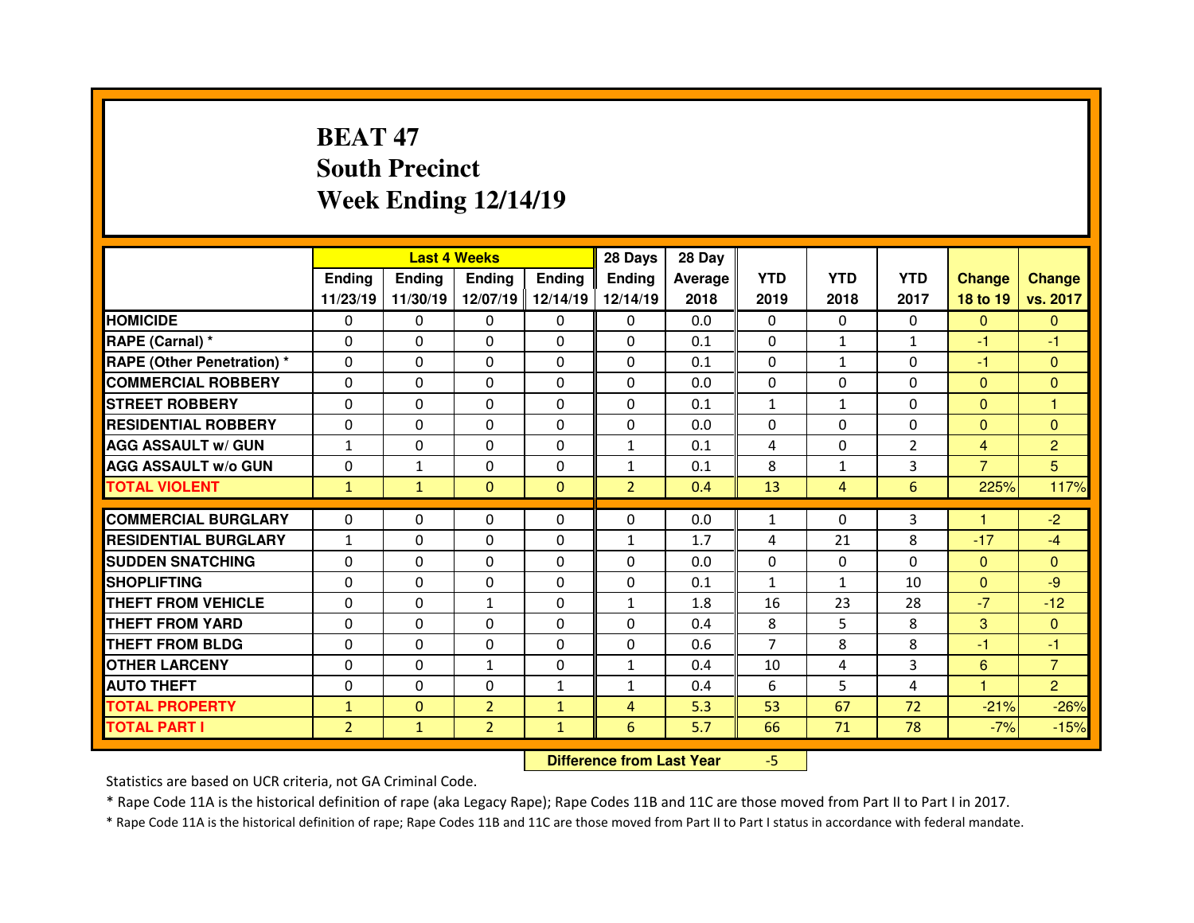# **BEAT 47 South PrecinctWeek Ending 12/14/19**

|                                   |                | <b>Last 4 Weeks</b><br>Ending<br><b>Ending</b><br><b>Ending</b><br><b>Endina</b> |                |              |                | 28 Day  |                |              |                |                |                |
|-----------------------------------|----------------|----------------------------------------------------------------------------------|----------------|--------------|----------------|---------|----------------|--------------|----------------|----------------|----------------|
|                                   |                |                                                                                  |                |              | <b>Ending</b>  | Average | <b>YTD</b>     | <b>YTD</b>   | <b>YTD</b>     | <b>Change</b>  | <b>Change</b>  |
|                                   | 11/23/19       | 11/30/19                                                                         | 12/07/19       | 12/14/19     | 12/14/19       | 2018    | 2019           | 2018         | 2017           | 18 to 19       | vs. 2017       |
| <b>HOMICIDE</b>                   | $\Omega$       | 0                                                                                | $\Omega$       | $\Omega$     | $\Omega$       | 0.0     | $\Omega$       | $\Omega$     | $\Omega$       | $\Omega$       | $\Omega$       |
| RAPE (Carnal) *                   | $\Omega$       | 0                                                                                | $\Omega$       | $\Omega$     | $\Omega$       | 0.1     | $\Omega$       | $\mathbf{1}$ | $\mathbf{1}$   | $-1$           | $-1$           |
| <b>RAPE (Other Penetration) *</b> | $\Omega$       | 0                                                                                | $\Omega$       | $\Omega$     | $\Omega$       | 0.1     | $\Omega$       | $\mathbf{1}$ | $\Omega$       | $-1$           | $\Omega$       |
| <b>COMMERCIAL ROBBERY</b>         | $\Omega$       | 0                                                                                | $\Omega$       | $\Omega$     | $\Omega$       | 0.0     | $\Omega$       | $\Omega$     | $\Omega$       | $\Omega$       | $\Omega$       |
| <b>STREET ROBBERY</b>             | $\Omega$       | 0                                                                                | $\Omega$       | $\mathbf{0}$ | $\Omega$       | 0.1     | $\mathbf{1}$   | $\mathbf{1}$ | $\Omega$       | $\Omega$       | 1              |
| <b>RESIDENTIAL ROBBERY</b>        | $\Omega$       | 0                                                                                | $\Omega$       | $\Omega$     | $\Omega$       | 0.0     | $\Omega$       | $\Omega$     | $\Omega$       | $\Omega$       | $\Omega$       |
| <b>AGG ASSAULT w/ GUN</b>         | $\mathbf{1}$   | 0                                                                                | $\Omega$       | $\mathbf{0}$ | $\mathbf{1}$   | 0.1     | 4              | $\Omega$     | $\overline{2}$ | $\overline{4}$ | $\overline{c}$ |
| <b>AGG ASSAULT w/o GUN</b>        | $\Omega$       | $\mathbf{1}$                                                                     | $\Omega$       | $\mathbf{0}$ | $\mathbf{1}$   | 0.1     | 8              | $\mathbf{1}$ | 3              | $\overline{7}$ | 5              |
| <b>TOTAL VIOLENT</b>              | $\mathbf{1}$   | $\mathbf{1}$                                                                     | $\mathbf{0}$   | $\Omega$     | $\overline{2}$ | 0.4     | 13             | 4            | 6              | 225%           | 117%           |
|                                   |                |                                                                                  |                |              |                |         |                |              |                | н              |                |
| <b>COMMERCIAL BURGLARY</b>        | $\Omega$       | 0                                                                                | 0              | $\mathbf{0}$ | $\Omega$       | 0.0     | 1              | $\Omega$     | 3              |                | $-2$           |
| <b>RESIDENTIAL BURGLARY</b>       | $\mathbf{1}$   | 0                                                                                | $\Omega$       | $\mathbf{0}$ | $\mathbf{1}$   | 1.7     | 4              | 21           | 8              | $-17$          | $-4$           |
| <b>SUDDEN SNATCHING</b>           | $\Omega$       | 0                                                                                | 0              | $\Omega$     | $\Omega$       | 0.0     | $\Omega$       | $\Omega$     | $\Omega$       | $\mathbf{0}$   | $\Omega$       |
| <b>SHOPLIFTING</b>                | $\Omega$       | 0                                                                                | 0              | $\Omega$     | $\Omega$       | 0.1     | $\mathbf{1}$   | $\mathbf{1}$ | 10             | $\mathbf{0}$   | $-9$           |
| <b>THEFT FROM VEHICLE</b>         | 0              | 0                                                                                | $\mathbf{1}$   | $\mathbf{0}$ | $\mathbf{1}$   | 1.8     | 16             | 23           | 28             | $-7$           | $-12$          |
| <b>THEFT FROM YARD</b>            | $\Omega$       | 0                                                                                | $\Omega$       | $\Omega$     | $\Omega$       | 0.4     | 8              | 5.           | 8              | 3              | $\Omega$       |
| <b>THEFT FROM BLDG</b>            | 0              | 0                                                                                | 0              | $\mathbf{0}$ | $\Omega$       | 0.6     | $\overline{7}$ | 8            | 8              | -1             | $-1$           |
| <b>OTHER LARCENY</b>              | $\Omega$       | 0                                                                                | $\mathbf{1}$   | $\Omega$     | $\mathbf{1}$   | 0.4     | 10             | 4            | 3              | 6              | $\overline{7}$ |
| <b>AUTO THEFT</b>                 | $\Omega$       | 0                                                                                | 0              | $\mathbf{1}$ | $\mathbf{1}$   | 0.4     | 6              | 5.           | 4              | 1              | $\overline{2}$ |
| <b>TOTAL PROPERTY</b>             | $\mathbf{1}$   | $\Omega$                                                                         | $\overline{2}$ | $\mathbf{1}$ | 4              | 5.3     | 53             | 67           | 72             | $-21%$         | $-26%$         |
| <b>TOTAL PART I</b>               | $\overline{2}$ | $\mathbf{1}$                                                                     | $\overline{2}$ | $\mathbf{1}$ | 6              | 5.7     | 66             | 71           | 78             | $-7%$          | $-15%$         |
|                                   |                |                                                                                  |                |              |                |         |                |              |                |                |                |

 **Difference from Last Year**-5

Statistics are based on UCR criteria, not GA Criminal Code.

\* Rape Code 11A is the historical definition of rape (aka Legacy Rape); Rape Codes 11B and 11C are those moved from Part II to Part I in 2017.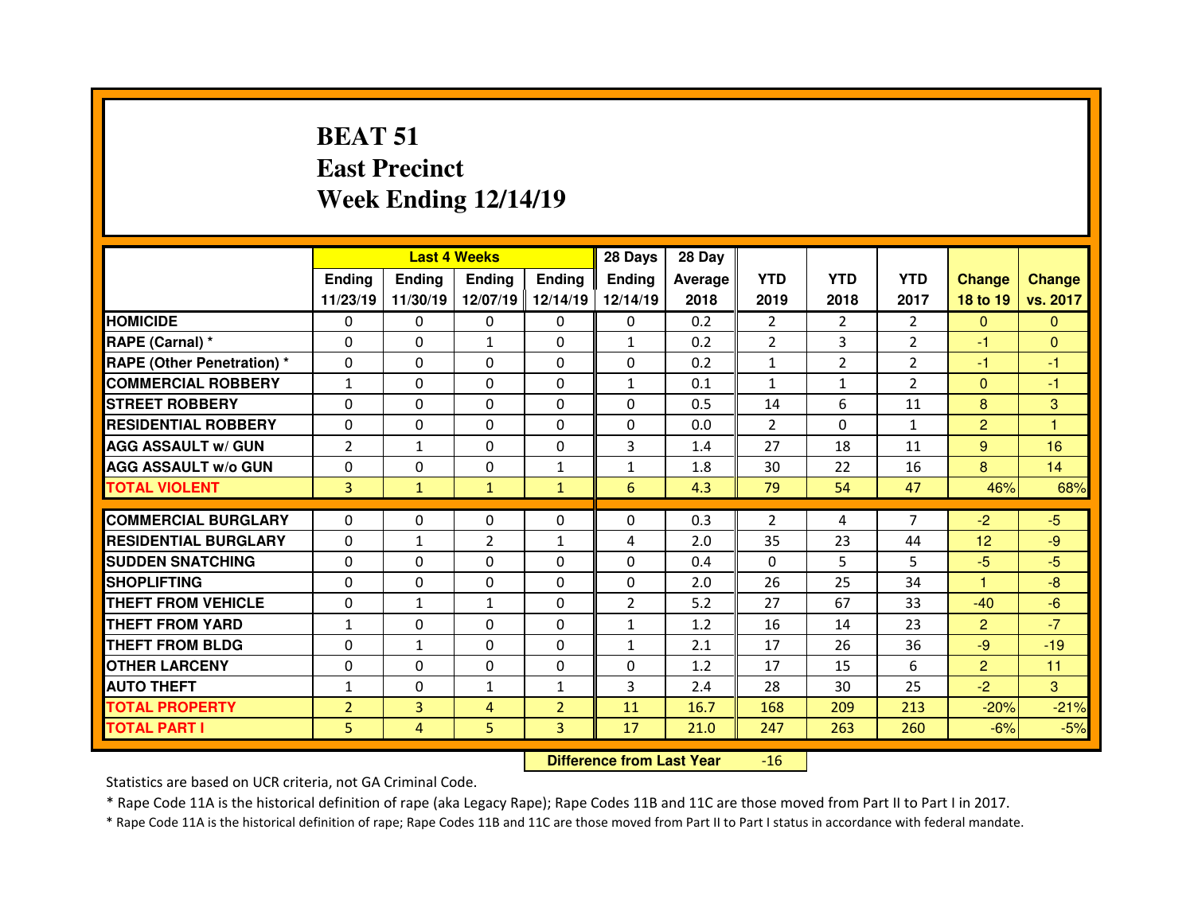# **BEAT 51 East PrecinctWeek Ending 12/14/19**

|                             |                      | <b>Last 4 Weeks</b> |                      |                              | 28 Days              | 28 Day     |                |                |                |                      |                |
|-----------------------------|----------------------|---------------------|----------------------|------------------------------|----------------------|------------|----------------|----------------|----------------|----------------------|----------------|
|                             | <b>Ending</b>        | <b>Ending</b>       | <b>Ending</b>        | <b>Ending</b>                | Ending               | Average    | <b>YTD</b>     | <b>YTD</b>     | <b>YTD</b>     | <b>Change</b>        | <b>Change</b>  |
|                             | 11/23/19             | 11/30/19            | 12/07/19             | 12/14/19                     | 12/14/19             | 2018       | 2019           | 2018           | 2017           | 18 to 19             | vs. 2017       |
| <b>HOMICIDE</b>             | 0                    | 0                   | 0                    | $\mathbf{0}$                 | $\Omega$             | 0.2        | $\overline{2}$ | $\overline{2}$ | $\overline{2}$ | $\mathbf{0}$         | $\mathbf{0}$   |
| RAPE (Carnal) *             | $\Omega$             | 0                   | $\mathbf{1}$         | $\Omega$                     | $\mathbf{1}$         | 0.2        | $\overline{2}$ | 3              | $\overline{2}$ | $-1$                 | $\Omega$       |
| RAPE (Other Penetration) *  | $\Omega$             | 0                   | $\Omega$             | $\Omega$                     | $\Omega$             | 0.2        | $\mathbf{1}$   | $\overline{2}$ | $\overline{2}$ | $-1$                 | $-1$           |
| <b>COMMERCIAL ROBBERY</b>   | $\mathbf{1}$         | 0                   | $\Omega$             | $\mathbf{0}$                 | $\mathbf{1}$         | 0.1        | $\mathbf{1}$   | $\mathbf{1}$   | $\mathcal{P}$  | $\mathbf{0}$         | $-1$           |
| <b>STREET ROBBERY</b>       | $\Omega$             | 0                   | $\Omega$             | $\Omega$                     | $\Omega$             | 0.5        | 14             | 6              | 11             | 8                    | 3              |
| <b>RESIDENTIAL ROBBERY</b>  | $\Omega$             | 0                   | 0                    | $\mathbf{0}$                 | $\Omega$             | 0.0        | $\overline{2}$ | $\Omega$       | $\mathbf{1}$   | $\overline{2}$       | $\overline{1}$ |
| <b>AGG ASSAULT w/ GUN</b>   | $\overline{2}$       | $\mathbf{1}$        | 0                    | 0                            | 3                    | 1.4        | 27             | 18             | 11             | 9                    | 16             |
| <b>AGG ASSAULT W/o GUN</b>  | $\Omega$             | 0                   | 0                    | $\mathbf{1}$                 | 1                    | 1.8        | 30             | 22             | 16             | 8                    | 14             |
| <b>TOTAL VIOLENT</b>        | 3                    | $\mathbf{1}$        | $\mathbf{1}$         | $\mathbf{1}$                 | 6                    | 4.3        | 79             | 54             | 47             | 46%                  | 68%            |
| <b>COMMERCIAL BURGLARY</b>  | $\Omega$             | 0                   | 0                    | $\mathbf{0}$                 | $\Omega$             | 0.3        | $\overline{2}$ | 4              | $\overline{7}$ | $-2$                 | $-5$           |
| <b>RESIDENTIAL BURGLARY</b> | $\Omega$             |                     |                      |                              | 4                    | 2.0        | 35             | 23             | 44             | 12                   | $-9$           |
| <b>SUDDEN SNATCHING</b>     |                      | $\mathbf{1}$        | $\overline{2}$       | $\mathbf{1}$                 |                      |            | $\Omega$       |                |                |                      | $-5$           |
| <b>SHOPLIFTING</b>          | $\Omega$<br>$\Omega$ | 0<br>0              | $\Omega$<br>$\Omega$ | $\mathbf{0}$<br>$\mathbf{0}$ | $\Omega$<br>$\Omega$ | 0.4<br>2.0 | 26             | 5<br>25        | 5<br>34        | $-5$<br>$\mathbf{1}$ | $-8$           |
| THEFT FROM VEHICLE          | $\Omega$             |                     |                      | $\Omega$                     |                      |            |                | 67             |                | $-40$                |                |
|                             |                      | $\mathbf{1}$        | $\mathbf{1}$         |                              | $\overline{2}$       | 5.2        | 27             |                | 33             |                      | $-6$           |
| <b>THEFT FROM YARD</b>      | $\mathbf{1}$         | 0                   | $\Omega$             | $\mathbf{0}$                 | $\mathbf{1}$         | 1.2        | 16             | 14             | 23             | $\overline{2}$       | $-7$           |
| <b>THEFT FROM BLDG</b>      | $\Omega$             | $\mathbf{1}$        | 0                    | $\mathbf{0}$                 | $\mathbf{1}$         | 2.1        | 17             | 26             | 36             | $-9$                 | $-19$          |
| <b>OTHER LARCENY</b>        | $\Omega$             | 0                   | $\Omega$             | $\Omega$                     | $\Omega$             | 1.2        | 17             | 15             | 6              | $\overline{2}$       | 11             |
| <b>AUTO THEFT</b>           | $\mathbf{1}$         | 0                   | $\mathbf{1}$         | $\mathbf{1}$                 | 3                    | 2.4        | 28             | 30             | 25             | $-2$                 | 3              |
| <b>TOTAL PROPERTY</b>       | $\overline{2}$       | 3                   | 4                    | $\overline{2}$               | 11                   | 16.7       | 168            | 209            | 213            | $-20%$               | $-21%$         |
| <b>TOTAL PART I</b>         | 5                    | 4                   | 5                    | 3                            | 17                   | 21.0       | 247            | 263            | 260            | $-6%$                | $-5%$          |

 **Difference from Last Year**-16

Statistics are based on UCR criteria, not GA Criminal Code.

\* Rape Code 11A is the historical definition of rape (aka Legacy Rape); Rape Codes 11B and 11C are those moved from Part II to Part I in 2017.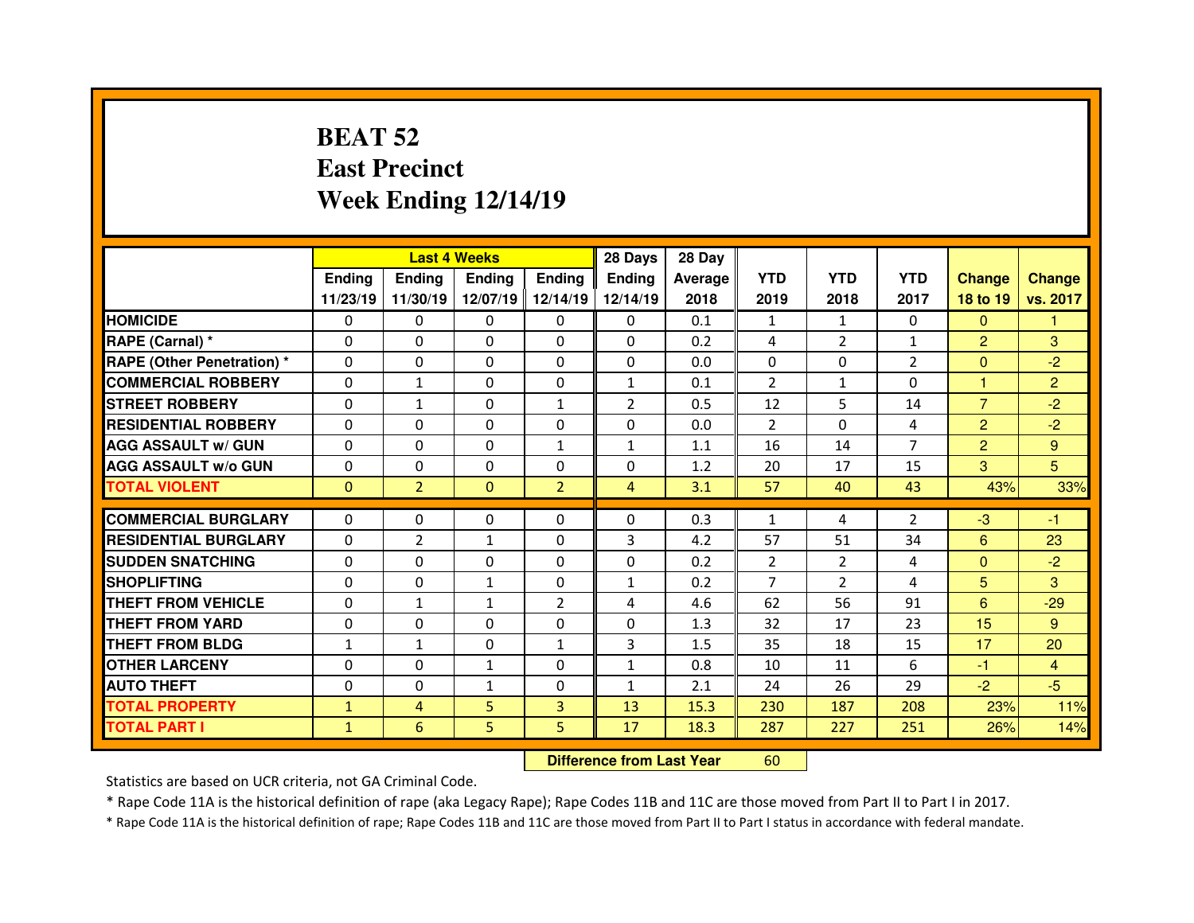# **BEAT 52 East PrecinctWeek Ending 12/14/19**

|                                  |              | <b>Last 4 Weeks</b> |               |                | 28 Days        | 28 Day         |                |                |                |                |                |
|----------------------------------|--------------|---------------------|---------------|----------------|----------------|----------------|----------------|----------------|----------------|----------------|----------------|
|                                  | Ending       | <b>Endina</b>       | <b>Ending</b> | <b>Ending</b>  | <b>Ending</b>  | <b>Average</b> | <b>YTD</b>     | <b>YTD</b>     | <b>YTD</b>     | <b>Change</b>  | <b>Change</b>  |
|                                  | 11/23/19     | 11/30/19            | 12/07/19      | 12/14/19       | 12/14/19       | 2018           | 2019           | 2018           | 2017           | 18 to 19       | vs. 2017       |
| <b>HOMICIDE</b>                  | 0            | $\Omega$            | $\Omega$      | $\Omega$       | 0              | 0.1            | $\mathbf{1}$   | $\mathbf{1}$   | $\Omega$       | $\Omega$       | 1              |
| RAPE (Carnal) *                  | $\Omega$     | 0                   | 0             | $\Omega$       | $\Omega$       | 0.2            | 4              | $\overline{2}$ | $\mathbf{1}$   | $\overline{2}$ | 3              |
| <b>RAPE (Other Penetration)*</b> | $\Omega$     | 0                   | 0             | $\Omega$       | $\Omega$       | 0.0            | $\Omega$       | $\Omega$       | $\overline{2}$ | $\mathbf{0}$   | $-2$           |
| <b>COMMERCIAL ROBBERY</b>        | $\Omega$     | $\mathbf{1}$        | $\Omega$      | $\Omega$       | $\mathbf{1}$   | 0.1            | 2              | $\mathbf{1}$   | $\Omega$       | 1              | $\overline{2}$ |
| <b>STREET ROBBERY</b>            | $\Omega$     | $\mathbf{1}$        | $\Omega$      | $\mathbf{1}$   | $\overline{2}$ | 0.5            | 12             | 5.             | 14             | $\overline{7}$ | $-2$           |
| <b>RESIDENTIAL ROBBERY</b>       | $\Omega$     | 0                   | 0             | $\Omega$       | $\Omega$       | 0.0            | $\mathcal{P}$  | $\Omega$       | 4              | $\overline{2}$ | $-2$           |
| <b>AGG ASSAULT w/ GUN</b>        | $\Omega$     | 0                   | $\Omega$      | $\mathbf{1}$   | $\mathbf{1}$   | 1.1            | 16             | 14             | $\overline{7}$ | $\overline{2}$ | 9              |
| <b>AGG ASSAULT W/o GUN</b>       | $\Omega$     | 0                   | $\Omega$      | $\Omega$       | $\Omega$       | 1.2            | 20             | 17             | 15             | 3              | 5              |
| <b>TOTAL VIOLENT</b>             | $\mathbf{0}$ | $\overline{2}$      | $\mathbf{0}$  | $\overline{2}$ | $\overline{4}$ | 3.1            | 57             | 40             | 43             | 43%            | 33%            |
| <b>COMMERCIAL BURGLARY</b>       | $\Omega$     |                     |               |                |                |                |                |                |                |                |                |
|                                  |              | 0                   | 0             | 0              | 0              | 0.3            | $\mathbf{1}$   | 4              | $\overline{2}$ | $-3$           | -1             |
| <b>RESIDENTIAL BURGLARY</b>      | 0            | $\overline{2}$      | 1             | 0              | 3              | 4.2            | 57             | 51             | 34             | 6              | 23             |
| <b>SUDDEN SNATCHING</b>          | $\Omega$     | 0                   | $\Omega$      | $\Omega$       | $\Omega$       | 0.2            | 2              | $\overline{2}$ | 4              | $\Omega$       | $-2$           |
| <b>SHOPLIFTING</b>               | $\Omega$     | 0                   | $\mathbf{1}$  | $\mathbf{0}$   | $\mathbf{1}$   | 0.2            | $\overline{7}$ | $\overline{2}$ | 4              | 5              | 3              |
| THEFT FROM VEHICLE               | 0            | $\mathbf{1}$        | $\mathbf{1}$  | 2              | 4              | 4.6            | 62             | 56             | 91             | 6              | $-29$          |
| <b>THEFT FROM YARD</b>           | 0            | 0                   | $\Omega$      | $\mathbf{0}$   | $\Omega$       | 1.3            | 32             | 17             | 23             | 15             | 9              |
| <b>THEFT FROM BLDG</b>           | $\mathbf{1}$ | $\mathbf{1}$        | 0             | $\mathbf{1}$   | 3              | 1.5            | 35             | 18             | 15             | 17             | 20             |
| <b>OTHER LARCENY</b>             | $\Omega$     | 0                   | $\mathbf{1}$  | $\Omega$       | $\mathbf{1}$   | 0.8            | 10             | 11             | 6              | $-1$           | 4              |
| <b>AUTO THEFT</b>                | 0            | 0                   | $\mathbf{1}$  | 0              | $\mathbf{1}$   | 2.1            | 24             | 26             | 29             | $-2$           | $-5$           |
| <b>TOTAL PROPERTY</b>            | $\mathbf{1}$ | 4                   | 5             | 3              | 13             | 15.3           | 230            | 187            | 208            | 23%            | 11%            |
| <b>TOTAL PART I</b>              | $\mathbf{1}$ | 6                   | 5             | 5              | 17             | 18.3           | 287            | 227            | 251            | 26%            | 14%            |
|                                  |              |                     |               |                |                |                |                |                |                |                |                |

 **Difference from Last Year**<sup>60</sup>

Statistics are based on UCR criteria, not GA Criminal Code.

\* Rape Code 11A is the historical definition of rape (aka Legacy Rape); Rape Codes 11B and 11C are those moved from Part II to Part I in 2017.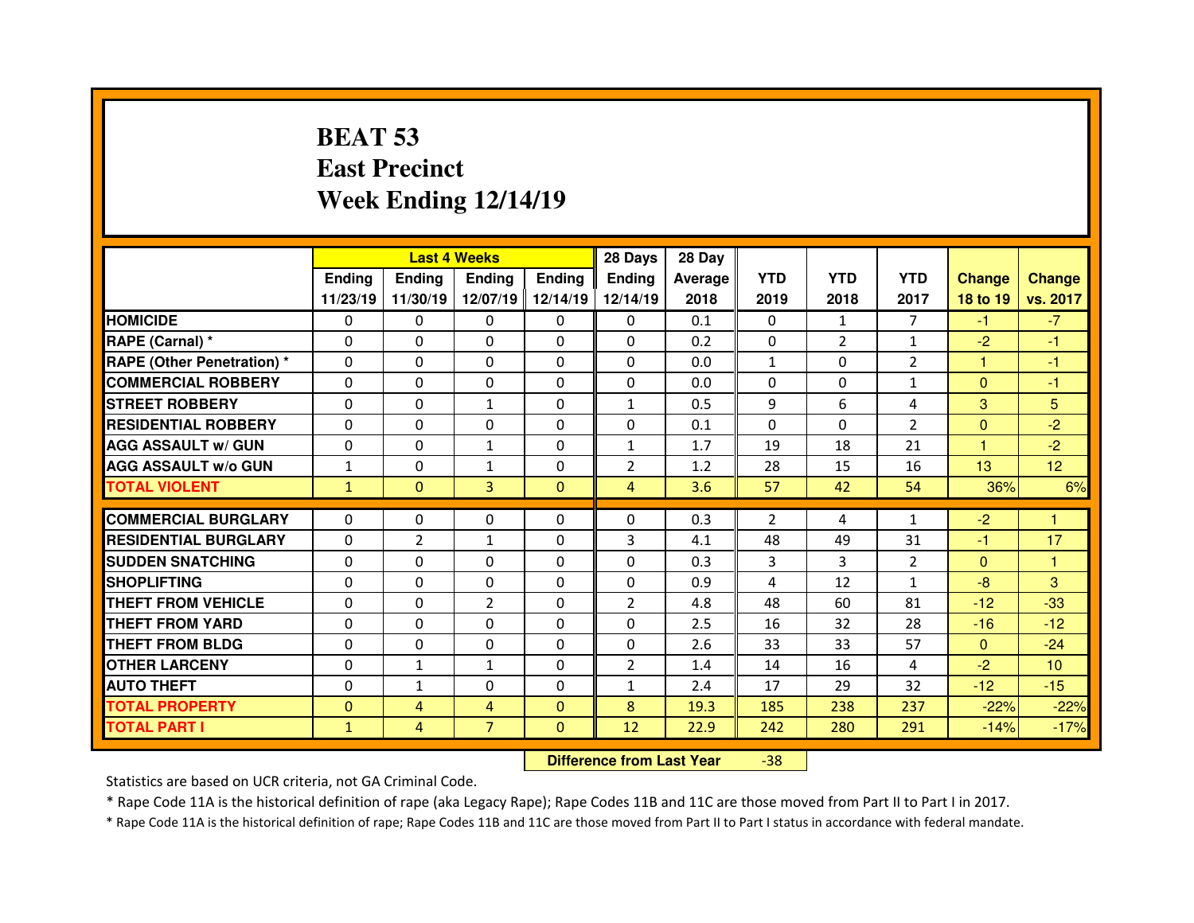# **BEAT 53 East PrecinctWeek Ending 12/14/19**

|                                  |              | <b>Last 4 Weeks</b> |                |               | 28 Days        | 28 Day  |              |                |                |               |                 |
|----------------------------------|--------------|---------------------|----------------|---------------|----------------|---------|--------------|----------------|----------------|---------------|-----------------|
|                                  | Ending       | <b>Endina</b>       | Ending         | <b>Ending</b> | <b>Ending</b>  | Average | <b>YTD</b>   | <b>YTD</b>     | <b>YTD</b>     | <b>Change</b> | <b>Change</b>   |
|                                  | 11/23/19     | 11/30/19            | 12/07/19       | 12/14/19      | 12/14/19       | 2018    | 2019         | 2018           | 2017           | 18 to 19      | vs. 2017        |
| <b>HOMICIDE</b>                  | 0            | $\Omega$            | $\Omega$       | $\Omega$      | 0              | 0.1     | $\Omega$     | $\mathbf{1}$   | $\overline{7}$ | $-1$          | $-7$            |
| RAPE (Carnal) *                  | $\Omega$     | 0                   | 0              | $\Omega$      | $\Omega$       | 0.2     | $\mathbf{0}$ | $\overline{2}$ | $\mathbf{1}$   | $-2$          | $-1$            |
| <b>RAPE (Other Penetration)*</b> | $\Omega$     | 0                   | $\Omega$       | $\Omega$      | $\Omega$       | 0.0     | $\mathbf{1}$ | $\Omega$       | $\mathcal{P}$  | 1             | -1              |
| <b>COMMERCIAL ROBBERY</b>        | $\Omega$     | 0                   | $\Omega$       | $\Omega$      | $\Omega$       | 0.0     | $\Omega$     | $\Omega$       | $\mathbf{1}$   | $\Omega$      | -1              |
| <b>STREET ROBBERY</b>            | $\Omega$     | 0                   | $\mathbf{1}$   | $\Omega$      | $\mathbf{1}$   | 0.5     | 9            | 6              | 4              | 3             | 5               |
| <b>RESIDENTIAL ROBBERY</b>       | $\Omega$     | 0                   | $\Omega$       | $\Omega$      | $\Omega$       | 0.1     | $\Omega$     | $\Omega$       | $\overline{2}$ | $\Omega$      | $-2$            |
| <b>AGG ASSAULT w/ GUN</b>        | $\Omega$     | 0                   | $\mathbf{1}$   | $\Omega$      | $\mathbf{1}$   | 1.7     | 19           | 18             | 21             | 1             | $-2$            |
| <b>AGG ASSAULT w/o GUN</b>       | $\mathbf{1}$ | 0                   | $\mathbf{1}$   | $\mathbf{0}$  | $\overline{2}$ | 1.2     | 28           | 15             | 16             | 13            | 12 <sub>2</sub> |
| <b>TOTAL VIOLENT</b>             | $\mathbf{1}$ | $\mathbf{0}$        | 3              | $\mathbf{0}$  | $\overline{4}$ | 3.6     | 57           | 42             | 54             | 36%           | 6%              |
|                                  |              |                     |                |               |                |         |              |                |                |               | 1               |
| <b>COMMERCIAL BURGLARY</b>       | $\Omega$     | 0                   | 0              | $\mathbf{0}$  | $\Omega$       | 0.3     | 2            | 4              | 1              | $-2$          |                 |
|                                  | $\Omega$     | $\overline{2}$      | $\mathbf{1}$   | 0             | 3              | 4.1     | 48           | 49             | 31             | -1            | 17              |
| <b>RESIDENTIAL BURGLARY</b>      |              |                     |                |               |                |         |              |                |                |               |                 |
| <b>SUDDEN SNATCHING</b>          | 0            | 0                   | 0              | $\mathbf{0}$  | $\Omega$       | 0.3     | 3            | 3              | $\overline{2}$ | $\mathbf{0}$  | $\mathbf{1}$    |
| <b>SHOPLIFTING</b>               | $\Omega$     | 0                   | $\Omega$       | $\mathbf{0}$  | $\Omega$       | 0.9     | 4            | 12             | 1              | $-8$          | 3               |
| THEFT FROM VEHICLE               | $\Omega$     | 0                   | $\overline{2}$ | $\Omega$      | $\overline{2}$ | 4.8     | 48           | 60             | 81             | $-12$         | $-33$           |
| <b>THEFT FROM YARD</b>           | 0            | 0                   | $\Omega$       | $\mathbf{0}$  | $\Omega$       | 2.5     | 16           | 32             | 28             | $-16$         | $-12$           |
| <b>THEFT FROM BLDG</b>           | $\Omega$     | 0                   | 0              | $\Omega$      | $\Omega$       | 2.6     | 33           | 33             | 57             | $\mathbf{0}$  | $-24$           |
| <b>OTHER LARCENY</b>             | $\Omega$     | $\mathbf{1}$        | $\mathbf{1}$   | $\Omega$      | $\overline{2}$ | 1.4     | 14           | 16             | 4              | $-2$          | 10 <sup>°</sup> |
| <b>AUTO THEFT</b>                | $\Omega$     | $\mathbf{1}$        | 0              | $\Omega$      | $\mathbf{1}$   | 2.4     | 17           | 29             | 32             | $-12$         | $-15$           |
| <b>TOTAL PROPERTY</b>            | $\Omega$     | 4                   | 4              | $\mathbf{0}$  | 8              | 19.3    | 185          | 238            | 237            | $-22%$        | $-22%$          |
| <b>TOTAL PART I</b>              | $\mathbf{1}$ | 4                   | $\overline{7}$ | $\mathbf{0}$  | 12             | 22.9    | 242          | 280            | 291            | $-14%$        | $-17%$          |

 **Difference from Last Year**-38

Statistics are based on UCR criteria, not GA Criminal Code.

\* Rape Code 11A is the historical definition of rape (aka Legacy Rape); Rape Codes 11B and 11C are those moved from Part II to Part I in 2017.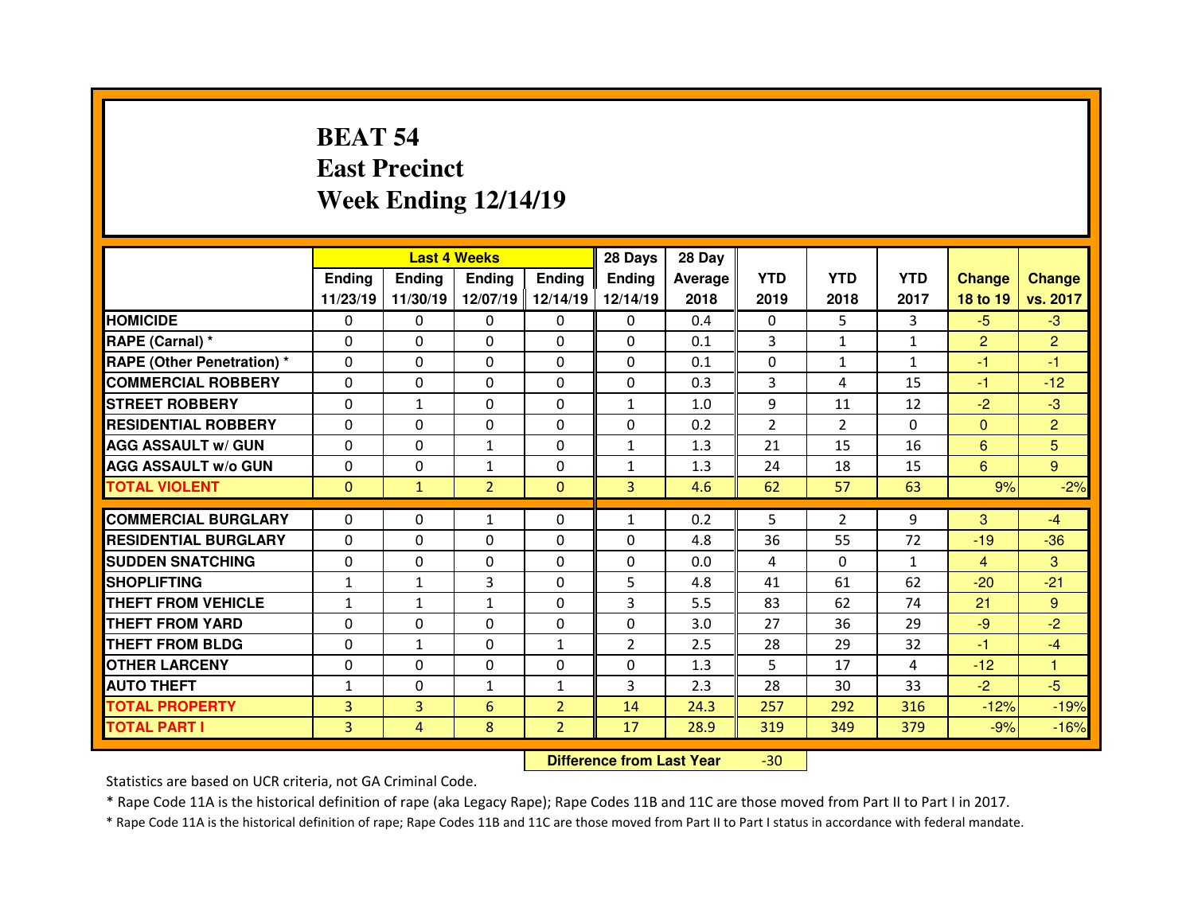# **BEAT 54 East PrecinctWeek Ending 12/14/19**

|                                  |                | <b>Last 4 Weeks</b><br><b>Ending</b><br><b>Ending</b><br><b>Ending</b><br><b>Ending</b> |                |                |                | 28 Day  |                |                |              |                |                |
|----------------------------------|----------------|-----------------------------------------------------------------------------------------|----------------|----------------|----------------|---------|----------------|----------------|--------------|----------------|----------------|
|                                  |                |                                                                                         |                |                | <b>Ending</b>  | Average | <b>YTD</b>     | <b>YTD</b>     | <b>YTD</b>   | <b>Change</b>  | <b>Change</b>  |
|                                  | 11/23/19       | 11/30/19                                                                                | 12/07/19       | 12/14/19       | 12/14/19       | 2018    | 2019           | 2018           | 2017         | 18 to 19       | vs. 2017       |
| <b>HOMICIDE</b>                  | $\Omega$       | 0                                                                                       | 0              | $\mathbf{0}$   | $\mathbf{0}$   | 0.4     | $\Omega$       | 5              | 3            | $-5$           | $-3$           |
| RAPE (Carnal) *                  | $\Omega$       | 0                                                                                       | 0              | $\mathbf{0}$   | $\Omega$       | 0.1     | 3              | $\mathbf{1}$   | $\mathbf{1}$ | $\overline{2}$ | $\overline{2}$ |
| <b>RAPE (Other Penetration)*</b> | $\Omega$       | 0                                                                                       | $\Omega$       | $\Omega$       | $\Omega$       | 0.1     | $\Omega$       | $\mathbf{1}$   | 1            | $-1$           | -1             |
| <b>COMMERCIAL ROBBERY</b>        | 0              | 0                                                                                       | 0              | $\Omega$       | $\Omega$       | 0.3     | 3              | 4              | 15           | $-1$           | $-12$          |
| <b>STREET ROBBERY</b>            | $\Omega$       | $\mathbf{1}$                                                                            | $\Omega$       | $\Omega$       | $\mathbf{1}$   | 1.0     | 9              | 11             | 12           | $-2$           | $-3$           |
| <b>RESIDENTIAL ROBBERY</b>       | $\Omega$       | $\Omega$                                                                                | $\Omega$       | $\Omega$       | $\Omega$       | 0.2     | $\overline{2}$ | $\mathcal{P}$  | $\Omega$     | $\Omega$       | $\overline{2}$ |
| <b>AGG ASSAULT w/ GUN</b>        | $\Omega$       | 0                                                                                       | $\mathbf{1}$   | $\Omega$       | $\mathbf{1}$   | 1.3     | 21             | 15             | 16           | 6              | 5              |
| <b>AGG ASSAULT w/o GUN</b>       | 0              | 0                                                                                       | $\mathbf{1}$   | $\mathbf{0}$   | $\mathbf{1}$   | 1.3     | 24             | 18             | 15           | 6              | 9              |
| <b>TOTAL VIOLENT</b>             | $\mathbf{0}$   | $\mathbf{1}$                                                                            | $\overline{2}$ | $\mathbf{0}$   | $\overline{3}$ | 4.6     | 62             | 57             | 63           | 9%             | $-2%$          |
|                                  |                |                                                                                         |                |                |                |         |                |                |              |                |                |
| <b>COMMERCIAL BURGLARY</b>       | $\Omega$       | 0                                                                                       | $\mathbf{1}$   | $\mathbf{0}$   | $\mathbf{1}$   | 0.2     | 5              | $\overline{2}$ | 9            | 3              | $-4$           |
| <b>RESIDENTIAL BURGLARY</b>      | 0              | 0                                                                                       | 0              | 0              | $\Omega$       | 4.8     | 36             | 55             | 72           | $-19$          | $-36$          |
| <b>SUDDEN SNATCHING</b>          | $\Omega$       | 0                                                                                       | 0              | $\Omega$       | 0              | 0.0     | 4              | $\Omega$       | $\mathbf{1}$ | $\overline{4}$ | 3              |
| <b>SHOPLIFTING</b>               | $\mathbf{1}$   | $\mathbf{1}$                                                                            | 3              | $\mathbf{0}$   | 5              | 4.8     | 41             | 61             | 62           | $-20$          | $-21$          |
| <b>THEFT FROM VEHICLE</b>        | $\mathbf{1}$   | $\mathbf{1}$                                                                            | $\mathbf{1}$   | $\mathbf{0}$   | 3              | 5.5     | 83             | 62             | 74           | 21             | 9              |
| <b>THEFT FROM YARD</b>           | 0              | 0                                                                                       | 0              | 0              | 0              | 3.0     | 27             | 36             | 29           | $-9$           | $-2$           |
| <b>THEFT FROM BLDG</b>           | $\Omega$       | $\mathbf{1}$                                                                            | $\Omega$       | $\mathbf{1}$   | $\overline{2}$ | 2.5     | 28             | 29             | 32           | -1             | $-4$           |
| <b>OTHER LARCENY</b>             | 0              | 0                                                                                       | $\Omega$       | 0              | $\Omega$       | 1.3     | 5              | 17             | 4            | $-12$          | 1              |
| <b>AUTO THEFT</b>                | $\mathbf{1}$   | 0                                                                                       | $\mathbf{1}$   | $\mathbf{1}$   | 3              | 2.3     | 28             | 30             | 33           | $-2$           | $-5$           |
| <b>TOTAL PROPERTY</b>            | $\overline{3}$ | 3                                                                                       | 6              | $\overline{2}$ | 14             | 24.3    | 257            | 292            | 316          | $-12%$         | $-19%$         |
| <b>TOTAL PART I</b>              | 3              | 4                                                                                       | 8              | $\overline{2}$ | 17             | 28.9    | 319            | 349            | 379          | $-9%$          | $-16%$         |
|                                  |                |                                                                                         |                |                |                |         |                |                |              |                |                |

 **Difference from Last Year**-30

Statistics are based on UCR criteria, not GA Criminal Code.

\* Rape Code 11A is the historical definition of rape (aka Legacy Rape); Rape Codes 11B and 11C are those moved from Part II to Part I in 2017.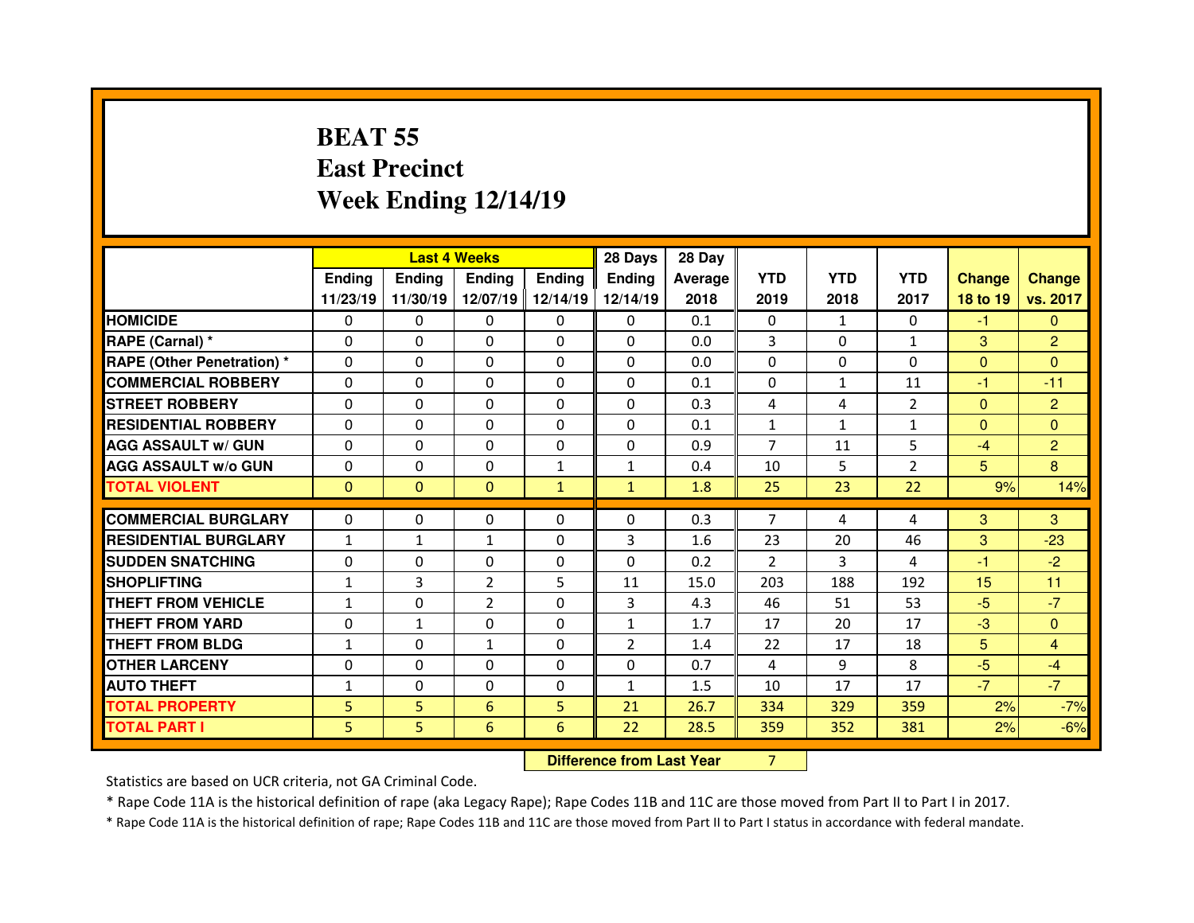# **BEAT 55 East PrecinctWeek Ending 12/14/19**

|                                   |              | <b>Last 4 Weeks</b> |                |              |                                  | 28 Day  |                |              |                |                |                |
|-----------------------------------|--------------|---------------------|----------------|--------------|----------------------------------|---------|----------------|--------------|----------------|----------------|----------------|
|                                   | Ending       | <b>Ending</b>       | Ending         | Ending       | <b>Ending</b>                    | Average | <b>YTD</b>     | <b>YTD</b>   | <b>YTD</b>     | <b>Change</b>  | <b>Change</b>  |
|                                   | 11/23/19     | 11/30/19            | 12/07/19       | 12/14/19     | 12/14/19                         | 2018    | 2019           | 2018         | 2017           | 18 to 19       | vs. 2017       |
| <b>HOMICIDE</b>                   | 0            | 0                   | 0              | 0            | 0                                | 0.1     | 0              | $\mathbf{1}$ | 0              | $-1$           | $\mathbf{0}$   |
| RAPE (Carnal) *                   | $\Omega$     | 0                   | $\Omega$       | $\Omega$     | $\Omega$                         | 0.0     | 3              | $\Omega$     | $\mathbf{1}$   | 3              | $\overline{2}$ |
| <b>RAPE (Other Penetration) *</b> | 0            | 0                   | 0              | 0            | 0                                | 0.0     | $\mathbf 0$    | 0            | 0              | $\overline{0}$ | $\Omega$       |
| <b>COMMERCIAL ROBBERY</b>         | 0            | 0                   | 0              | $\Omega$     | $\Omega$                         | 0.1     | 0              | $\mathbf{1}$ | 11             | $-1$           | $-11$          |
| <b>STREET ROBBERY</b>             | 0            | 0                   | 0              | $\mathbf{0}$ | $\Omega$                         | 0.3     | 4              | 4            | $\overline{2}$ | $\mathbf{0}$   | $\overline{2}$ |
| <b>RESIDENTIAL ROBBERY</b>        | 0            | 0                   | 0              | 0            | 0                                | 0.1     | $\mathbf{1}$   | $\mathbf{1}$ | $\mathbf{1}$   | $\overline{0}$ | $\overline{0}$ |
| <b>AGG ASSAULT w/ GUN</b>         | $\Omega$     | 0                   | $\Omega$       | $\mathbf{0}$ | $\Omega$                         | 0.9     | $\overline{7}$ | 11           | 5              | $-4$           | $\overline{2}$ |
| <b>AGG ASSAULT w/o GUN</b>        | $\Omega$     | 0                   | 0              | $\mathbf{1}$ | $\mathbf{1}$                     | 0.4     | 10             | 5            | $\overline{2}$ | 5 <sup>5</sup> | 8              |
| <b>TOTAL VIOLENT</b>              | $\Omega$     | $\mathbf{0}$        | $\mathbf{0}$   | $\mathbf{1}$ | $\mathbf{1}$                     | 1.8     | 25             | 23           | 22             | 9%             | 14%            |
|                                   |              |                     |                |              |                                  |         |                |              |                |                |                |
| <b>COMMERCIAL BURGLARY</b>        | 0            | 0                   | 0              | $\mathbf{0}$ | $\Omega$                         | 0.3     | $\overline{7}$ | 4            | 4              | 3              | 3              |
| <b>RESIDENTIAL BURGLARY</b>       | $\mathbf{1}$ | $\mathbf{1}$        | $\mathbf{1}$   | $\Omega$     | 3                                | 1.6     | 23             | 20           | 46             | 3              | $-23$          |
| <b>SUDDEN SNATCHING</b>           | $\Omega$     | 0                   | $\Omega$       | $\Omega$     | $\Omega$                         | 0.2     | $\overline{2}$ | 3            | 4              | $-1$           | $-2$           |
| <b>SHOPLIFTING</b>                | $\mathbf{1}$ | 3                   | $\overline{2}$ | 5            | 11                               | 15.0    | 203            | 188          | 192            | 15             | 11             |
| <b>THEFT FROM VEHICLE</b>         | $\mathbf{1}$ | 0                   | $\overline{2}$ | $\Omega$     | 3                                | 4.3     | 46             | 51           | 53             | $-5$           | $-7$           |
| <b>THEFT FROM YARD</b>            | 0            | $\mathbf{1}$        | 0              | $\mathbf{0}$ | $\mathbf{1}$                     | 1.7     | 17             | 20           | 17             | $-3$           | $\Omega$       |
| <b>THEFT FROM BLDG</b>            | $\mathbf{1}$ | 0                   | $\mathbf{1}$   | $\mathbf{0}$ | $\overline{2}$                   | 1.4     | 22             | 17           | 18             | 5              | 4              |
| <b>OTHER LARCENY</b>              | 0            | 0                   | 0              | $\mathbf{0}$ | 0                                | 0.7     | 4              | 9            | 8              | $-5$           | $-4$           |
| <b>AUTO THEFT</b>                 | $\mathbf{1}$ | 0                   | 0              | 0            | $\mathbf{1}$                     | 1.5     | 10             | 17           | 17             | $-7$           | $-7$           |
| <b>TOTAL PROPERTY</b>             | 5            | 5                   | 6              | 5            | 21                               | 26.7    | 334            | 329          | 359            | 2%             | $-7%$          |
| <b>TOTAL PART I</b>               | 5            | 5                   | $6\phantom{1}$ | 6            | 22                               | 28.5    | 359            | 352          | 381            | 2%             | $-6%$          |
|                                   |              |                     |                |              | <b>Difference from Last Year</b> |         | $\overline{7}$ |              |                |                |                |

 **Difference from Last Year**

Statistics are based on UCR criteria, not GA Criminal Code.

\* Rape Code 11A is the historical definition of rape (aka Legacy Rape); Rape Codes 11B and 11C are those moved from Part II to Part I in 2017.